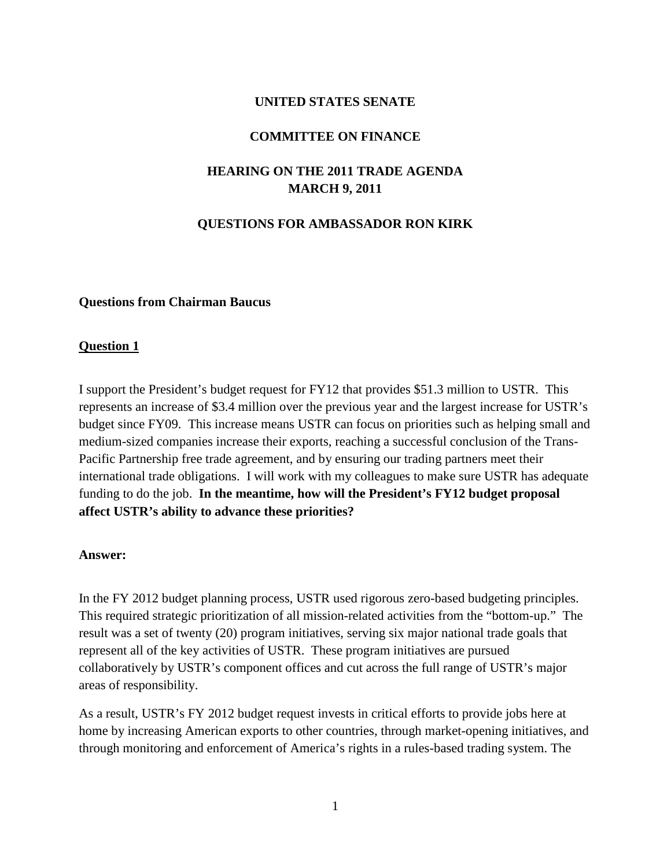## **UNITED STATES SENATE**

#### **COMMITTEE ON FINANCE**

## **HEARING ON THE 2011 TRADE AGENDA MARCH 9, 2011**

## **QUESTIONS FOR AMBASSADOR RON KIRK**

#### **Questions from Chairman Baucus**

#### **Question 1**

I support the President's budget request for FY12 that provides \$51.3 million to USTR. This represents an increase of \$3.4 million over the previous year and the largest increase for USTR's budget since FY09. This increase means USTR can focus on priorities such as helping small and medium-sized companies increase their exports, reaching a successful conclusion of the Trans-Pacific Partnership free trade agreement, and by ensuring our trading partners meet their international trade obligations. I will work with my colleagues to make sure USTR has adequate funding to do the job. **In the meantime, how will the President's FY12 budget proposal affect USTR's ability to advance these priorities?**

#### **Answer:**

In the FY 2012 budget planning process, USTR used rigorous zero-based budgeting principles. This required strategic prioritization of all mission-related activities from the "bottom-up." The result was a set of twenty (20) program initiatives, serving six major national trade goals that represent all of the key activities of USTR. These program initiatives are pursued collaboratively by USTR's component offices and cut across the full range of USTR's major areas of responsibility.

As a result, USTR's FY 2012 budget request invests in critical efforts to provide jobs here at home by increasing American exports to other countries, through market-opening initiatives, and through monitoring and enforcement of America's rights in a rules-based trading system. The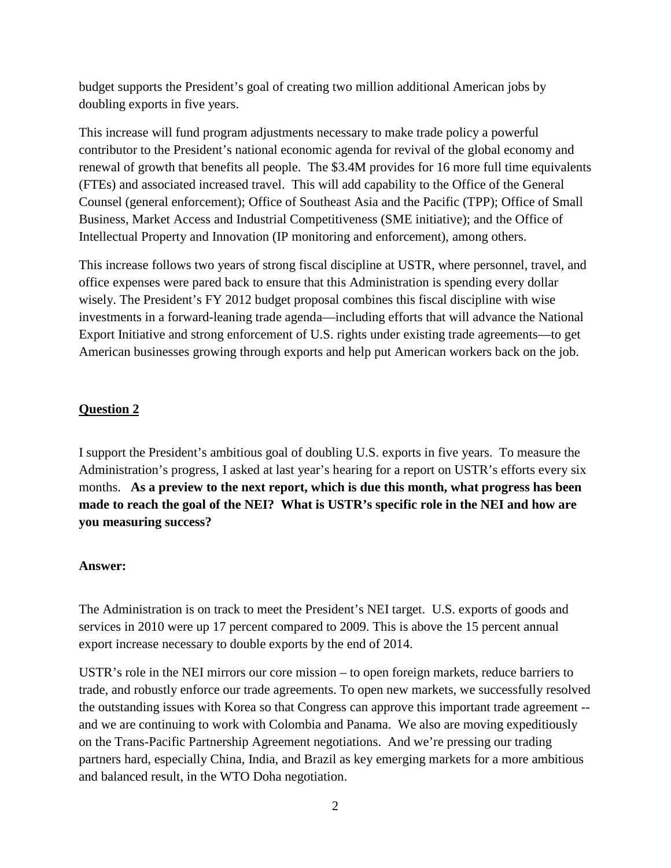budget supports the President's goal of creating two million additional American jobs by doubling exports in five years.

This increase will fund program adjustments necessary to make trade policy a powerful contributor to the President's national economic agenda for revival of the global economy and renewal of growth that benefits all people. The \$3.4M provides for 16 more full time equivalents (FTEs) and associated increased travel. This will add capability to the Office of the General Counsel (general enforcement); Office of Southeast Asia and the Pacific (TPP); Office of Small Business, Market Access and Industrial Competitiveness (SME initiative); and the Office of Intellectual Property and Innovation (IP monitoring and enforcement), among others.

This increase follows two years of strong fiscal discipline at USTR, where personnel, travel, and office expenses were pared back to ensure that this Administration is spending every dollar wisely. The President's FY 2012 budget proposal combines this fiscal discipline with wise investments in a forward-leaning trade agenda—including efforts that will advance the National Export Initiative and strong enforcement of U.S. rights under existing trade agreements—to get American businesses growing through exports and help put American workers back on the job.

## **Question 2**

I support the President's ambitious goal of doubling U.S. exports in five years. To measure the Administration's progress, I asked at last year's hearing for a report on USTR's efforts every six months. **As a preview to the next report, which is due this month, what progress has been made to reach the goal of the NEI? What is USTR's specific role in the NEI and how are you measuring success?**

## **Answer:**

The Administration is on track to meet the President's NEI target. U.S. exports of goods and services in 2010 were up 17 percent compared to 2009. This is above the 15 percent annual export increase necessary to double exports by the end of 2014.

USTR's role in the NEI mirrors our core mission – to open foreign markets, reduce barriers to trade, and robustly enforce our trade agreements. To open new markets, we successfully resolved the outstanding issues with Korea so that Congress can approve this important trade agreement - and we are continuing to work with Colombia and Panama. We also are moving expeditiously on the Trans-Pacific Partnership Agreement negotiations. And we're pressing our trading partners hard, especially China, India, and Brazil as key emerging markets for a more ambitious and balanced result, in the WTO Doha negotiation.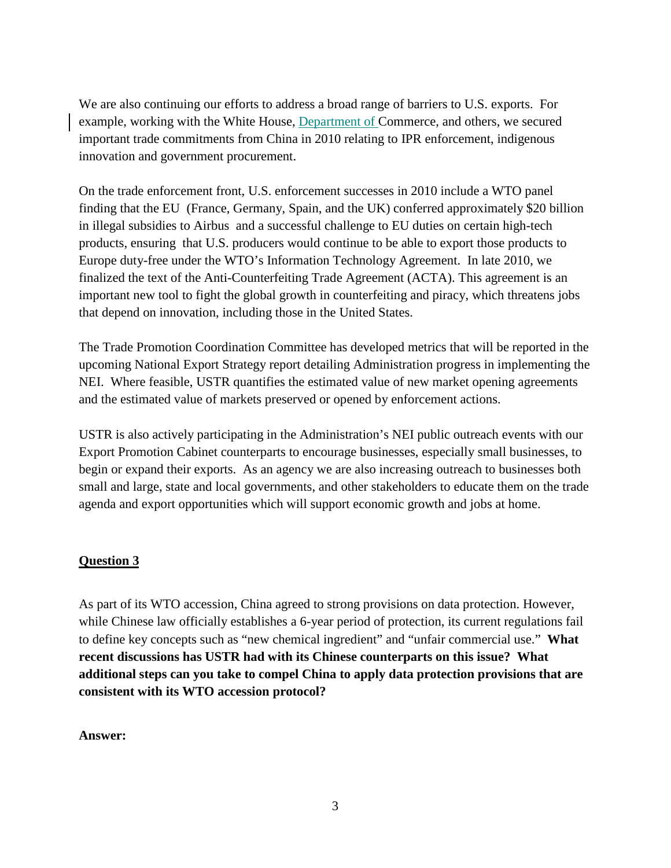We are also continuing our efforts to address a broad range of barriers to U.S. exports. For example, working with the White House, Department of Commerce, and others, we secured important trade commitments from China in 2010 relating to IPR enforcement, indigenous innovation and government procurement.

On the trade enforcement front, U.S. enforcement successes in 2010 include a WTO panel finding that the EU (France, Germany, Spain, and the UK) conferred approximately \$20 billion in illegal subsidies to Airbus and a successful challenge to EU duties on certain high-tech products, ensuring that U.S. producers would continue to be able to export those products to Europe duty-free under the WTO's Information Technology Agreement. In late 2010, we finalized the text of the Anti-Counterfeiting Trade Agreement (ACTA). This agreement is an important new tool to fight the global growth in counterfeiting and piracy, which threatens jobs that depend on innovation, including those in the United States.

The Trade Promotion Coordination Committee has developed metrics that will be reported in the upcoming National Export Strategy report detailing Administration progress in implementing the NEI. Where feasible, USTR quantifies the estimated value of new market opening agreements and the estimated value of markets preserved or opened by enforcement actions.

USTR is also actively participating in the Administration's NEI public outreach events with our Export Promotion Cabinet counterparts to encourage businesses, especially small businesses, to begin or expand their exports. As an agency we are also increasing outreach to businesses both small and large, state and local governments, and other stakeholders to educate them on the trade agenda and export opportunities which will support economic growth and jobs at home.

## **Question 3**

As part of its WTO accession, China agreed to strong provisions on data protection. However, while Chinese law officially establishes a 6-year period of protection, its current regulations fail to define key concepts such as "new chemical ingredient" and "unfair commercial use." **What recent discussions has USTR had with its Chinese counterparts on this issue? What additional steps can you take to compel China to apply data protection provisions that are consistent with its WTO accession protocol?**

#### **Answer:**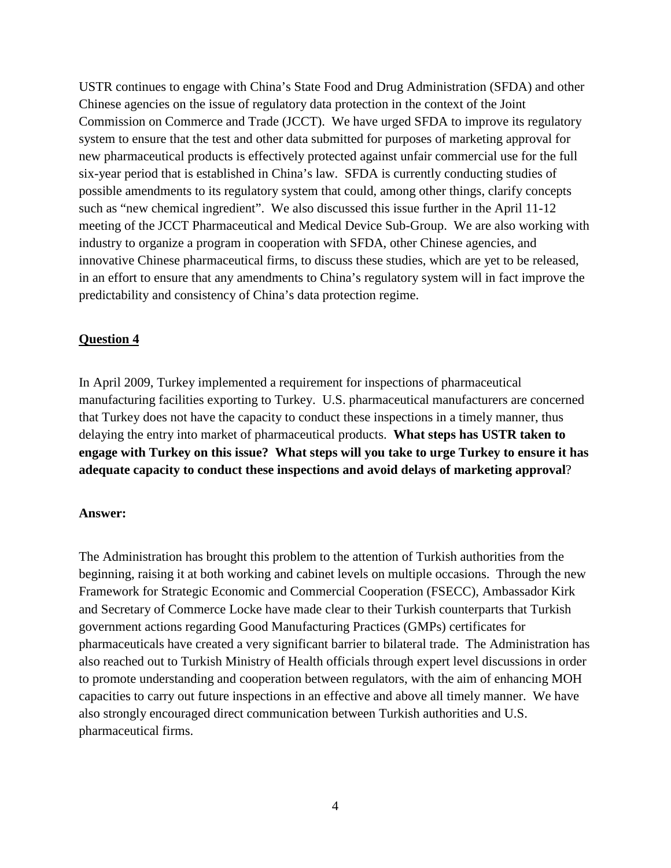USTR continues to engage with China's State Food and Drug Administration (SFDA) and other Chinese agencies on the issue of regulatory data protection in the context of the Joint Commission on Commerce and Trade (JCCT). We have urged SFDA to improve its regulatory system to ensure that the test and other data submitted for purposes of marketing approval for new pharmaceutical products is effectively protected against unfair commercial use for the full six-year period that is established in China's law. SFDA is currently conducting studies of possible amendments to its regulatory system that could, among other things, clarify concepts such as "new chemical ingredient". We also discussed this issue further in the April 11-12 meeting of the JCCT Pharmaceutical and Medical Device Sub-Group. We are also working with industry to organize a program in cooperation with SFDA, other Chinese agencies, and innovative Chinese pharmaceutical firms, to discuss these studies, which are yet to be released, in an effort to ensure that any amendments to China's regulatory system will in fact improve the predictability and consistency of China's data protection regime.

#### **Question 4**

In April 2009, Turkey implemented a requirement for inspections of pharmaceutical manufacturing facilities exporting to Turkey. U.S. pharmaceutical manufacturers are concerned that Turkey does not have the capacity to conduct these inspections in a timely manner, thus delaying the entry into market of pharmaceutical products. **What steps has USTR taken to engage with Turkey on this issue? What steps will you take to urge Turkey to ensure it has adequate capacity to conduct these inspections and avoid delays of marketing approval**?

#### **Answer:**

The Administration has brought this problem to the attention of Turkish authorities from the beginning, raising it at both working and cabinet levels on multiple occasions. Through the new Framework for Strategic Economic and Commercial Cooperation (FSECC), Ambassador Kirk and Secretary of Commerce Locke have made clear to their Turkish counterparts that Turkish government actions regarding Good Manufacturing Practices (GMPs) certificates for pharmaceuticals have created a very significant barrier to bilateral trade. The Administration has also reached out to Turkish Ministry of Health officials through expert level discussions in order to promote understanding and cooperation between regulators, with the aim of enhancing MOH capacities to carry out future inspections in an effective and above all timely manner. We have also strongly encouraged direct communication between Turkish authorities and U.S. pharmaceutical firms.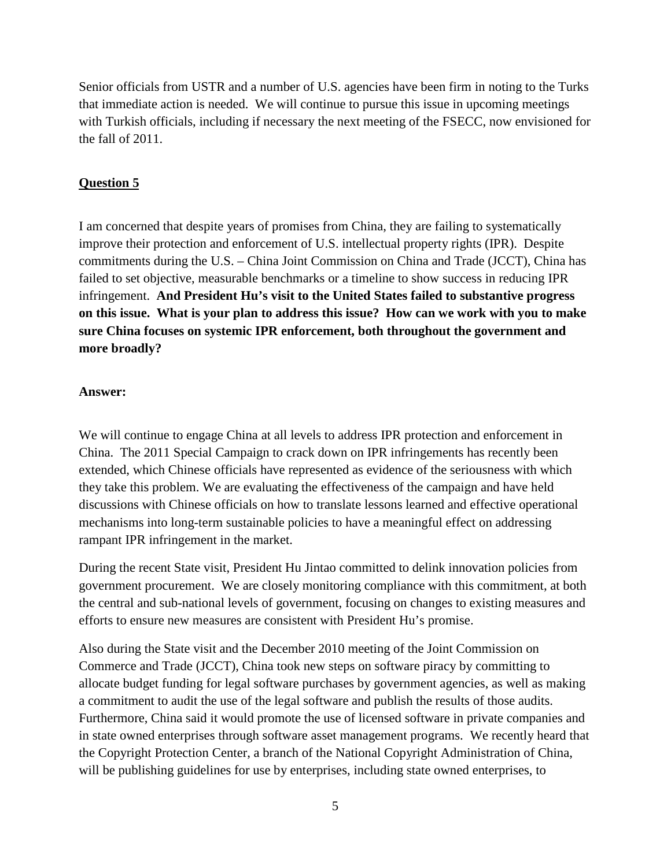Senior officials from USTR and a number of U.S. agencies have been firm in noting to the Turks that immediate action is needed. We will continue to pursue this issue in upcoming meetings with Turkish officials, including if necessary the next meeting of the FSECC, now envisioned for the fall of 2011.

## **Question 5**

I am concerned that despite years of promises from China, they are failing to systematically improve their protection and enforcement of U.S. intellectual property rights (IPR). Despite commitments during the U.S. – China Joint Commission on China and Trade (JCCT), China has failed to set objective, measurable benchmarks or a timeline to show success in reducing IPR infringement. **And President Hu's visit to the United States failed to substantive progress on this issue. What is your plan to address this issue? How can we work with you to make sure China focuses on systemic IPR enforcement, both throughout the government and more broadly?**

## **Answer:**

We will continue to engage China at all levels to address IPR protection and enforcement in China. The 2011 Special Campaign to crack down on IPR infringements has recently been extended, which Chinese officials have represented as evidence of the seriousness with which they take this problem. We are evaluating the effectiveness of the campaign and have held discussions with Chinese officials on how to translate lessons learned and effective operational mechanisms into long-term sustainable policies to have a meaningful effect on addressing rampant IPR infringement in the market.

During the recent State visit, President Hu Jintao committed to delink innovation policies from government procurement. We are closely monitoring compliance with this commitment, at both the central and sub-national levels of government, focusing on changes to existing measures and efforts to ensure new measures are consistent with President Hu's promise.

Also during the State visit and the December 2010 meeting of the Joint Commission on Commerce and Trade (JCCT), China took new steps on software piracy by committing to allocate budget funding for legal software purchases by government agencies, as well as making a commitment to audit the use of the legal software and publish the results of those audits. Furthermore, China said it would promote the use of licensed software in private companies and in state owned enterprises through software asset management programs. We recently heard that the Copyright Protection Center, a branch of the National Copyright Administration of China, will be publishing guidelines for use by enterprises, including state owned enterprises, to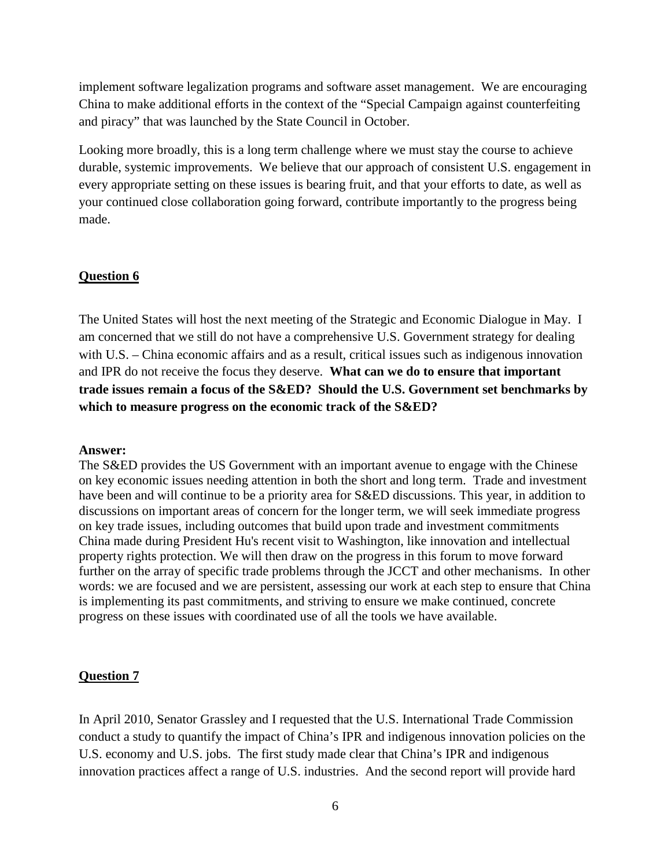implement software legalization programs and software asset management. We are encouraging China to make additional efforts in the context of the "Special Campaign against counterfeiting and piracy" that was launched by the State Council in October.

Looking more broadly, this is a long term challenge where we must stay the course to achieve durable, systemic improvements. We believe that our approach of consistent U.S. engagement in every appropriate setting on these issues is bearing fruit, and that your efforts to date, as well as your continued close collaboration going forward, contribute importantly to the progress being made.

### **Question 6**

The United States will host the next meeting of the Strategic and Economic Dialogue in May. I am concerned that we still do not have a comprehensive U.S. Government strategy for dealing with U.S. – China economic affairs and as a result, critical issues such as indigenous innovation and IPR do not receive the focus they deserve. **What can we do to ensure that important trade issues remain a focus of the S&ED? Should the U.S. Government set benchmarks by which to measure progress on the economic track of the S&ED?** 

#### **Answer:**

The S&ED provides the US Government with an important avenue to engage with the Chinese on key economic issues needing attention in both the short and long term. Trade and investment have been and will continue to be a priority area for S&ED discussions. This year, in addition to discussions on important areas of concern for the longer term, we will seek immediate progress on key trade issues, including outcomes that build upon trade and investment commitments China made during President Hu's recent visit to Washington, like innovation and intellectual property rights protection. We will then draw on the progress in this forum to move forward further on the array of specific trade problems through the JCCT and other mechanisms. In other words: we are focused and we are persistent, assessing our work at each step to ensure that China is implementing its past commitments, and striving to ensure we make continued, concrete progress on these issues with coordinated use of all the tools we have available.

#### **Question 7**

In April 2010, Senator Grassley and I requested that the U.S. International Trade Commission conduct a study to quantify the impact of China's IPR and indigenous innovation policies on the U.S. economy and U.S. jobs. The first study made clear that China's IPR and indigenous innovation practices affect a range of U.S. industries. And the second report will provide hard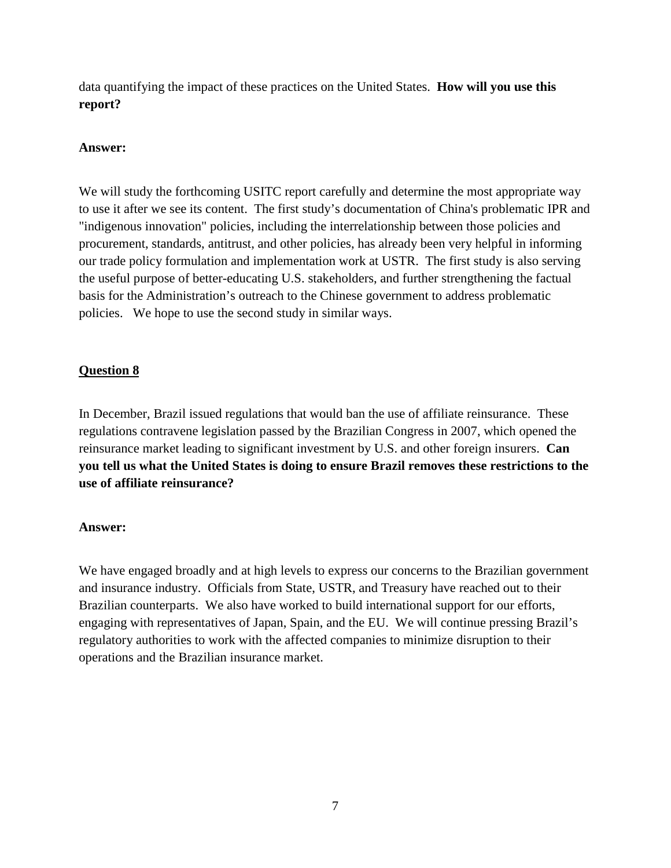data quantifying the impact of these practices on the United States. **How will you use this report?**

## **Answer:**

We will study the forthcoming USITC report carefully and determine the most appropriate way to use it after we see its content. The first study's documentation of China's problematic IPR and "indigenous innovation" policies, including the interrelationship between those policies and procurement, standards, antitrust, and other policies, has already been very helpful in informing our trade policy formulation and implementation work at USTR. The first study is also serving the useful purpose of better-educating U.S. stakeholders, and further strengthening the factual basis for the Administration's outreach to the Chinese government to address problematic policies. We hope to use the second study in similar ways.

## **Question 8**

In December, Brazil issued regulations that would ban the use of affiliate reinsurance. These regulations contravene legislation passed by the Brazilian Congress in 2007, which opened the reinsurance market leading to significant investment by U.S. and other foreign insurers. **Can you tell us what the United States is doing to ensure Brazil removes these restrictions to the use of affiliate reinsurance?**

## **Answer:**

We have engaged broadly and at high levels to express our concerns to the Brazilian government and insurance industry. Officials from State, USTR, and Treasury have reached out to their Brazilian counterparts. We also have worked to build international support for our efforts, engaging with representatives of Japan, Spain, and the EU. We will continue pressing Brazil's regulatory authorities to work with the affected companies to minimize disruption to their operations and the Brazilian insurance market.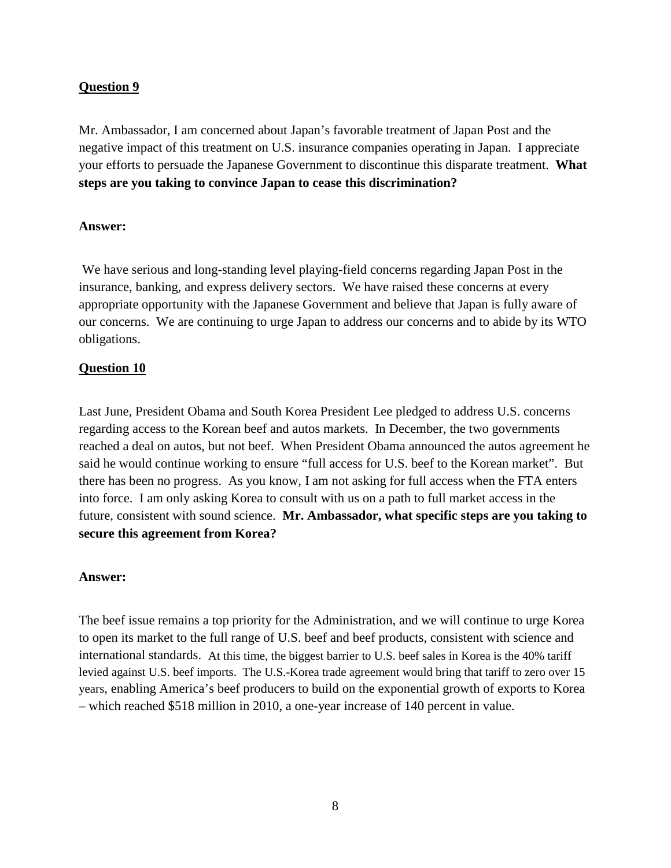## **Question 9**

Mr. Ambassador, I am concerned about Japan's favorable treatment of Japan Post and the negative impact of this treatment on U.S. insurance companies operating in Japan. I appreciate your efforts to persuade the Japanese Government to discontinue this disparate treatment. **What steps are you taking to convince Japan to cease this discrimination?** 

## **Answer:**

We have serious and long-standing level playing-field concerns regarding Japan Post in the insurance, banking, and express delivery sectors. We have raised these concerns at every appropriate opportunity with the Japanese Government and believe that Japan is fully aware of our concerns. We are continuing to urge Japan to address our concerns and to abide by its WTO obligations.

## **Question 10**

Last June, President Obama and South Korea President Lee pledged to address U.S. concerns regarding access to the Korean beef and autos markets. In December, the two governments reached a deal on autos, but not beef. When President Obama announced the autos agreement he said he would continue working to ensure "full access for U.S. beef to the Korean market". But there has been no progress. As you know, I am not asking for full access when the FTA enters into force. I am only asking Korea to consult with us on a path to full market access in the future, consistent with sound science. **Mr. Ambassador, what specific steps are you taking to secure this agreement from Korea?**

## **Answer:**

The beef issue remains a top priority for the Administration, and we will continue to urge Korea to open its market to the full range of U.S. beef and beef products, consistent with science and international standards. At this time, the biggest barrier to U.S. beef sales in Korea is the 40% tariff levied against U.S. beef imports. The U.S.-Korea trade agreement would bring that tariff to zero over 15 years, enabling America's beef producers to build on the exponential growth of exports to Korea – which reached \$518 million in 2010, a one-year increase of 140 percent in value.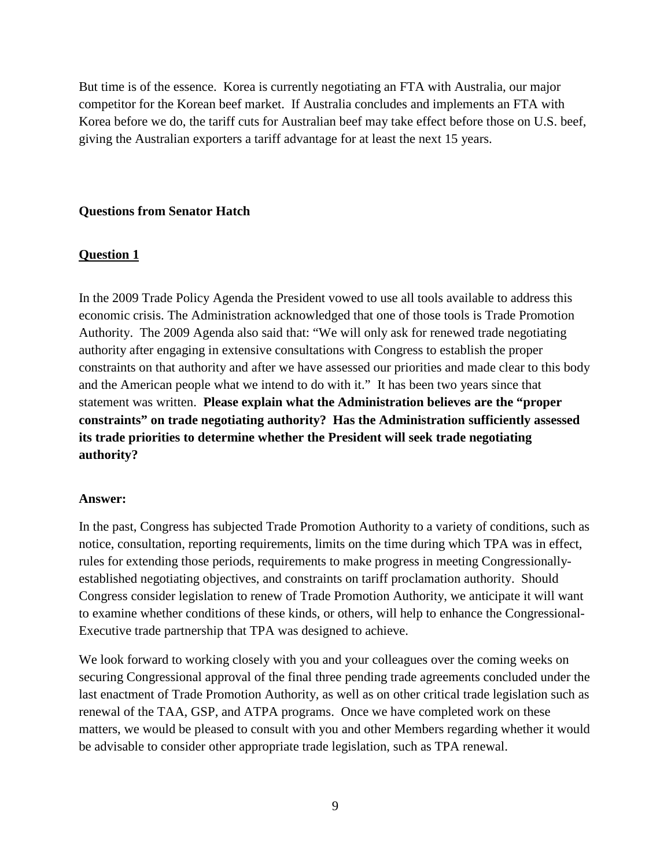But time is of the essence. Korea is currently negotiating an FTA with Australia, our major competitor for the Korean beef market. If Australia concludes and implements an FTA with Korea before we do, the tariff cuts for Australian beef may take effect before those on U.S. beef, giving the Australian exporters a tariff advantage for at least the next 15 years.

## **Questions from Senator Hatch**

### **Question 1**

In the 2009 Trade Policy Agenda the President vowed to use all tools available to address this economic crisis. The Administration acknowledged that one of those tools is Trade Promotion Authority. The 2009 Agenda also said that: "We will only ask for renewed trade negotiating authority after engaging in extensive consultations with Congress to establish the proper constraints on that authority and after we have assessed our priorities and made clear to this body and the American people what we intend to do with it." It has been two years since that statement was written. **Please explain what the Administration believes are the "proper constraints" on trade negotiating authority? Has the Administration sufficiently assessed its trade priorities to determine whether the President will seek trade negotiating authority?**

#### **Answer:**

In the past, Congress has subjected Trade Promotion Authority to a variety of conditions, such as notice, consultation, reporting requirements, limits on the time during which TPA was in effect, rules for extending those periods, requirements to make progress in meeting Congressionallyestablished negotiating objectives, and constraints on tariff proclamation authority. Should Congress consider legislation to renew of Trade Promotion Authority, we anticipate it will want to examine whether conditions of these kinds, or others, will help to enhance the Congressional-Executive trade partnership that TPA was designed to achieve.

We look forward to working closely with you and your colleagues over the coming weeks on securing Congressional approval of the final three pending trade agreements concluded under the last enactment of Trade Promotion Authority, as well as on other critical trade legislation such as renewal of the TAA, GSP, and ATPA programs. Once we have completed work on these matters, we would be pleased to consult with you and other Members regarding whether it would be advisable to consider other appropriate trade legislation, such as TPA renewal.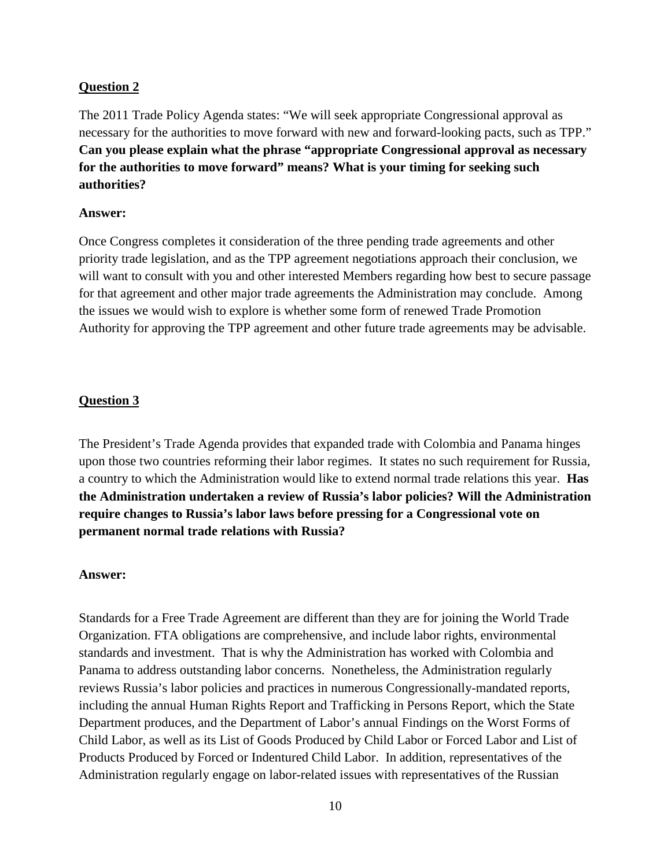## **Question 2**

The 2011 Trade Policy Agenda states: "We will seek appropriate Congressional approval as necessary for the authorities to move forward with new and forward-looking pacts, such as TPP." **Can you please explain what the phrase "appropriate Congressional approval as necessary for the authorities to move forward" means? What is your timing for seeking such authorities?**

### **Answer:**

Once Congress completes it consideration of the three pending trade agreements and other priority trade legislation, and as the TPP agreement negotiations approach their conclusion, we will want to consult with you and other interested Members regarding how best to secure passage for that agreement and other major trade agreements the Administration may conclude. Among the issues we would wish to explore is whether some form of renewed Trade Promotion Authority for approving the TPP agreement and other future trade agreements may be advisable.

## **Question 3**

The President's Trade Agenda provides that expanded trade with Colombia and Panama hinges upon those two countries reforming their labor regimes. It states no such requirement for Russia, a country to which the Administration would like to extend normal trade relations this year. **Has the Administration undertaken a review of Russia's labor policies? Will the Administration require changes to Russia's labor laws before pressing for a Congressional vote on permanent normal trade relations with Russia?**

## **Answer:**

Standards for a Free Trade Agreement are different than they are for joining the World Trade Organization. FTA obligations are comprehensive, and include labor rights, environmental standards and investment. That is why the Administration has worked with Colombia and Panama to address outstanding labor concerns. Nonetheless, the Administration regularly reviews Russia's labor policies and practices in numerous Congressionally-mandated reports, including the annual Human Rights Report and Trafficking in Persons Report, which the State Department produces, and the Department of Labor's annual Findings on the Worst Forms of Child Labor, as well as its List of Goods Produced by Child Labor or Forced Labor and List of Products Produced by Forced or Indentured Child Labor. In addition, representatives of the Administration regularly engage on labor-related issues with representatives of the Russian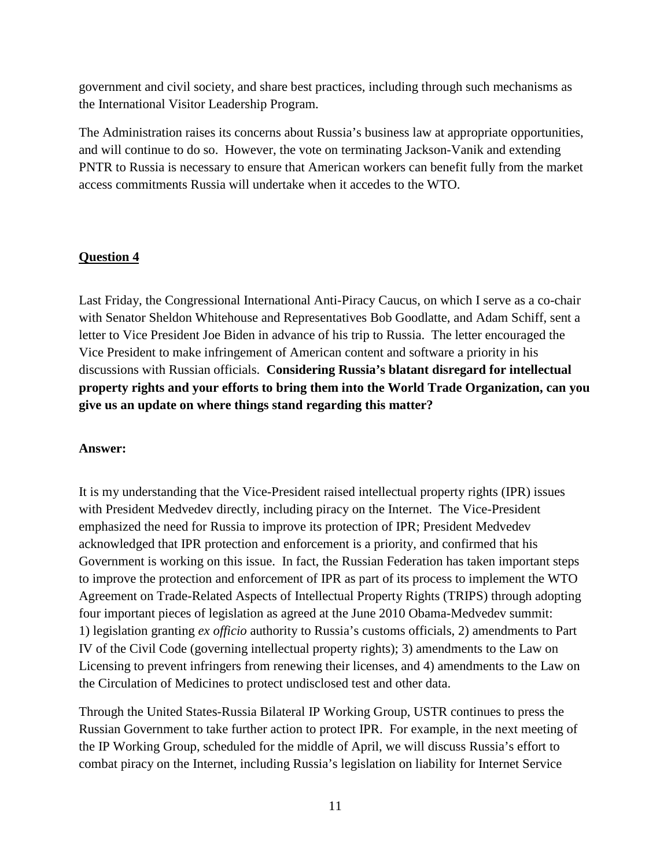government and civil society, and share best practices, including through such mechanisms as the International Visitor Leadership Program.

The Administration raises its concerns about Russia's business law at appropriate opportunities, and will continue to do so. However, the vote on terminating Jackson-Vanik and extending PNTR to Russia is necessary to ensure that American workers can benefit fully from the market access commitments Russia will undertake when it accedes to the WTO.

## **Question 4**

Last Friday, the Congressional International Anti-Piracy Caucus, on which I serve as a co-chair with Senator Sheldon Whitehouse and Representatives Bob Goodlatte, and Adam Schiff, sent a letter to Vice President Joe Biden in advance of his trip to Russia. The letter encouraged the Vice President to make infringement of American content and software a priority in his discussions with Russian officials. **Considering Russia's blatant disregard for intellectual property rights and your efforts to bring them into the World Trade Organization, can you give us an update on where things stand regarding this matter?**

## **Answer:**

It is my understanding that the Vice-President raised intellectual property rights (IPR) issues with President Medvedev directly, including piracy on the Internet. The Vice-President emphasized the need for Russia to improve its protection of IPR; President Medvedev acknowledged that IPR protection and enforcement is a priority, and confirmed that his Government is working on this issue. In fact, the Russian Federation has taken important steps to improve the protection and enforcement of IPR as part of its process to implement the WTO Agreement on Trade-Related Aspects of Intellectual Property Rights (TRIPS) through adopting four important pieces of legislation as agreed at the June 2010 Obama-Medvedev summit: 1) legislation granting *ex officio* authority to Russia's customs officials, 2) amendments to Part IV of the Civil Code (governing intellectual property rights); 3) amendments to the Law on Licensing to prevent infringers from renewing their licenses, and 4) amendments to the Law on the Circulation of Medicines to protect undisclosed test and other data.

Through the United States-Russia Bilateral IP Working Group, USTR continues to press the Russian Government to take further action to protect IPR. For example, in the next meeting of the IP Working Group, scheduled for the middle of April, we will discuss Russia's effort to combat piracy on the Internet, including Russia's legislation on liability for Internet Service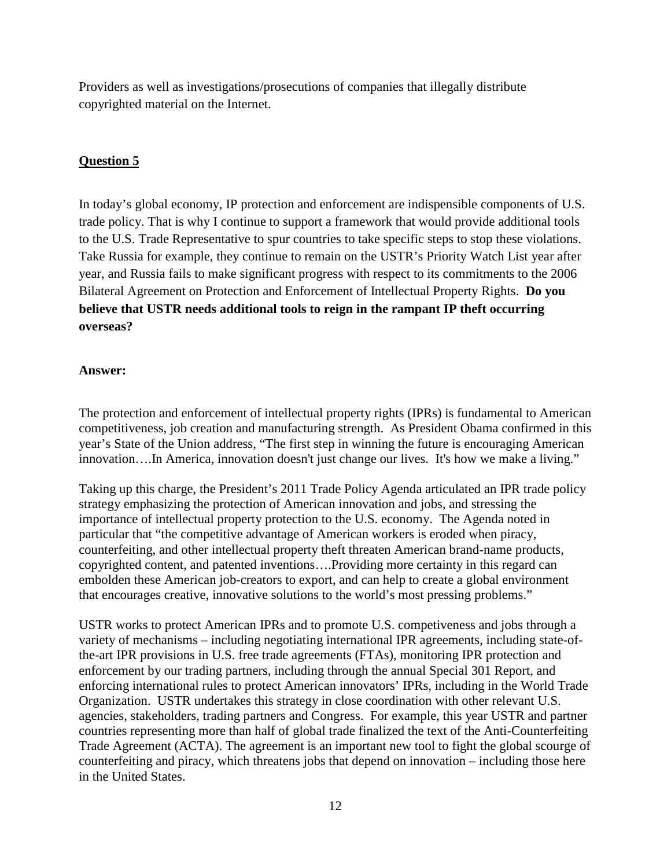Providers as well as investigations/prosecutions of companies that illegally distribute copyrighted material on the Internet.

## **Question 5**

In today's global economy, IP protection and enforcement are indispensible components of U.S. trade policy. That is why I continue to support a framework that would provide additional tools to the U.S. Trade Representative to spur countries to take specific steps to stop these violations. Take Russia for example, they continue to remain on the USTR's Priority Watch List year after year, and Russia fails to make significant progress with respect to its commitments to the 2006 Bilateral Agreement on Protection and Enforcement of Intellectual Property Rights. **Do you believe that USTR needs additional tools to reign in the rampant IP theft occurring overseas?**

## **Answer:**

The protection and enforcement of intellectual property rights (IPRs) is fundamental to American competitiveness, job creation and manufacturing strength. As President Obama confirmed in this year's State of the Union address, "The first step in winning the future is encouraging American innovation….In America, innovation doesn't just change our lives. It's how we make a living."

Taking up this charge, the President's 2011 Trade Policy Agenda articulated an IPR trade policy strategy emphasizing the protection of American innovation and jobs, and stressing the importance of intellectual property protection to the U.S. economy. The Agenda noted in particular that "the competitive advantage of American workers is eroded when piracy, counterfeiting, and other intellectual property theft threaten American brand-name products, copyrighted content, and patented inventions….Providing more certainty in this regard can embolden these American job-creators to export, and can help to create a global environment that encourages creative, innovative solutions to the world's most pressing problems."

USTR works to protect American IPRs and to promote U.S. competiveness and jobs through a variety of mechanisms – including negotiating international IPR agreements, including state-ofthe-art IPR provisions in U.S. free trade agreements (FTAs), monitoring IPR protection and enforcement by our trading partners, including through the annual Special 301 Report, and enforcing international rules to protect American innovators' IPRs, including in the World Trade Organization. USTR undertakes this strategy in close coordination with other relevant U.S. agencies, stakeholders, trading partners and Congress. For example, this year USTR and partner countries representing more than half of global trade finalized the text of the Anti-Counterfeiting Trade Agreement (ACTA). The agreement is an important new tool to fight the global scourge of counterfeiting and piracy, which threatens jobs that depend on innovation – including those here in the United States.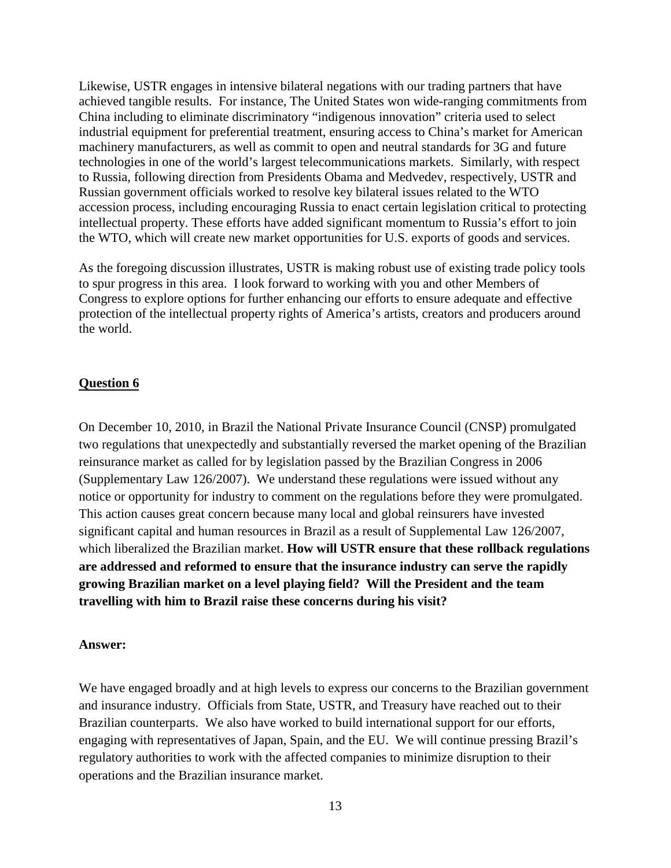Likewise, USTR engages in intensive bilateral negations with our trading partners that have achieved tangible results. For instance, The United States won wide-ranging commitments from China including to eliminate discriminatory "indigenous innovation" criteria used to select industrial equipment for preferential treatment, ensuring access to China's market for American machinery manufacturers, as well as commit to open and neutral standards for 3G and future technologies in one of the world's largest telecommunications markets. Similarly, with respect to Russia, following direction from Presidents Obama and Medvedev, respectively, USTR and Russian government officials worked to resolve key bilateral issues related to the WTO accession process, including encouraging Russia to enact certain legislation critical to protecting intellectual property. These efforts have added significant momentum to Russia's effort to join the WTO, which will create new market opportunities for U.S. exports of goods and services.

As the foregoing discussion illustrates, USTR is making robust use of existing trade policy tools to spur progress in this area. I look forward to working with you and other Members of Congress to explore options for further enhancing our efforts to ensure adequate and effective protection of the intellectual property rights of America's artists, creators and producers around the world.

### **Question 6**

On December 10, 2010, in Brazil the National Private Insurance Council (CNSP) promulgated two regulations that unexpectedly and substantially reversed the market opening of the Brazilian reinsurance market as called for by legislation passed by the Brazilian Congress in 2006 (Supplementary Law 126/2007). We understand these regulations were issued without any notice or opportunity for industry to comment on the regulations before they were promulgated. This action causes great concern because many local and global reinsurers have invested significant capital and human resources in Brazil as a result of Supplemental Law 126/2007, which liberalized the Brazilian market. **How will USTR ensure that these rollback regulations are addressed and reformed to ensure that the insurance industry can serve the rapidly growing Brazilian market on a level playing field? Will the President and the team travelling with him to Brazil raise these concerns during his visit?**

#### **Answer:**

We have engaged broadly and at high levels to express our concerns to the Brazilian government and insurance industry. Officials from State, USTR, and Treasury have reached out to their Brazilian counterparts. We also have worked to build international support for our efforts, engaging with representatives of Japan, Spain, and the EU. We will continue pressing Brazil's regulatory authorities to work with the affected companies to minimize disruption to their operations and the Brazilian insurance market.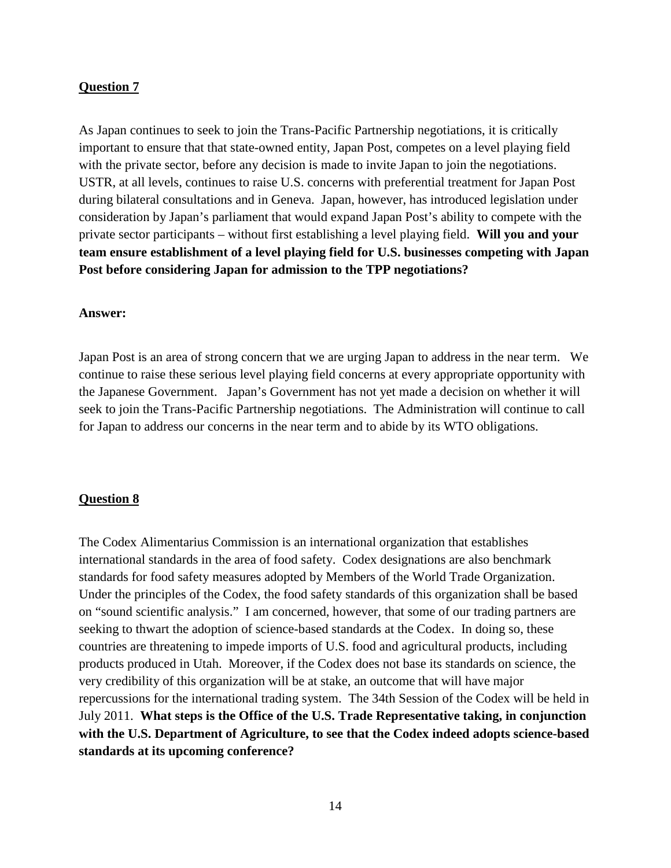### **Question 7**

As Japan continues to seek to join the Trans-Pacific Partnership negotiations, it is critically important to ensure that that state-owned entity, Japan Post, competes on a level playing field with the private sector, before any decision is made to invite Japan to join the negotiations. USTR, at all levels, continues to raise U.S. concerns with preferential treatment for Japan Post during bilateral consultations and in Geneva. Japan, however, has introduced legislation under consideration by Japan's parliament that would expand Japan Post's ability to compete with the private sector participants – without first establishing a level playing field. **Will you and your team ensure establishment of a level playing field for U.S. businesses competing with Japan Post before considering Japan for admission to the TPP negotiations?**

#### **Answer:**

Japan Post is an area of strong concern that we are urging Japan to address in the near term. We continue to raise these serious level playing field concerns at every appropriate opportunity with the Japanese Government. Japan's Government has not yet made a decision on whether it will seek to join the Trans-Pacific Partnership negotiations. The Administration will continue to call for Japan to address our concerns in the near term and to abide by its WTO obligations.

#### **Question 8**

The Codex Alimentarius Commission is an international organization that establishes international standards in the area of food safety. Codex designations are also benchmark standards for food safety measures adopted by Members of the World Trade Organization. Under the principles of the Codex, the food safety standards of this organization shall be based on "sound scientific analysis." I am concerned, however, that some of our trading partners are seeking to thwart the adoption of science-based standards at the Codex. In doing so, these countries are threatening to impede imports of U.S. food and agricultural products, including products produced in Utah. Moreover, if the Codex does not base its standards on science, the very credibility of this organization will be at stake, an outcome that will have major repercussions for the international trading system. The 34th Session of the Codex will be held in July 2011. **What steps is the Office of the U.S. Trade Representative taking, in conjunction with the U.S. Department of Agriculture, to see that the Codex indeed adopts science-based standards at its upcoming conference?**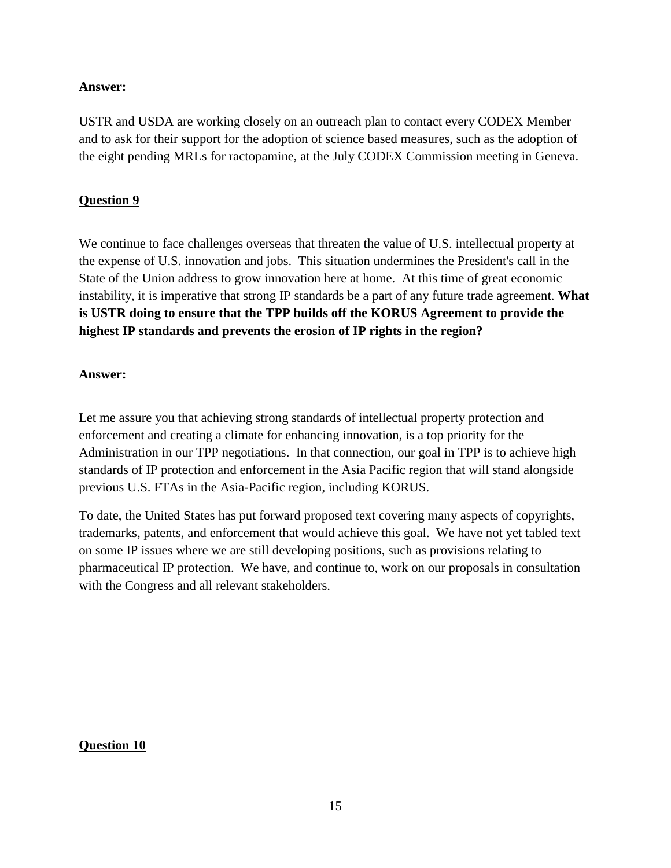### **Answer:**

USTR and USDA are working closely on an outreach plan to contact every CODEX Member and to ask for their support for the adoption of science based measures, such as the adoption of the eight pending MRLs for ractopamine, at the July CODEX Commission meeting in Geneva.

## **Question 9**

We continue to face challenges overseas that threaten the value of U.S. intellectual property at the expense of U.S. innovation and jobs. This situation undermines the President's call in the State of the Union address to grow innovation here at home. At this time of great economic instability, it is imperative that strong IP standards be a part of any future trade agreement. **What is USTR doing to ensure that the TPP builds off the KORUS Agreement to provide the highest IP standards and prevents the erosion of IP rights in the region?**

### **Answer:**

Let me assure you that achieving strong standards of intellectual property protection and enforcement and creating a climate for enhancing innovation, is a top priority for the Administration in our TPP negotiations. In that connection, our goal in TPP is to achieve high standards of IP protection and enforcement in the Asia Pacific region that will stand alongside previous U.S. FTAs in the Asia-Pacific region, including KORUS.

To date, the United States has put forward proposed text covering many aspects of copyrights, trademarks, patents, and enforcement that would achieve this goal. We have not yet tabled text on some IP issues where we are still developing positions, such as provisions relating to pharmaceutical IP protection. We have, and continue to, work on our proposals in consultation with the Congress and all relevant stakeholders.

## **Question 10**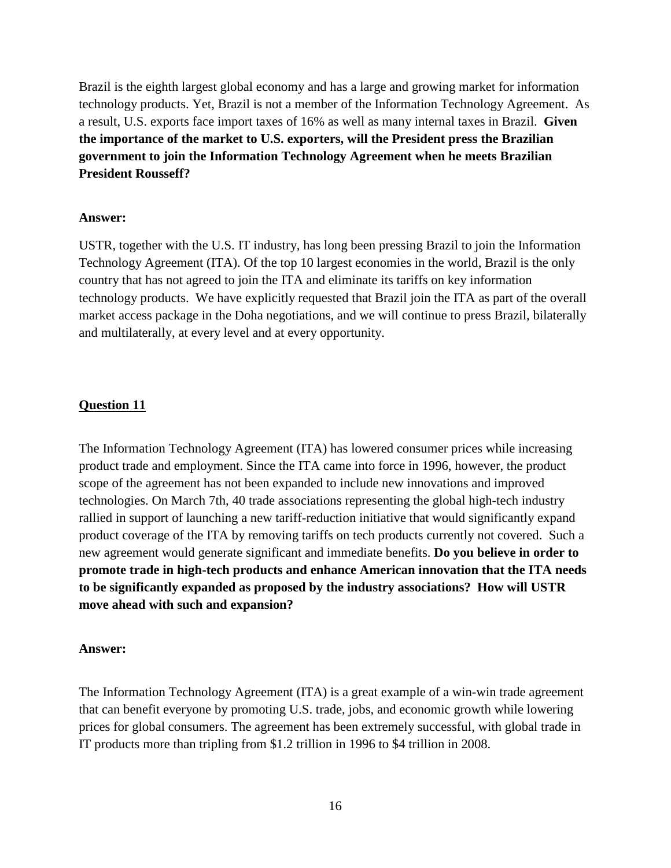Brazil is the eighth largest global economy and has a large and growing market for information technology products. Yet, Brazil is not a member of the Information Technology Agreement. As a result, U.S. exports face import taxes of 16% as well as many internal taxes in Brazil. **Given the importance of the market to U.S. exporters, will the President press the Brazilian government to join the Information Technology Agreement when he meets Brazilian President Rousseff?**

#### **Answer:**

USTR, together with the U.S. IT industry, has long been pressing Brazil to join the Information Technology Agreement (ITA). Of the top 10 largest economies in the world, Brazil is the only country that has not agreed to join the ITA and eliminate its tariffs on key information technology products. We have explicitly requested that Brazil join the ITA as part of the overall market access package in the Doha negotiations, and we will continue to press Brazil, bilaterally and multilaterally, at every level and at every opportunity.

#### **Question 11**

The Information Technology Agreement (ITA) has lowered consumer prices while increasing product trade and employment. Since the ITA came into force in 1996, however, the product scope of the agreement has not been expanded to include new innovations and improved technologies. On March 7th, 40 trade associations representing the global high-tech industry rallied in support of launching a new tariff-reduction initiative that would significantly expand product coverage of the ITA by removing tariffs on tech products currently not covered. Such a new agreement would generate significant and immediate benefits. **Do you believe in order to promote trade in high-tech products and enhance American innovation that the ITA needs to be significantly expanded as proposed by the industry associations? How will USTR move ahead with such and expansion?**

#### **Answer:**

The Information Technology Agreement (ITA) is a great example of a win-win trade agreement that can benefit everyone by promoting U.S. trade, jobs, and economic growth while lowering prices for global consumers. The agreement has been extremely successful, with global trade in IT products more than tripling from \$1.2 trillion in 1996 to \$4 trillion in 2008.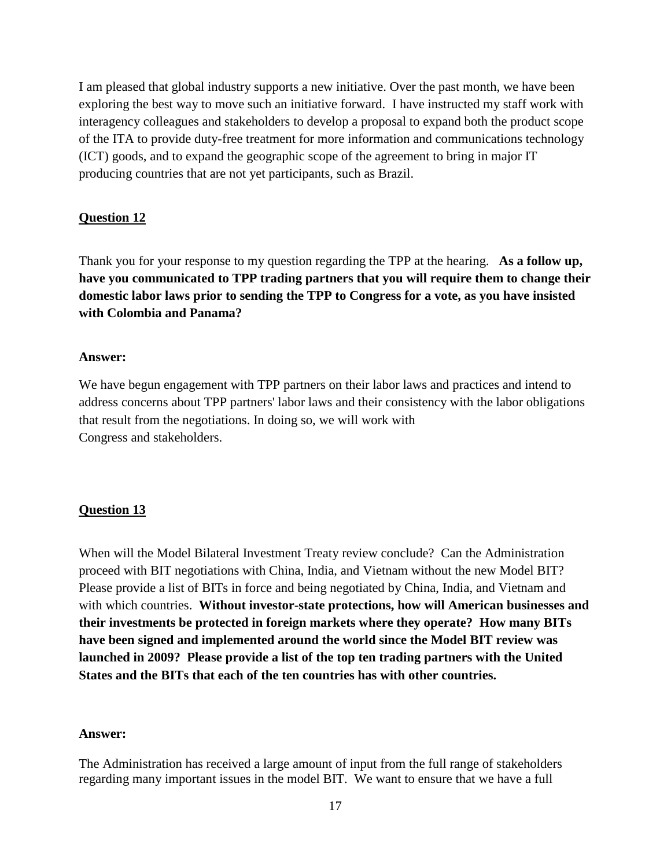I am pleased that global industry supports a new initiative. Over the past month, we have been exploring the best way to move such an initiative forward. I have instructed my staff work with interagency colleagues and stakeholders to develop a proposal to expand both the product scope of the ITA to provide duty-free treatment for more information and communications technology (ICT) goods, and to expand the geographic scope of the agreement to bring in major IT producing countries that are not yet participants, such as Brazil.

## **Question 12**

Thank you for your response to my question regarding the TPP at the hearing. **As a follow up, have you communicated to TPP trading partners that you will require them to change their domestic labor laws prior to sending the TPP to Congress for a vote, as you have insisted with Colombia and Panama?**

#### **Answer:**

We have begun engagement with TPP partners on their labor laws and practices and intend to address concerns about TPP partners' labor laws and their consistency with the labor obligations that result from the negotiations. In doing so, we will work with Congress and stakeholders.

## **Question 13**

When will the Model Bilateral Investment Treaty review conclude? Can the Administration proceed with BIT negotiations with China, India, and Vietnam without the new Model BIT? Please provide a list of BITs in force and being negotiated by China, India, and Vietnam and with which countries. **Without investor-state protections, how will American businesses and their investments be protected in foreign markets where they operate? How many BITs have been signed and implemented around the world since the Model BIT review was launched in 2009? Please provide a list of the top ten trading partners with the United States and the BITs that each of the ten countries has with other countries.**

#### **Answer:**

The Administration has received a large amount of input from the full range of stakeholders regarding many important issues in the model BIT. We want to ensure that we have a full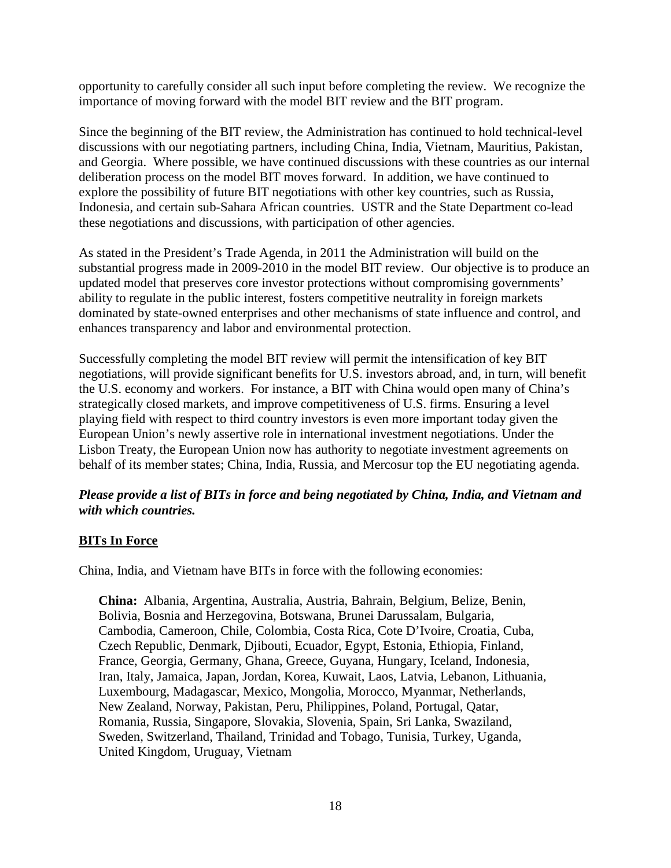opportunity to carefully consider all such input before completing the review. We recognize the importance of moving forward with the model BIT review and the BIT program.

Since the beginning of the BIT review, the Administration has continued to hold technical-level discussions with our negotiating partners, including China, India, Vietnam, Mauritius, Pakistan, and Georgia. Where possible, we have continued discussions with these countries as our internal deliberation process on the model BIT moves forward. In addition, we have continued to explore the possibility of future BIT negotiations with other key countries, such as Russia, Indonesia, and certain sub-Sahara African countries. USTR and the State Department co-lead these negotiations and discussions, with participation of other agencies.

As stated in the President's Trade Agenda, in 2011 the Administration will build on the substantial progress made in 2009-2010 in the model BIT review. Our objective is to produce an updated model that preserves core investor protections without compromising governments' ability to regulate in the public interest, fosters competitive neutrality in foreign markets dominated by state-owned enterprises and other mechanisms of state influence and control, and enhances transparency and labor and environmental protection.

Successfully completing the model BIT review will permit the intensification of key BIT negotiations, will provide significant benefits for U.S. investors abroad, and, in turn, will benefit the U.S. economy and workers. For instance, a BIT with China would open many of China's strategically closed markets, and improve competitiveness of U.S. firms. Ensuring a level playing field with respect to third country investors is even more important today given the European Union's newly assertive role in international investment negotiations. Under the Lisbon Treaty, the European Union now has authority to negotiate investment agreements on behalf of its member states; China, India, Russia, and Mercosur top the EU negotiating agenda.

## *Please provide a list of BITs in force and being negotiated by China, India, and Vietnam and with which countries.*

## **BITs In Force**

China, India, and Vietnam have BITs in force with the following economies:

**China:** Albania, Argentina, Australia, Austria, Bahrain, Belgium, Belize, Benin, Bolivia, Bosnia and Herzegovina, Botswana, Brunei Darussalam, Bulgaria, Cambodia, Cameroon, Chile, Colombia, Costa Rica, Cote D'Ivoire, Croatia, Cuba, Czech Republic, Denmark, Djibouti, Ecuador, Egypt, Estonia, Ethiopia, Finland, France, Georgia, Germany, Ghana, Greece, Guyana, Hungary, Iceland, Indonesia, Iran, Italy, Jamaica, Japan, Jordan, Korea, Kuwait, Laos, Latvia, Lebanon, Lithuania, Luxembourg, Madagascar, Mexico, Mongolia, Morocco, Myanmar, Netherlands, New Zealand, Norway, Pakistan, Peru, Philippines, Poland, Portugal, Qatar, Romania, Russia, Singapore, Slovakia, Slovenia, Spain, Sri Lanka, Swaziland, Sweden, Switzerland, Thailand, Trinidad and Tobago, Tunisia, Turkey, Uganda, United Kingdom, Uruguay, Vietnam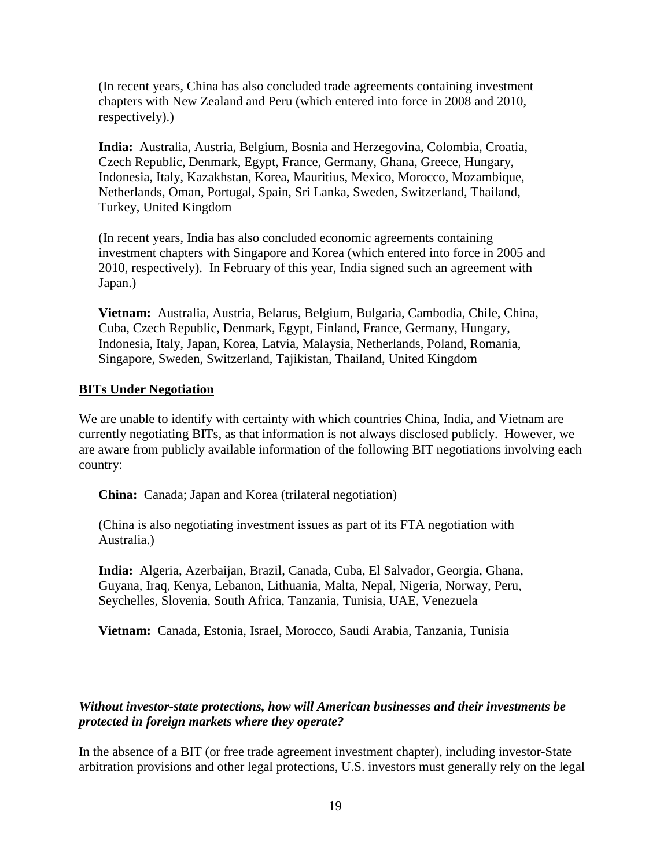(In recent years, China has also concluded trade agreements containing investment chapters with New Zealand and Peru (which entered into force in 2008 and 2010, respectively).)

**India:** Australia, Austria, Belgium, Bosnia and Herzegovina, Colombia, Croatia, Czech Republic, Denmark, Egypt, France, Germany, Ghana, Greece, Hungary, Indonesia, Italy, Kazakhstan, Korea, Mauritius, Mexico, Morocco, Mozambique, Netherlands, Oman, Portugal, Spain, Sri Lanka, Sweden, Switzerland, Thailand, Turkey, United Kingdom

(In recent years, India has also concluded economic agreements containing investment chapters with Singapore and Korea (which entered into force in 2005 and 2010, respectively). In February of this year, India signed such an agreement with Japan.)

**Vietnam:** Australia, Austria, Belarus, Belgium, Bulgaria, Cambodia, Chile, China, Cuba, Czech Republic, Denmark, Egypt, Finland, France, Germany, Hungary, Indonesia, Italy, Japan, Korea, Latvia, Malaysia, Netherlands, Poland, Romania, Singapore, Sweden, Switzerland, Tajikistan, Thailand, United Kingdom

## **BITs Under Negotiation**

We are unable to identify with certainty with which countries China, India, and Vietnam are currently negotiating BITs, as that information is not always disclosed publicly. However, we are aware from publicly available information of the following BIT negotiations involving each country:

**China:** Canada; Japan and Korea (trilateral negotiation)

(China is also negotiating investment issues as part of its FTA negotiation with Australia.)

**India:** Algeria, Azerbaijan, Brazil, Canada, Cuba, El Salvador, Georgia, Ghana, Guyana, Iraq, Kenya, Lebanon, Lithuania, Malta, Nepal, Nigeria, Norway, Peru, Seychelles, Slovenia, South Africa, Tanzania, Tunisia, UAE, Venezuela

**Vietnam:** Canada, Estonia, Israel, Morocco, Saudi Arabia, Tanzania, Tunisia

## *Without investor-state protections, how will American businesses and their investments be protected in foreign markets where they operate?*

In the absence of a BIT (or free trade agreement investment chapter), including investor-State arbitration provisions and other legal protections, U.S. investors must generally rely on the legal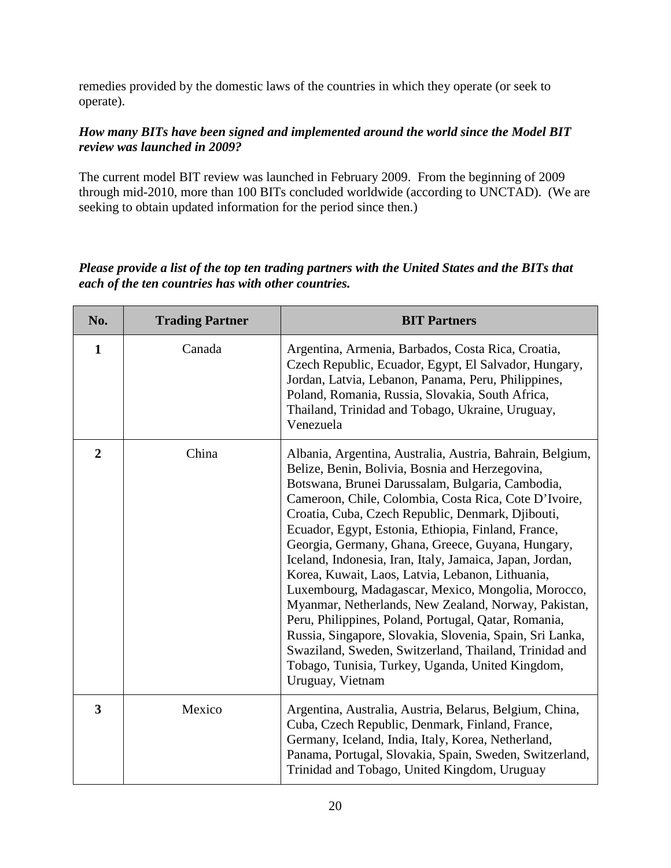remedies provided by the domestic laws of the countries in which they operate (or seek to operate).

## *How many BITs have been signed and implemented around the world since the Model BIT review was launched in 2009?*

The current model BIT review was launched in February 2009. From the beginning of 2009 through mid-2010, more than 100 BITs concluded worldwide (according to UNCTAD). (We are seeking to obtain updated information for the period since then.)

## *Please provide a list of the top ten trading partners with the United States and the BITs that each of the ten countries has with other countries.*

| No.            | <b>Trading Partner</b> | <b>BIT Partners</b>                                                                                                                                                                                                                                                                                                                                                                                                                                                                                                                                                                                                                                                                                                                                                                                                                                                            |
|----------------|------------------------|--------------------------------------------------------------------------------------------------------------------------------------------------------------------------------------------------------------------------------------------------------------------------------------------------------------------------------------------------------------------------------------------------------------------------------------------------------------------------------------------------------------------------------------------------------------------------------------------------------------------------------------------------------------------------------------------------------------------------------------------------------------------------------------------------------------------------------------------------------------------------------|
| $\mathbf{1}$   | Canada                 | Argentina, Armenia, Barbados, Costa Rica, Croatia,<br>Czech Republic, Ecuador, Egypt, El Salvador, Hungary,<br>Jordan, Latvia, Lebanon, Panama, Peru, Philippines,<br>Poland, Romania, Russia, Slovakia, South Africa,<br>Thailand, Trinidad and Tobago, Ukraine, Uruguay,<br>Venezuela                                                                                                                                                                                                                                                                                                                                                                                                                                                                                                                                                                                        |
| $\overline{2}$ | China                  | Albania, Argentina, Australia, Austria, Bahrain, Belgium,<br>Belize, Benin, Bolivia, Bosnia and Herzegovina,<br>Botswana, Brunei Darussalam, Bulgaria, Cambodia,<br>Cameroon, Chile, Colombia, Costa Rica, Cote D'Ivoire,<br>Croatia, Cuba, Czech Republic, Denmark, Djibouti,<br>Ecuador, Egypt, Estonia, Ethiopia, Finland, France,<br>Georgia, Germany, Ghana, Greece, Guyana, Hungary,<br>Iceland, Indonesia, Iran, Italy, Jamaica, Japan, Jordan,<br>Korea, Kuwait, Laos, Latvia, Lebanon, Lithuania,<br>Luxembourg, Madagascar, Mexico, Mongolia, Morocco,<br>Myanmar, Netherlands, New Zealand, Norway, Pakistan,<br>Peru, Philippines, Poland, Portugal, Qatar, Romania,<br>Russia, Singapore, Slovakia, Slovenia, Spain, Sri Lanka,<br>Swaziland, Sweden, Switzerland, Thailand, Trinidad and<br>Tobago, Tunisia, Turkey, Uganda, United Kingdom,<br>Uruguay, Vietnam |
| 3              | Mexico                 | Argentina, Australia, Austria, Belarus, Belgium, China,<br>Cuba, Czech Republic, Denmark, Finland, France,<br>Germany, Iceland, India, Italy, Korea, Netherland,<br>Panama, Portugal, Slovakia, Spain, Sweden, Switzerland,<br>Trinidad and Tobago, United Kingdom, Uruguay                                                                                                                                                                                                                                                                                                                                                                                                                                                                                                                                                                                                    |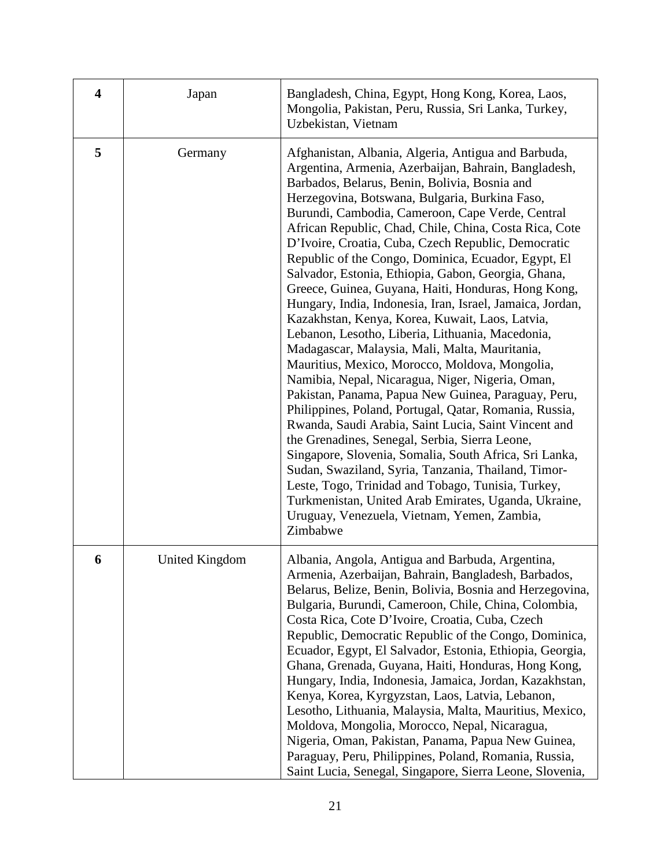| $\overline{\mathbf{4}}$ | Japan                 | Bangladesh, China, Egypt, Hong Kong, Korea, Laos,<br>Mongolia, Pakistan, Peru, Russia, Sri Lanka, Turkey,<br>Uzbekistan, Vietnam                                                                                                                                                                                                                                                                                                                                                                                                                                                                                                                                                                                                                                                                                                                                                                                                                                                                                                                                                                                                                                                                                                                                                                                                                                                                          |
|-------------------------|-----------------------|-----------------------------------------------------------------------------------------------------------------------------------------------------------------------------------------------------------------------------------------------------------------------------------------------------------------------------------------------------------------------------------------------------------------------------------------------------------------------------------------------------------------------------------------------------------------------------------------------------------------------------------------------------------------------------------------------------------------------------------------------------------------------------------------------------------------------------------------------------------------------------------------------------------------------------------------------------------------------------------------------------------------------------------------------------------------------------------------------------------------------------------------------------------------------------------------------------------------------------------------------------------------------------------------------------------------------------------------------------------------------------------------------------------|
| 5                       | Germany               | Afghanistan, Albania, Algeria, Antigua and Barbuda,<br>Argentina, Armenia, Azerbaijan, Bahrain, Bangladesh,<br>Barbados, Belarus, Benin, Bolivia, Bosnia and<br>Herzegovina, Botswana, Bulgaria, Burkina Faso,<br>Burundi, Cambodia, Cameroon, Cape Verde, Central<br>African Republic, Chad, Chile, China, Costa Rica, Cote<br>D'Ivoire, Croatia, Cuba, Czech Republic, Democratic<br>Republic of the Congo, Dominica, Ecuador, Egypt, El<br>Salvador, Estonia, Ethiopia, Gabon, Georgia, Ghana,<br>Greece, Guinea, Guyana, Haiti, Honduras, Hong Kong,<br>Hungary, India, Indonesia, Iran, Israel, Jamaica, Jordan,<br>Kazakhstan, Kenya, Korea, Kuwait, Laos, Latvia,<br>Lebanon, Lesotho, Liberia, Lithuania, Macedonia,<br>Madagascar, Malaysia, Mali, Malta, Mauritania,<br>Mauritius, Mexico, Morocco, Moldova, Mongolia,<br>Namibia, Nepal, Nicaragua, Niger, Nigeria, Oman,<br>Pakistan, Panama, Papua New Guinea, Paraguay, Peru,<br>Philippines, Poland, Portugal, Qatar, Romania, Russia,<br>Rwanda, Saudi Arabia, Saint Lucia, Saint Vincent and<br>the Grenadines, Senegal, Serbia, Sierra Leone,<br>Singapore, Slovenia, Somalia, South Africa, Sri Lanka,<br>Sudan, Swaziland, Syria, Tanzania, Thailand, Timor-<br>Leste, Togo, Trinidad and Tobago, Tunisia, Turkey,<br>Turkmenistan, United Arab Emirates, Uganda, Ukraine,<br>Uruguay, Venezuela, Vietnam, Yemen, Zambia,<br>Zimbabwe |
| 6                       | <b>United Kingdom</b> | Albania, Angola, Antigua and Barbuda, Argentina,<br>Armenia, Azerbaijan, Bahrain, Bangladesh, Barbados,<br>Belarus, Belize, Benin, Bolivia, Bosnia and Herzegovina,<br>Bulgaria, Burundi, Cameroon, Chile, China, Colombia,<br>Costa Rica, Cote D'Ivoire, Croatia, Cuba, Czech<br>Republic, Democratic Republic of the Congo, Dominica,<br>Ecuador, Egypt, El Salvador, Estonia, Ethiopia, Georgia,<br>Ghana, Grenada, Guyana, Haiti, Honduras, Hong Kong,<br>Hungary, India, Indonesia, Jamaica, Jordan, Kazakhstan,<br>Kenya, Korea, Kyrgyzstan, Laos, Latvia, Lebanon,<br>Lesotho, Lithuania, Malaysia, Malta, Mauritius, Mexico,<br>Moldova, Mongolia, Morocco, Nepal, Nicaragua,<br>Nigeria, Oman, Pakistan, Panama, Papua New Guinea,<br>Paraguay, Peru, Philippines, Poland, Romania, Russia,<br>Saint Lucia, Senegal, Singapore, Sierra Leone, Slovenia,                                                                                                                                                                                                                                                                                                                                                                                                                                                                                                                                          |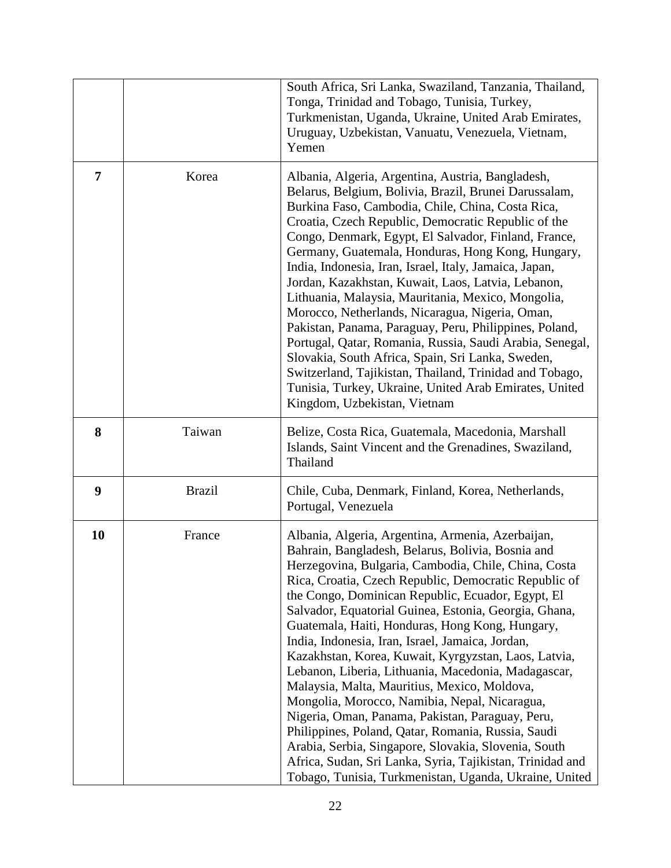|                |               | South Africa, Sri Lanka, Swaziland, Tanzania, Thailand,<br>Tonga, Trinidad and Tobago, Tunisia, Turkey,<br>Turkmenistan, Uganda, Ukraine, United Arab Emirates,<br>Uruguay, Uzbekistan, Vanuatu, Venezuela, Vietnam,<br>Yemen                                                                                                                                                                                                                                                                                                                                                                                                                                                                                                                                                                                                                                                                                                                         |
|----------------|---------------|-------------------------------------------------------------------------------------------------------------------------------------------------------------------------------------------------------------------------------------------------------------------------------------------------------------------------------------------------------------------------------------------------------------------------------------------------------------------------------------------------------------------------------------------------------------------------------------------------------------------------------------------------------------------------------------------------------------------------------------------------------------------------------------------------------------------------------------------------------------------------------------------------------------------------------------------------------|
| $\overline{7}$ | Korea         | Albania, Algeria, Argentina, Austria, Bangladesh,<br>Belarus, Belgium, Bolivia, Brazil, Brunei Darussalam,<br>Burkina Faso, Cambodia, Chile, China, Costa Rica,<br>Croatia, Czech Republic, Democratic Republic of the<br>Congo, Denmark, Egypt, El Salvador, Finland, France,<br>Germany, Guatemala, Honduras, Hong Kong, Hungary,<br>India, Indonesia, Iran, Israel, Italy, Jamaica, Japan,<br>Jordan, Kazakhstan, Kuwait, Laos, Latvia, Lebanon,<br>Lithuania, Malaysia, Mauritania, Mexico, Mongolia,<br>Morocco, Netherlands, Nicaragua, Nigeria, Oman,<br>Pakistan, Panama, Paraguay, Peru, Philippines, Poland,<br>Portugal, Qatar, Romania, Russia, Saudi Arabia, Senegal,<br>Slovakia, South Africa, Spain, Sri Lanka, Sweden,<br>Switzerland, Tajikistan, Thailand, Trinidad and Tobago,<br>Tunisia, Turkey, Ukraine, United Arab Emirates, United<br>Kingdom, Uzbekistan, Vietnam                                                          |
| 8              | Taiwan        | Belize, Costa Rica, Guatemala, Macedonia, Marshall<br>Islands, Saint Vincent and the Grenadines, Swaziland,<br>Thailand                                                                                                                                                                                                                                                                                                                                                                                                                                                                                                                                                                                                                                                                                                                                                                                                                               |
| 9              | <b>Brazil</b> | Chile, Cuba, Denmark, Finland, Korea, Netherlands,<br>Portugal, Venezuela                                                                                                                                                                                                                                                                                                                                                                                                                                                                                                                                                                                                                                                                                                                                                                                                                                                                             |
| 10             | France        | Albania, Algeria, Argentina, Armenia, Azerbaijan,<br>Bahrain, Bangladesh, Belarus, Bolivia, Bosnia and<br>Herzegovina, Bulgaria, Cambodia, Chile, China, Costa<br>Rica, Croatia, Czech Republic, Democratic Republic of<br>the Congo, Dominican Republic, Ecuador, Egypt, El<br>Salvador, Equatorial Guinea, Estonia, Georgia, Ghana,<br>Guatemala, Haiti, Honduras, Hong Kong, Hungary,<br>India, Indonesia, Iran, Israel, Jamaica, Jordan,<br>Kazakhstan, Korea, Kuwait, Kyrgyzstan, Laos, Latvia,<br>Lebanon, Liberia, Lithuania, Macedonia, Madagascar,<br>Malaysia, Malta, Mauritius, Mexico, Moldova,<br>Mongolia, Morocco, Namibia, Nepal, Nicaragua,<br>Nigeria, Oman, Panama, Pakistan, Paraguay, Peru,<br>Philippines, Poland, Qatar, Romania, Russia, Saudi<br>Arabia, Serbia, Singapore, Slovakia, Slovenia, South<br>Africa, Sudan, Sri Lanka, Syria, Tajikistan, Trinidad and<br>Tobago, Tunisia, Turkmenistan, Uganda, Ukraine, United |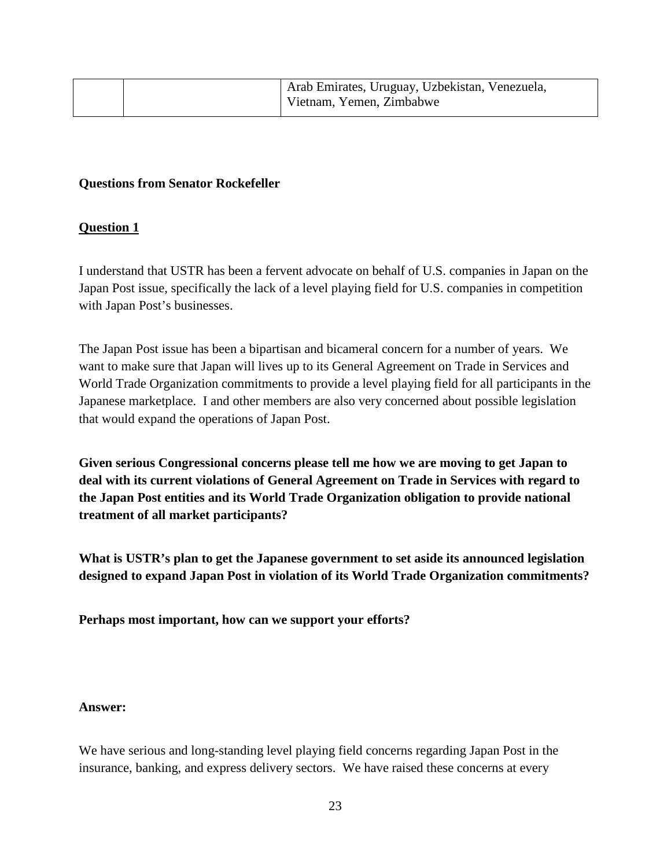|  | Arab Emirates, Uruguay, Uzbekistan, Venezuela,<br>Vietnam, Yemen, Zimbabwe |
|--|----------------------------------------------------------------------------|
|  |                                                                            |

## **Questions from Senator Rockefeller**

## **Question 1**

I understand that USTR has been a fervent advocate on behalf of U.S. companies in Japan on the Japan Post issue, specifically the lack of a level playing field for U.S. companies in competition with Japan Post's businesses.

The Japan Post issue has been a bipartisan and bicameral concern for a number of years. We want to make sure that Japan will lives up to its General Agreement on Trade in Services and World Trade Organization commitments to provide a level playing field for all participants in the Japanese marketplace. I and other members are also very concerned about possible legislation that would expand the operations of Japan Post.

**Given serious Congressional concerns please tell me how we are moving to get Japan to deal with its current violations of General Agreement on Trade in Services with regard to the Japan Post entities and its World Trade Organization obligation to provide national treatment of all market participants?**

**What is USTR's plan to get the Japanese government to set aside its announced legislation designed to expand Japan Post in violation of its World Trade Organization commitments?**

**Perhaps most important, how can we support your efforts?**

## **Answer:**

We have serious and long-standing level playing field concerns regarding Japan Post in the insurance, banking, and express delivery sectors. We have raised these concerns at every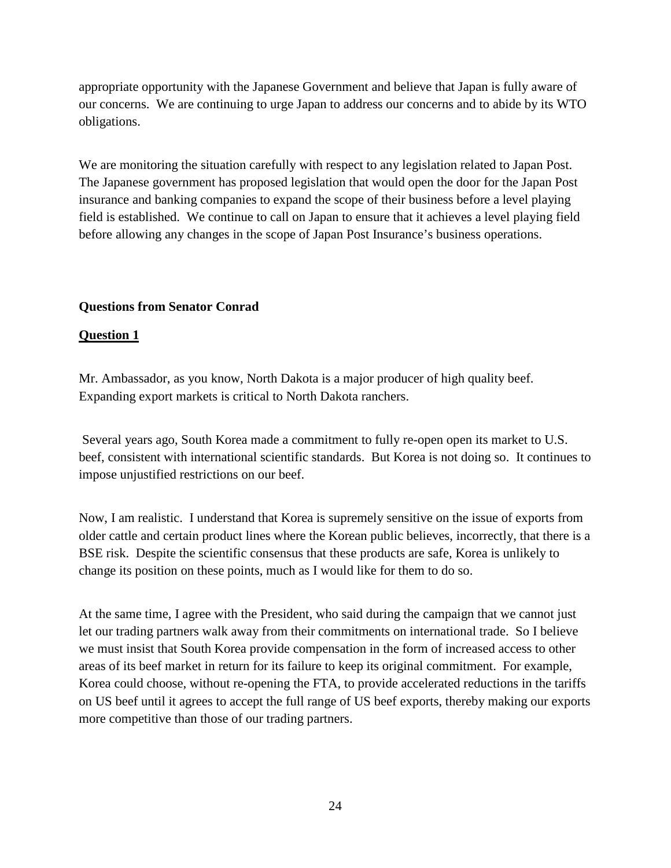appropriate opportunity with the Japanese Government and believe that Japan is fully aware of our concerns. We are continuing to urge Japan to address our concerns and to abide by its WTO obligations.

We are monitoring the situation carefully with respect to any legislation related to Japan Post. The Japanese government has proposed legislation that would open the door for the Japan Post insurance and banking companies to expand the scope of their business before a level playing field is established. We continue to call on Japan to ensure that it achieves a level playing field before allowing any changes in the scope of Japan Post Insurance's business operations.

## **Questions from Senator Conrad**

## **Question 1**

Mr. Ambassador, as you know, North Dakota is a major producer of high quality beef. Expanding export markets is critical to North Dakota ranchers.

Several years ago, South Korea made a commitment to fully re-open open its market to U.S. beef, consistent with international scientific standards. But Korea is not doing so. It continues to impose unjustified restrictions on our beef.

Now, I am realistic. I understand that Korea is supremely sensitive on the issue of exports from older cattle and certain product lines where the Korean public believes, incorrectly, that there is a BSE risk. Despite the scientific consensus that these products are safe, Korea is unlikely to change its position on these points, much as I would like for them to do so.

At the same time, I agree with the President, who said during the campaign that we cannot just let our trading partners walk away from their commitments on international trade. So I believe we must insist that South Korea provide compensation in the form of increased access to other areas of its beef market in return for its failure to keep its original commitment. For example, Korea could choose, without re-opening the FTA, to provide accelerated reductions in the tariffs on US beef until it agrees to accept the full range of US beef exports, thereby making our exports more competitive than those of our trading partners.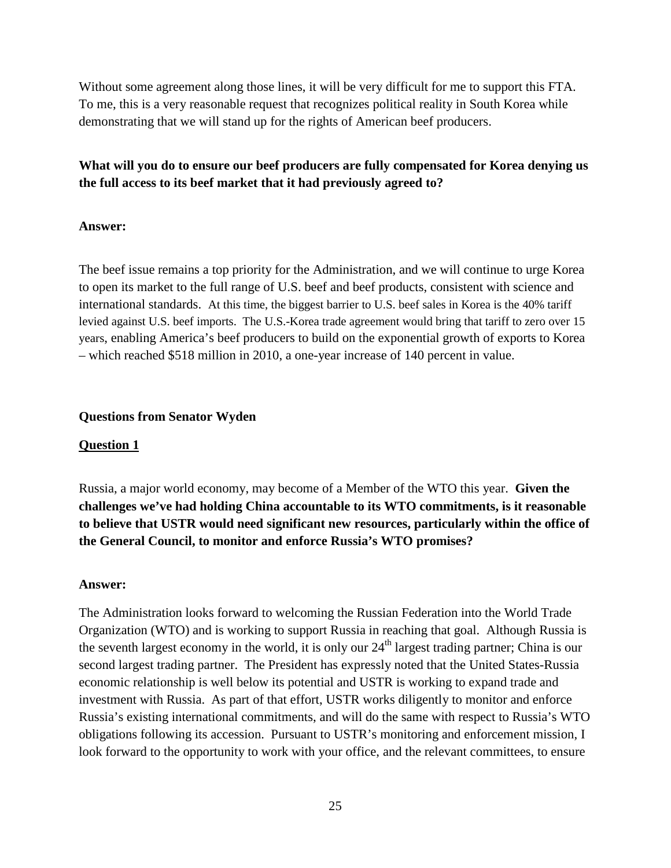Without some agreement along those lines, it will be very difficult for me to support this FTA. To me, this is a very reasonable request that recognizes political reality in South Korea while demonstrating that we will stand up for the rights of American beef producers.

# **What will you do to ensure our beef producers are fully compensated for Korea denying us the full access to its beef market that it had previously agreed to?**

### **Answer:**

The beef issue remains a top priority for the Administration, and we will continue to urge Korea to open its market to the full range of U.S. beef and beef products, consistent with science and international standards. At this time, the biggest barrier to U.S. beef sales in Korea is the 40% tariff levied against U.S. beef imports. The U.S.-Korea trade agreement would bring that tariff to zero over 15 years, enabling America's beef producers to build on the exponential growth of exports to Korea – which reached \$518 million in 2010, a one-year increase of 140 percent in value.

### **Questions from Senator Wyden**

#### **Question 1**

Russia, a major world economy, may become of a Member of the WTO this year. **Given the challenges we've had holding China accountable to its WTO commitments, is it reasonable to believe that USTR would need significant new resources, particularly within the office of the General Council, to monitor and enforce Russia's WTO promises?**

#### **Answer:**

The Administration looks forward to welcoming the Russian Federation into the World Trade Organization (WTO) and is working to support Russia in reaching that goal. Although Russia is the seventh largest economy in the world, it is only our  $24<sup>th</sup>$  largest trading partner; China is our second largest trading partner. The President has expressly noted that the United States-Russia economic relationship is well below its potential and USTR is working to expand trade and investment with Russia. As part of that effort, USTR works diligently to monitor and enforce Russia's existing international commitments, and will do the same with respect to Russia's WTO obligations following its accession. Pursuant to USTR's monitoring and enforcement mission, I look forward to the opportunity to work with your office, and the relevant committees, to ensure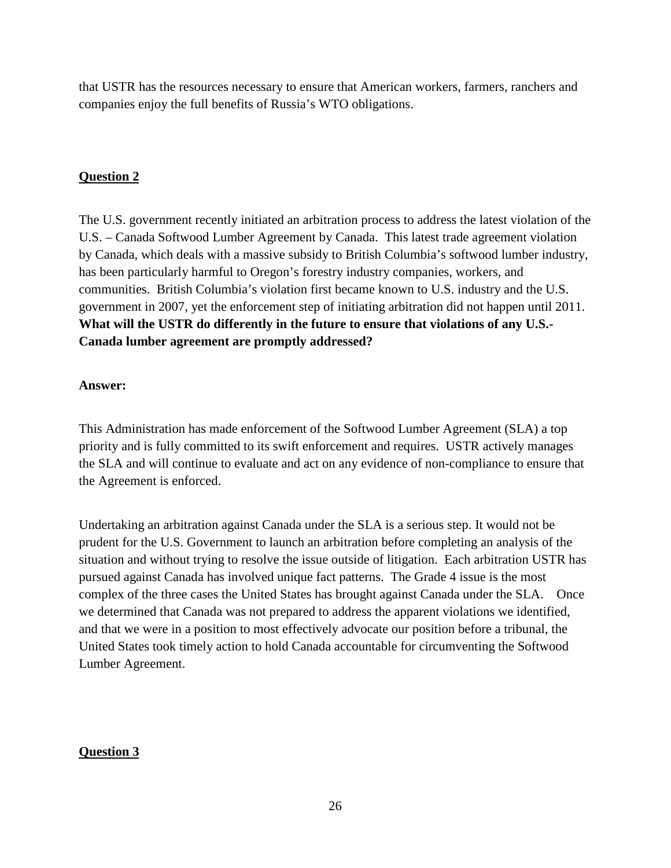that USTR has the resources necessary to ensure that American workers, farmers, ranchers and companies enjoy the full benefits of Russia's WTO obligations.

# **Question 2**

The U.S. government recently initiated an arbitration process to address the latest violation of the U.S. – Canada Softwood Lumber Agreement by Canada. This latest trade agreement violation by Canada, which deals with a massive subsidy to British Columbia's softwood lumber industry, has been particularly harmful to Oregon's forestry industry companies, workers, and communities. British Columbia's violation first became known to U.S. industry and the U.S. government in 2007, yet the enforcement step of initiating arbitration did not happen until 2011. **What will the USTR do differently in the future to ensure that violations of any U.S.- Canada lumber agreement are promptly addressed?**

## **Answer:**

This Administration has made enforcement of the Softwood Lumber Agreement (SLA) a top priority and is fully committed to its swift enforcement and requires. USTR actively manages the SLA and will continue to evaluate and act on any evidence of non-compliance to ensure that the Agreement is enforced.

Undertaking an arbitration against Canada under the SLA is a serious step. It would not be prudent for the U.S. Government to launch an arbitration before completing an analysis of the situation and without trying to resolve the issue outside of litigation. Each arbitration USTR has pursued against Canada has involved unique fact patterns. The Grade 4 issue is the most complex of the three cases the United States has brought against Canada under the SLA. Once we determined that Canada was not prepared to address the apparent violations we identified, and that we were in a position to most effectively advocate our position before a tribunal, the United States took timely action to hold Canada accountable for circumventing the Softwood Lumber Agreement.

## **Question 3**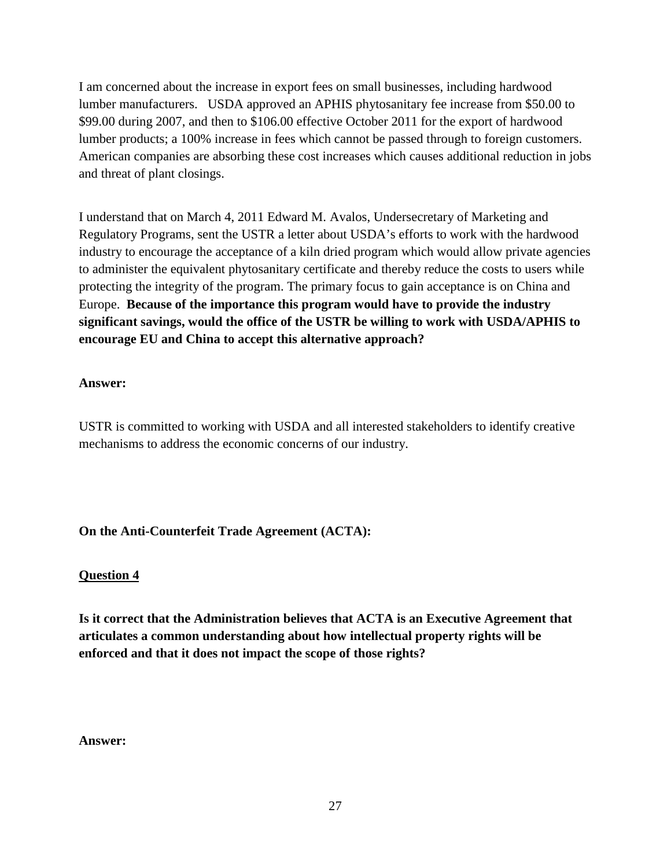I am concerned about the increase in export fees on small businesses, including hardwood lumber manufacturers. USDA approved an APHIS phytosanitary fee increase from \$50.00 to \$99.00 during 2007, and then to \$106.00 effective October 2011 for the export of hardwood lumber products; a 100% increase in fees which cannot be passed through to foreign customers. American companies are absorbing these cost increases which causes additional reduction in jobs and threat of plant closings.

I understand that on March 4, 2011 Edward M. Avalos, Undersecretary of Marketing and Regulatory Programs, sent the USTR a letter about USDA's efforts to work with the hardwood industry to encourage the acceptance of a kiln dried program which would allow private agencies to administer the equivalent phytosanitary certificate and thereby reduce the costs to users while protecting the integrity of the program. The primary focus to gain acceptance is on China and Europe. **Because of the importance this program would have to provide the industry significant savings, would the office of the USTR be willing to work with USDA/APHIS to encourage EU and China to accept this alternative approach?**

## **Answer:**

USTR is committed to working with USDA and all interested stakeholders to identify creative mechanisms to address the economic concerns of our industry.

## **On the Anti-Counterfeit Trade Agreement (ACTA):**

## **Question 4**

**Is it correct that the Administration believes that ACTA is an Executive Agreement that articulates a common understanding about how intellectual property rights will be enforced and that it does not impact the scope of those rights?** 

## **Answer:**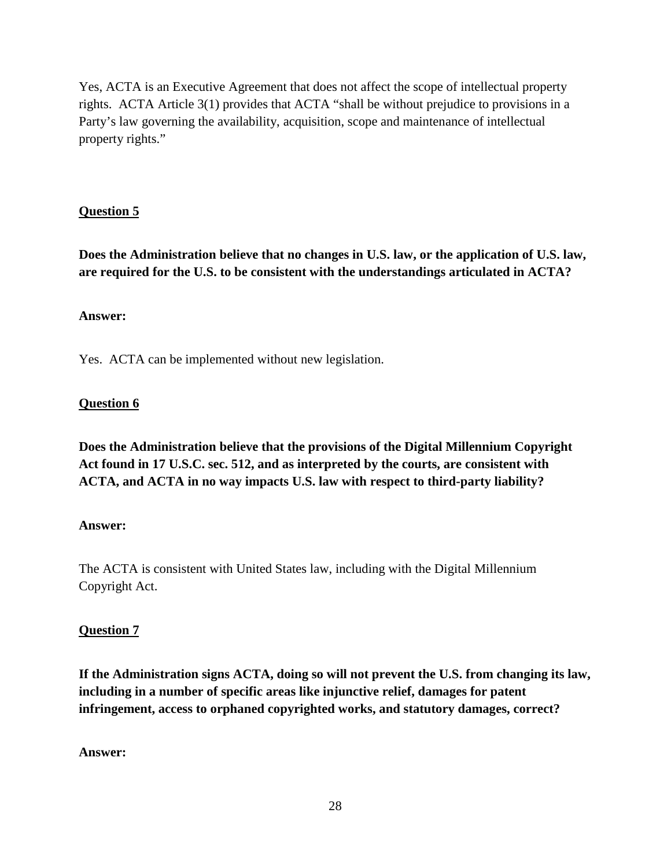Yes, ACTA is an Executive Agreement that does not affect the scope of intellectual property rights. ACTA Article 3(1) provides that ACTA "shall be without prejudice to provisions in a Party's law governing the availability, acquisition, scope and maintenance of intellectual property rights."

# **Question 5**

**Does the Administration believe that no changes in U.S. law, or the application of U.S. law, are required for the U.S. to be consistent with the understandings articulated in ACTA?** 

## **Answer:**

Yes. ACTA can be implemented without new legislation.

## **Question 6**

**Does the Administration believe that the provisions of the Digital Millennium Copyright Act found in 17 U.S.C. sec. 512, and as interpreted by the courts, are consistent with ACTA, and ACTA in no way impacts U.S. law with respect to third-party liability?** 

## **Answer:**

The ACTA is consistent with United States law, including with the Digital Millennium Copyright Act.

## **Question 7**

**If the Administration signs ACTA, doing so will not prevent the U.S. from changing its law, including in a number of specific areas like injunctive relief, damages for patent infringement, access to orphaned copyrighted works, and statutory damages, correct?** 

## **Answer:**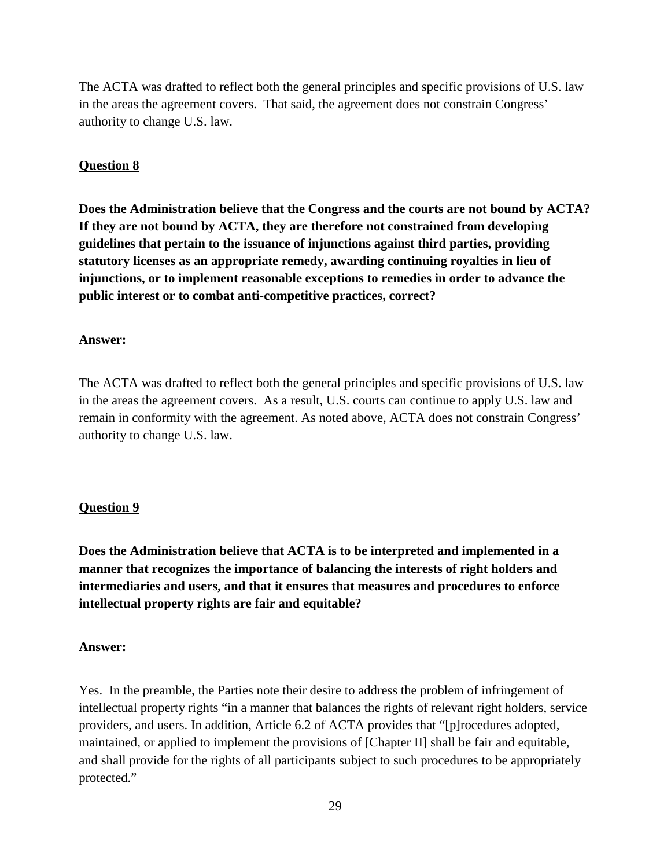The ACTA was drafted to reflect both the general principles and specific provisions of U.S. law in the areas the agreement covers. That said, the agreement does not constrain Congress' authority to change U.S. law.

## **Question 8**

**Does the Administration believe that the Congress and the courts are not bound by ACTA? If they are not bound by ACTA, they are therefore not constrained from developing guidelines that pertain to the issuance of injunctions against third parties, providing statutory licenses as an appropriate remedy, awarding continuing royalties in lieu of injunctions, or to implement reasonable exceptions to remedies in order to advance the public interest or to combat anti-competitive practices, correct?** 

## **Answer:**

The ACTA was drafted to reflect both the general principles and specific provisions of U.S. law in the areas the agreement covers. As a result, U.S. courts can continue to apply U.S. law and remain in conformity with the agreement. As noted above, ACTA does not constrain Congress' authority to change U.S. law.

## **Question 9**

**Does the Administration believe that ACTA is to be interpreted and implemented in a manner that recognizes the importance of balancing the interests of right holders and intermediaries and users, and that it ensures that measures and procedures to enforce intellectual property rights are fair and equitable?** 

## **Answer:**

Yes. In the preamble, the Parties note their desire to address the problem of infringement of intellectual property rights "in a manner that balances the rights of relevant right holders, service providers, and users. In addition, Article 6.2 of ACTA provides that "[p]rocedures adopted, maintained, or applied to implement the provisions of [Chapter II] shall be fair and equitable, and shall provide for the rights of all participants subject to such procedures to be appropriately protected."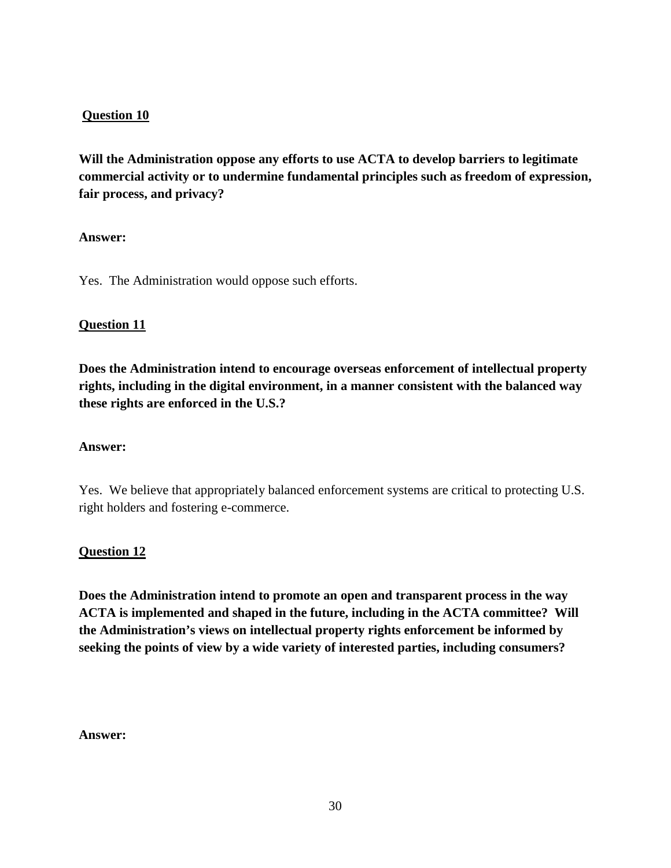## **Question 10**

**Will the Administration oppose any efforts to use ACTA to develop barriers to legitimate commercial activity or to undermine fundamental principles such as freedom of expression, fair process, and privacy?** 

## **Answer:**

Yes. The Administration would oppose such efforts.

## **Question 11**

**Does the Administration intend to encourage overseas enforcement of intellectual property rights, including in the digital environment, in a manner consistent with the balanced way these rights are enforced in the U.S.?** 

## **Answer:**

Yes. We believe that appropriately balanced enforcement systems are critical to protecting U.S. right holders and fostering e-commerce.

## **Question 12**

**Does the Administration intend to promote an open and transparent process in the way ACTA is implemented and shaped in the future, including in the ACTA committee? Will the Administration's views on intellectual property rights enforcement be informed by seeking the points of view by a wide variety of interested parties, including consumers?** 

#### **Answer:**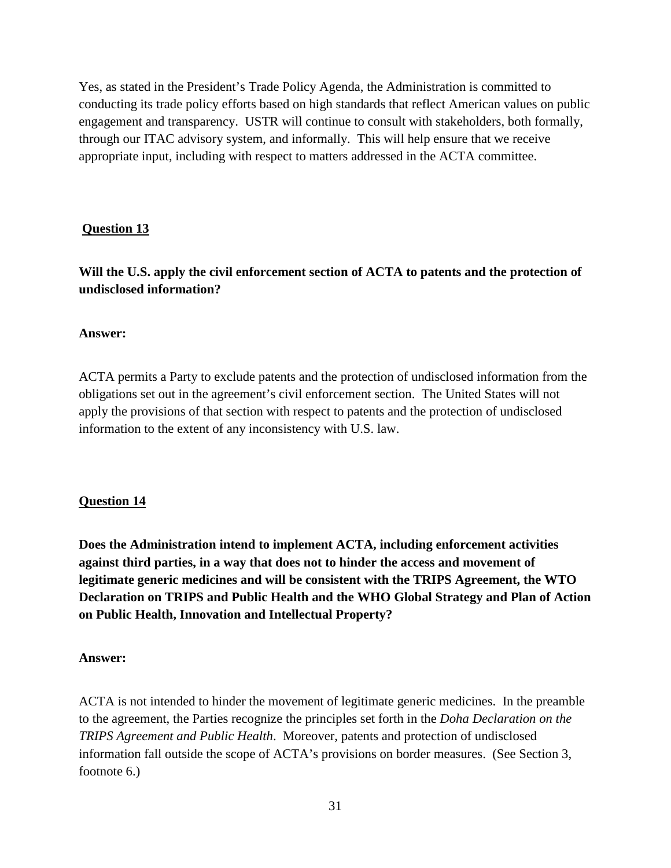Yes, as stated in the President's Trade Policy Agenda, the Administration is committed to conducting its trade policy efforts based on high standards that reflect American values on public engagement and transparency. USTR will continue to consult with stakeholders, both formally, through our ITAC advisory system, and informally. This will help ensure that we receive appropriate input, including with respect to matters addressed in the ACTA committee.

## **Question 13**

**Will the U.S. apply the civil enforcement section of ACTA to patents and the protection of undisclosed information?** 

### **Answer:**

ACTA permits a Party to exclude patents and the protection of undisclosed information from the obligations set out in the agreement's civil enforcement section. The United States will not apply the provisions of that section with respect to patents and the protection of undisclosed information to the extent of any inconsistency with U.S. law.

## **Question 14**

**Does the Administration intend to implement ACTA, including enforcement activities against third parties, in a way that does not to hinder the access and movement of legitimate generic medicines and will be consistent with the TRIPS Agreement, the WTO Declaration on TRIPS and Public Health and the WHO Global Strategy and Plan of Action on Public Health, Innovation and Intellectual Property?** 

#### **Answer:**

ACTA is not intended to hinder the movement of legitimate generic medicines. In the preamble to the agreement, the Parties recognize the principles set forth in the *Doha Declaration on the TRIPS Agreement and Public Health*. Moreover, patents and protection of undisclosed information fall outside the scope of ACTA's provisions on border measures. (See Section 3, footnote 6.)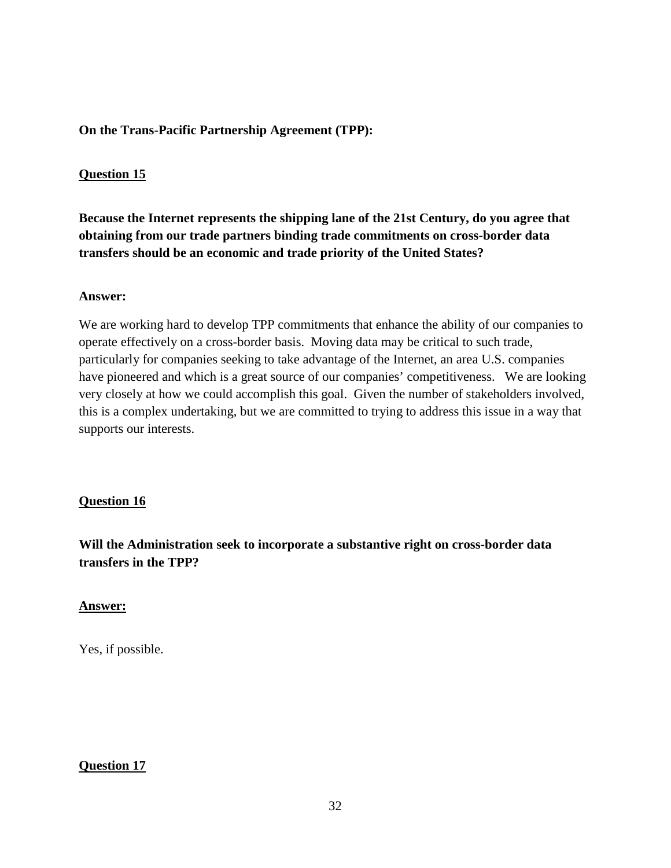## **On the Trans-Pacific Partnership Agreement (TPP):**

## **Question 15**

**Because the Internet represents the shipping lane of the 21st Century, do you agree that obtaining from our trade partners binding trade commitments on cross-border data transfers should be an economic and trade priority of the United States?** 

### **Answer:**

We are working hard to develop TPP commitments that enhance the ability of our companies to operate effectively on a cross-border basis. Moving data may be critical to such trade, particularly for companies seeking to take advantage of the Internet, an area U.S. companies have pioneered and which is a great source of our companies' competitiveness. We are looking very closely at how we could accomplish this goal. Given the number of stakeholders involved, this is a complex undertaking, but we are committed to trying to address this issue in a way that supports our interests.

## **Question 16**

**Will the Administration seek to incorporate a substantive right on cross-border data transfers in the TPP?**

## **Answer:**

Yes, if possible.

## **Question 17**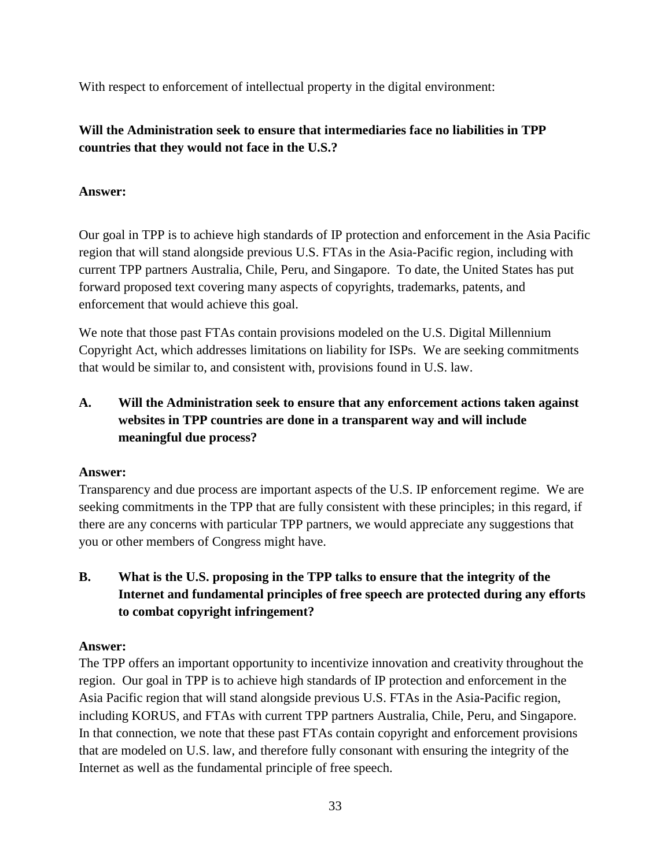With respect to enforcement of intellectual property in the digital environment:

# **Will the Administration seek to ensure that intermediaries face no liabilities in TPP countries that they would not face in the U.S.?**

# **Answer:**

Our goal in TPP is to achieve high standards of IP protection and enforcement in the Asia Pacific region that will stand alongside previous U.S. FTAs in the Asia-Pacific region, including with current TPP partners Australia, Chile, Peru, and Singapore. To date, the United States has put forward proposed text covering many aspects of copyrights, trademarks, patents, and enforcement that would achieve this goal.

We note that those past FTAs contain provisions modeled on the U.S. Digital Millennium Copyright Act, which addresses limitations on liability for ISPs. We are seeking commitments that would be similar to, and consistent with, provisions found in U.S. law.

# **A. Will the Administration seek to ensure that any enforcement actions taken against websites in TPP countries are done in a transparent way and will include meaningful due process?**

# **Answer:**

Transparency and due process are important aspects of the U.S. IP enforcement regime. We are seeking commitments in the TPP that are fully consistent with these principles; in this regard, if there are any concerns with particular TPP partners, we would appreciate any suggestions that you or other members of Congress might have.

# **B. What is the U.S. proposing in the TPP talks to ensure that the integrity of the Internet and fundamental principles of free speech are protected during any efforts to combat copyright infringement?**

# **Answer:**

The TPP offers an important opportunity to incentivize innovation and creativity throughout the region. Our goal in TPP is to achieve high standards of IP protection and enforcement in the Asia Pacific region that will stand alongside previous U.S. FTAs in the Asia-Pacific region, including KORUS, and FTAs with current TPP partners Australia, Chile, Peru, and Singapore. In that connection, we note that these past FTAs contain copyright and enforcement provisions that are modeled on U.S. law, and therefore fully consonant with ensuring the integrity of the Internet as well as the fundamental principle of free speech.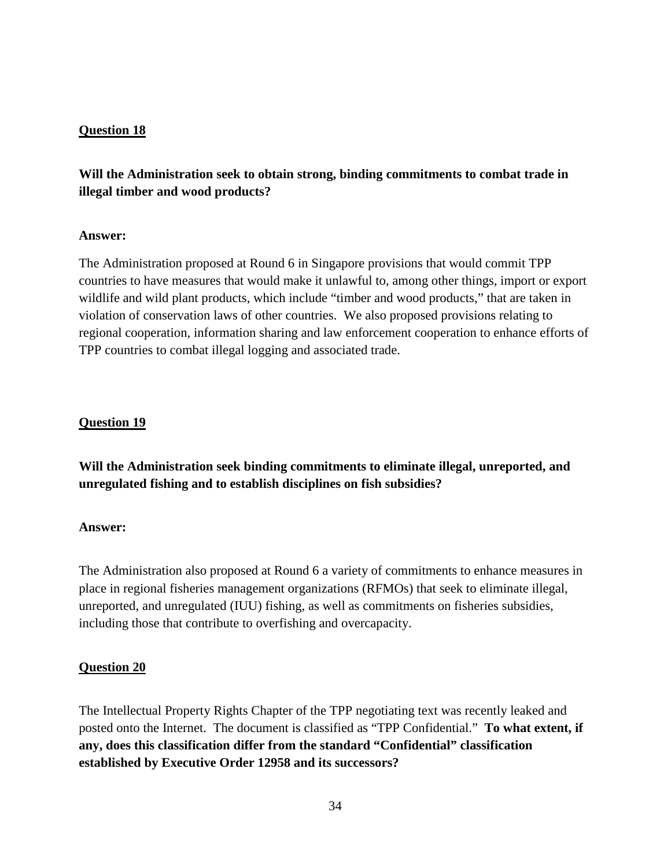## **Question 18**

# **Will the Administration seek to obtain strong, binding commitments to combat trade in illegal timber and wood products?**

## **Answer:**

The Administration proposed at Round 6 in Singapore provisions that would commit TPP countries to have measures that would make it unlawful to, among other things, import or export wildlife and wild plant products, which include "timber and wood products," that are taken in violation of conservation laws of other countries. We also proposed provisions relating to regional cooperation, information sharing and law enforcement cooperation to enhance efforts of TPP countries to combat illegal logging and associated trade.

## **Question 19**

**Will the Administration seek binding commitments to eliminate illegal, unreported, and unregulated fishing and to establish disciplines on fish subsidies?**

#### **Answer:**

The Administration also proposed at Round 6 a variety of commitments to enhance measures in place in regional fisheries management organizations (RFMOs) that seek to eliminate illegal, unreported, and unregulated (IUU) fishing, as well as commitments on fisheries subsidies, including those that contribute to overfishing and overcapacity.

#### **Question 20**

The Intellectual Property Rights Chapter of the TPP negotiating text was recently leaked and posted onto the Internet. The document is classified as "TPP Confidential." **To what extent, if any, does this classification differ from the standard "Confidential" classification established by Executive Order 12958 and its successors?**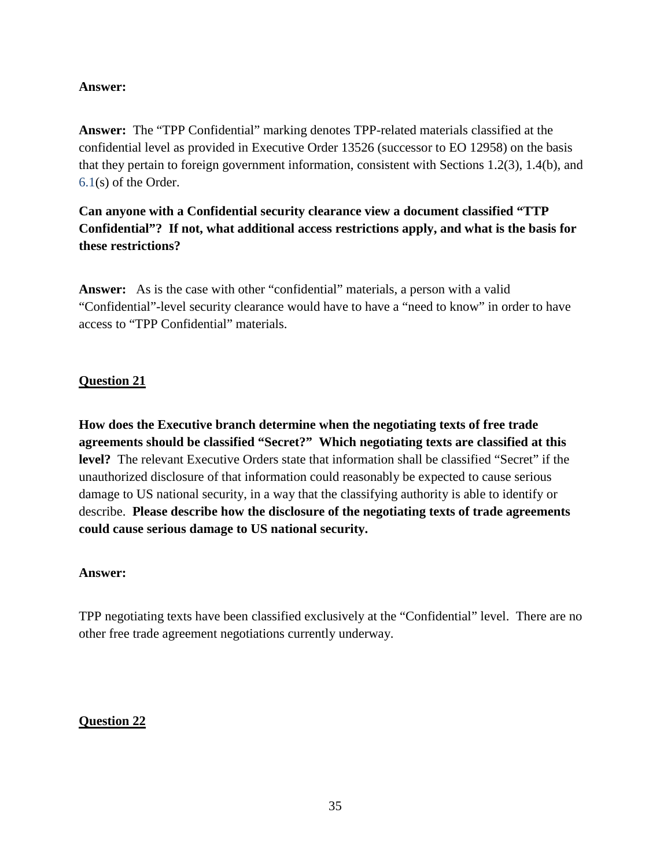## **Answer:**

**Answer:** The "TPP Confidential" marking denotes TPP-related materials classified at the confidential level as provided in Executive Order 13526 (successor to EO 12958) on the basis that they pertain to foreign government information, consistent with Sections 1.2(3), 1.4(b), and 6.1(s) of the Order.

# **Can anyone with a Confidential security clearance view a document classified "TTP Confidential"? If not, what additional access restrictions apply, and what is the basis for these restrictions?**

**Answer:** As is the case with other "confidential" materials, a person with a valid "Confidential"-level security clearance would have to have a "need to know" in order to have access to "TPP Confidential" materials.

## **Question 21**

**How does the Executive branch determine when the negotiating texts of free trade agreements should be classified "Secret?" Which negotiating texts are classified at this level?** The relevant Executive Orders state that information shall be classified "Secret" if the unauthorized disclosure of that information could reasonably be expected to cause serious damage to US national security, in a way that the classifying authority is able to identify or describe. **Please describe how the disclosure of the negotiating texts of trade agreements could cause serious damage to US national security.** 

## **Answer:**

TPP negotiating texts have been classified exclusively at the "Confidential" level. There are no other free trade agreement negotiations currently underway.

## **Question 22**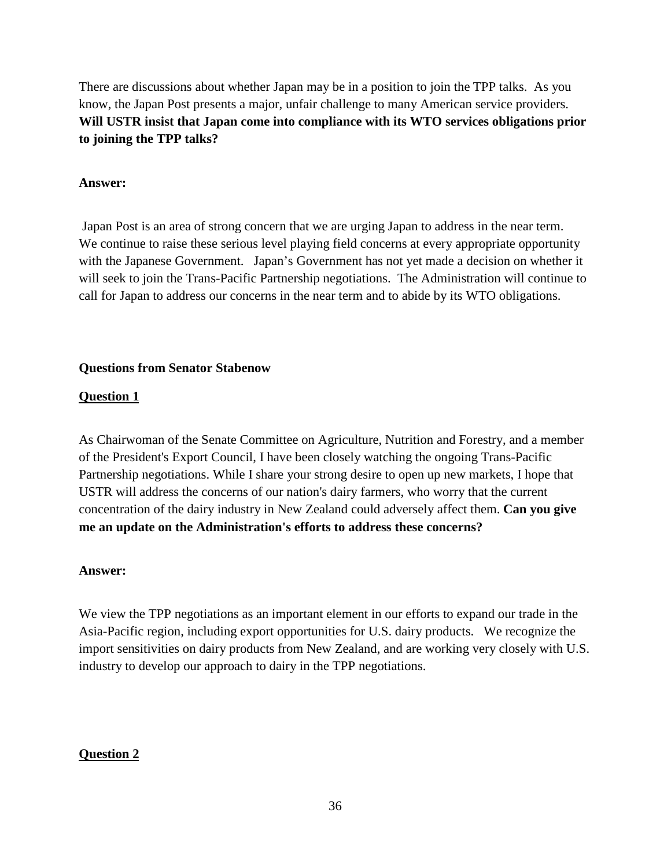There are discussions about whether Japan may be in a position to join the TPP talks. As you know, the Japan Post presents a major, unfair challenge to many American service providers. **Will USTR insist that Japan come into compliance with its WTO services obligations prior to joining the TPP talks?**

## **Answer:**

Japan Post is an area of strong concern that we are urging Japan to address in the near term. We continue to raise these serious level playing field concerns at every appropriate opportunity with the Japanese Government. Japan's Government has not yet made a decision on whether it will seek to join the Trans-Pacific Partnership negotiations. The Administration will continue to call for Japan to address our concerns in the near term and to abide by its WTO obligations.

### **Questions from Senator Stabenow**

## **Question 1**

As Chairwoman of the Senate Committee on Agriculture, Nutrition and Forestry, and a member of the President's Export Council, I have been closely watching the ongoing Trans-Pacific Partnership negotiations. While I share your strong desire to open up new markets, I hope that USTR will address the concerns of our nation's dairy farmers, who worry that the current concentration of the dairy industry in New Zealand could adversely affect them. **Can you give me an update on the Administration's efforts to address these concerns?** 

## **Answer:**

We view the TPP negotiations as an important element in our efforts to expand our trade in the Asia-Pacific region, including export opportunities for U.S. dairy products. We recognize the import sensitivities on dairy products from New Zealand, and are working very closely with U.S. industry to develop our approach to dairy in the TPP negotiations.

## **Question 2**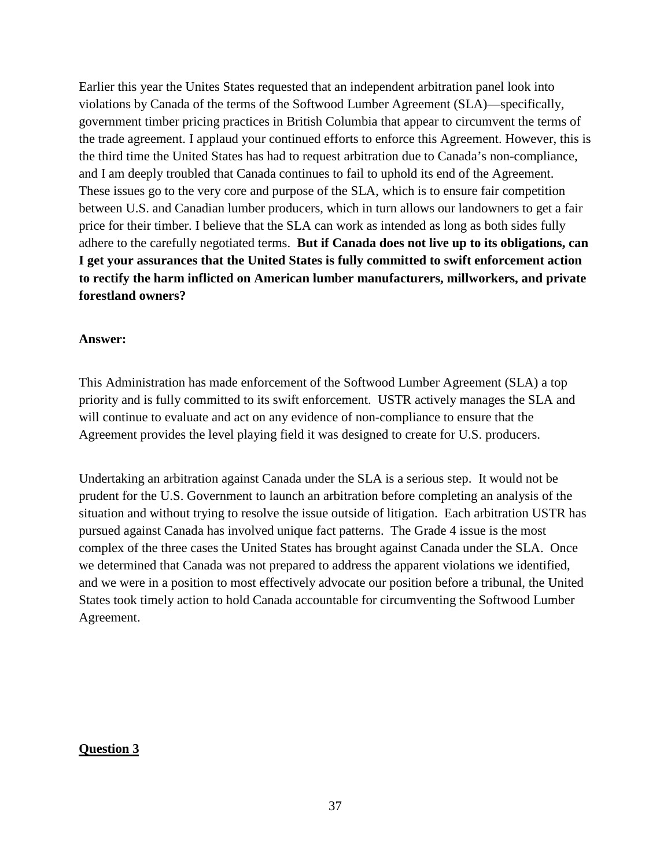Earlier this year the Unites States requested that an independent arbitration panel look into violations by Canada of the terms of the Softwood Lumber Agreement (SLA)—specifically, government timber pricing practices in British Columbia that appear to circumvent the terms of the trade agreement. I applaud your continued efforts to enforce this Agreement. However, this is the third time the United States has had to request arbitration due to Canada's non-compliance, and I am deeply troubled that Canada continues to fail to uphold its end of the Agreement. These issues go to the very core and purpose of the SLA, which is to ensure fair competition between U.S. and Canadian lumber producers, which in turn allows our landowners to get a fair price for their timber. I believe that the SLA can work as intended as long as both sides fully adhere to the carefully negotiated terms. **But if Canada does not live up to its obligations, can I get your assurances that the United States is fully committed to swift enforcement action to rectify the harm inflicted on American lumber manufacturers, millworkers, and private forestland owners?**

#### **Answer:**

This Administration has made enforcement of the Softwood Lumber Agreement (SLA) a top priority and is fully committed to its swift enforcement. USTR actively manages the SLA and will continue to evaluate and act on any evidence of non-compliance to ensure that the Agreement provides the level playing field it was designed to create for U.S. producers.

Undertaking an arbitration against Canada under the SLA is a serious step. It would not be prudent for the U.S. Government to launch an arbitration before completing an analysis of the situation and without trying to resolve the issue outside of litigation. Each arbitration USTR has pursued against Canada has involved unique fact patterns. The Grade 4 issue is the most complex of the three cases the United States has brought against Canada under the SLA. Once we determined that Canada was not prepared to address the apparent violations we identified, and we were in a position to most effectively advocate our position before a tribunal, the United States took timely action to hold Canada accountable for circumventing the Softwood Lumber Agreement.

#### **Question 3**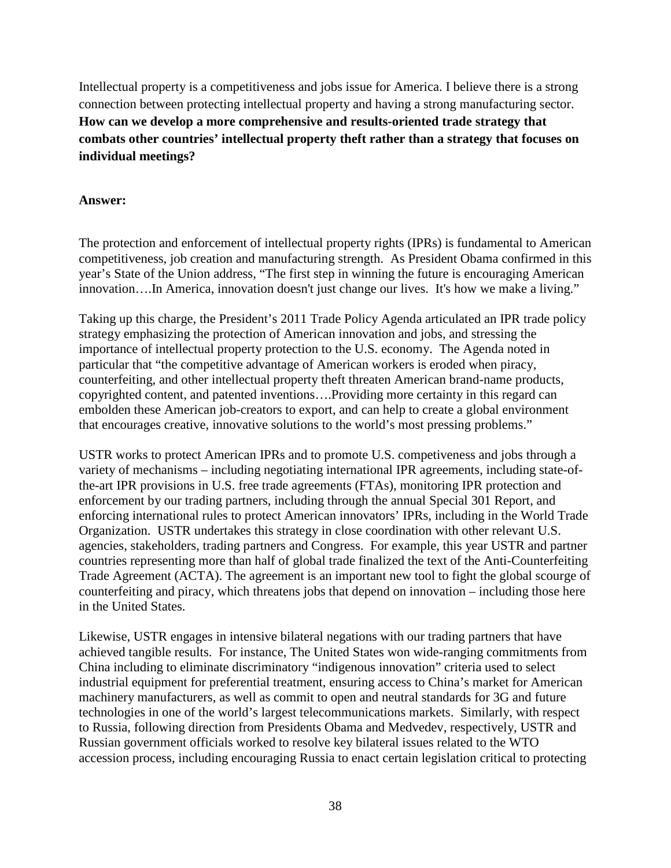Intellectual property is a competitiveness and jobs issue for America. I believe there is a strong connection between protecting intellectual property and having a strong manufacturing sector. **How can we develop a more comprehensive and results-oriented trade strategy that combats other countries' intellectual property theft rather than a strategy that focuses on individual meetings?**

## **Answer:**

The protection and enforcement of intellectual property rights (IPRs) is fundamental to American competitiveness, job creation and manufacturing strength. As President Obama confirmed in this year's State of the Union address, "The first step in winning the future is encouraging American innovation….In America, innovation doesn't just change our lives. It's how we make a living."

Taking up this charge, the President's 2011 Trade Policy Agenda articulated an IPR trade policy strategy emphasizing the protection of American innovation and jobs, and stressing the importance of intellectual property protection to the U.S. economy. The Agenda noted in particular that "the competitive advantage of American workers is eroded when piracy, counterfeiting, and other intellectual property theft threaten American brand-name products, copyrighted content, and patented inventions….Providing more certainty in this regard can embolden these American job-creators to export, and can help to create a global environment that encourages creative, innovative solutions to the world's most pressing problems."

USTR works to protect American IPRs and to promote U.S. competiveness and jobs through a variety of mechanisms – including negotiating international IPR agreements, including state-ofthe-art IPR provisions in U.S. free trade agreements (FTAs), monitoring IPR protection and enforcement by our trading partners, including through the annual Special 301 Report, and enforcing international rules to protect American innovators' IPRs, including in the World Trade Organization. USTR undertakes this strategy in close coordination with other relevant U.S. agencies, stakeholders, trading partners and Congress. For example, this year USTR and partner countries representing more than half of global trade finalized the text of the Anti-Counterfeiting Trade Agreement (ACTA). The agreement is an important new tool to fight the global scourge of counterfeiting and piracy, which threatens jobs that depend on innovation – including those here in the United States.

Likewise, USTR engages in intensive bilateral negations with our trading partners that have achieved tangible results. For instance, The United States won wide-ranging commitments from China including to eliminate discriminatory "indigenous innovation" criteria used to select industrial equipment for preferential treatment, ensuring access to China's market for American machinery manufacturers, as well as commit to open and neutral standards for 3G and future technologies in one of the world's largest telecommunications markets. Similarly, with respect to Russia, following direction from Presidents Obama and Medvedev, respectively, USTR and Russian government officials worked to resolve key bilateral issues related to the WTO accession process, including encouraging Russia to enact certain legislation critical to protecting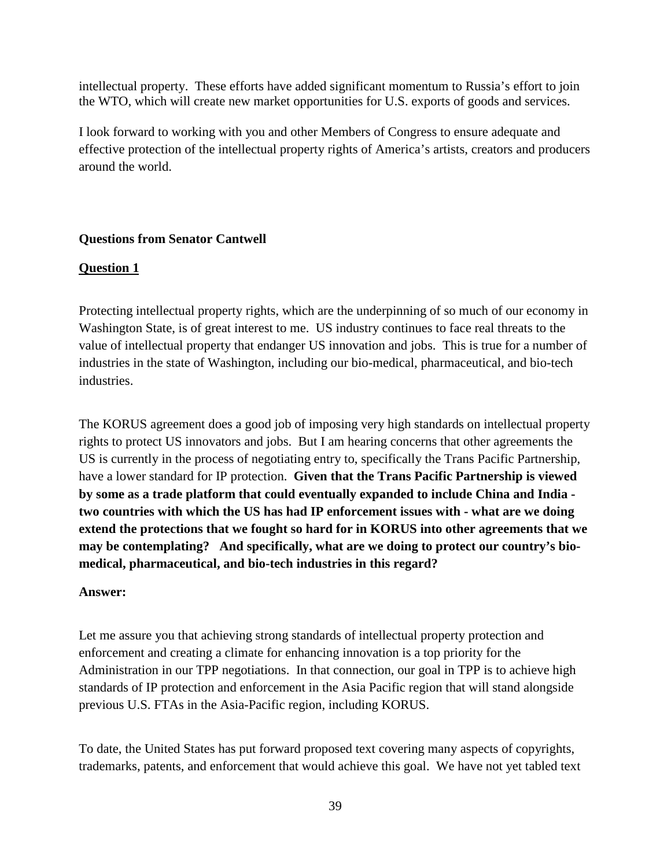intellectual property. These efforts have added significant momentum to Russia's effort to join the WTO, which will create new market opportunities for U.S. exports of goods and services.

I look forward to working with you and other Members of Congress to ensure adequate and effective protection of the intellectual property rights of America's artists, creators and producers around the world.

# **Questions from Senator Cantwell**

# **Question 1**

Protecting intellectual property rights, which are the underpinning of so much of our economy in Washington State, is of great interest to me. US industry continues to face real threats to the value of intellectual property that endanger US innovation and jobs. This is true for a number of industries in the state of Washington, including our bio-medical, pharmaceutical, and bio-tech industries.

The KORUS agreement does a good job of imposing very high standards on intellectual property rights to protect US innovators and jobs. But I am hearing concerns that other agreements the US is currently in the process of negotiating entry to, specifically the Trans Pacific Partnership, have a lower standard for IP protection. **Given that the Trans Pacific Partnership is viewed by some as a trade platform that could eventually expanded to include China and India two countries with which the US has had IP enforcement issues with - what are we doing extend the protections that we fought so hard for in KORUS into other agreements that we may be contemplating? And specifically, what are we doing to protect our country's biomedical, pharmaceutical, and bio-tech industries in this regard?**

## **Answer:**

Let me assure you that achieving strong standards of intellectual property protection and enforcement and creating a climate for enhancing innovation is a top priority for the Administration in our TPP negotiations. In that connection, our goal in TPP is to achieve high standards of IP protection and enforcement in the Asia Pacific region that will stand alongside previous U.S. FTAs in the Asia-Pacific region, including KORUS.

To date, the United States has put forward proposed text covering many aspects of copyrights, trademarks, patents, and enforcement that would achieve this goal. We have not yet tabled text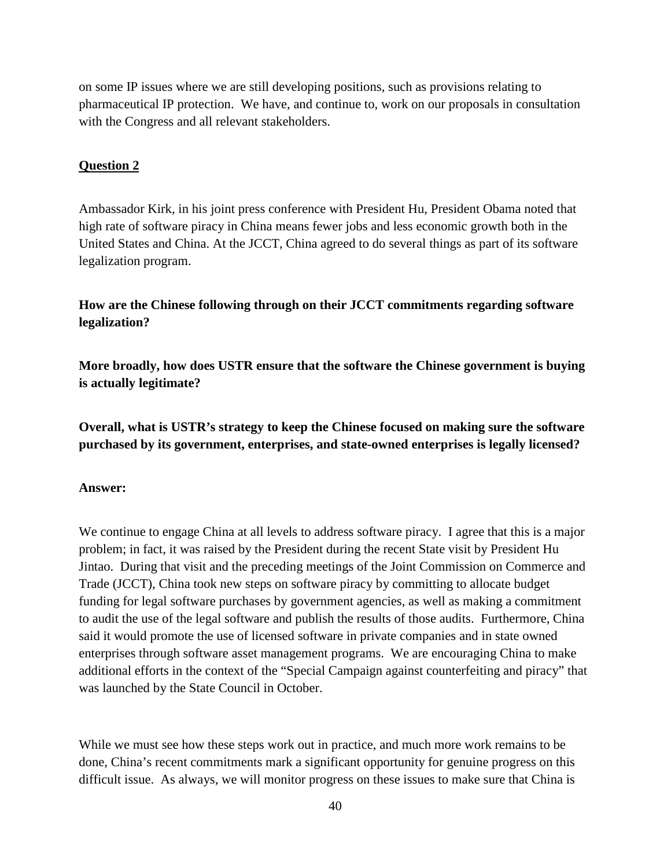on some IP issues where we are still developing positions, such as provisions relating to pharmaceutical IP protection. We have, and continue to, work on our proposals in consultation with the Congress and all relevant stakeholders.

## **Question 2**

Ambassador Kirk, in his joint press conference with President Hu, President Obama noted that high rate of software piracy in China means fewer jobs and less economic growth both in the United States and China. At the JCCT, China agreed to do several things as part of its software legalization program.

**How are the Chinese following through on their JCCT commitments regarding software legalization?** 

**More broadly, how does USTR ensure that the software the Chinese government is buying is actually legitimate?** 

**Overall, what is USTR's strategy to keep the Chinese focused on making sure the software purchased by its government, enterprises, and state-owned enterprises is legally licensed?**

### **Answer:**

We continue to engage China at all levels to address software piracy. I agree that this is a major problem; in fact, it was raised by the President during the recent State visit by President Hu Jintao. During that visit and the preceding meetings of the Joint Commission on Commerce and Trade (JCCT), China took new steps on software piracy by committing to allocate budget funding for legal software purchases by government agencies, as well as making a commitment to audit the use of the legal software and publish the results of those audits. Furthermore, China said it would promote the use of licensed software in private companies and in state owned enterprises through software asset management programs. We are encouraging China to make additional efforts in the context of the "Special Campaign against counterfeiting and piracy" that was launched by the State Council in October.

While we must see how these steps work out in practice, and much more work remains to be done, China's recent commitments mark a significant opportunity for genuine progress on this difficult issue. As always, we will monitor progress on these issues to make sure that China is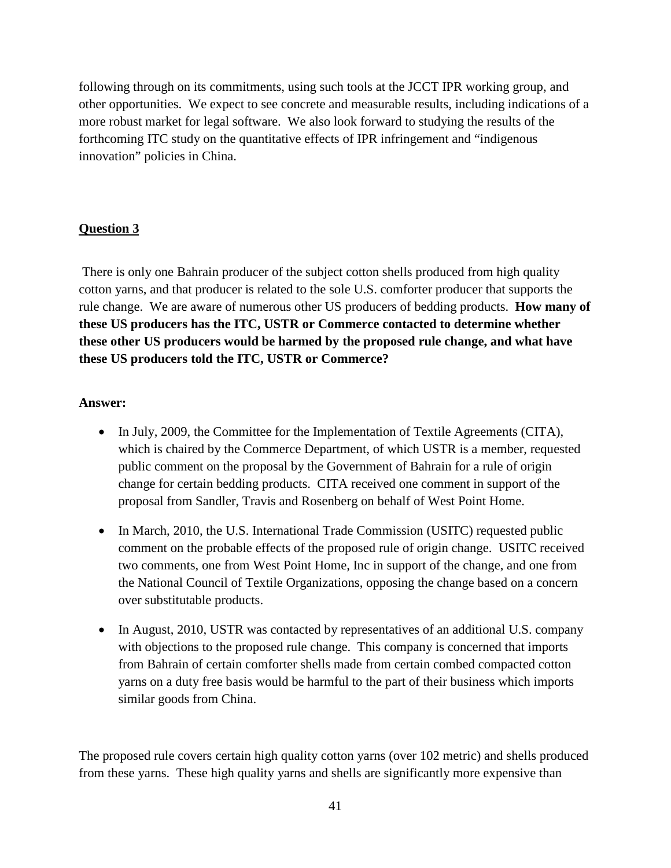following through on its commitments, using such tools at the JCCT IPR working group, and other opportunities. We expect to see concrete and measurable results, including indications of a more robust market for legal software. We also look forward to studying the results of the forthcoming ITC study on the quantitative effects of IPR infringement and "indigenous innovation" policies in China.

# **Question 3**

There is only one Bahrain producer of the subject cotton shells produced from high quality cotton yarns, and that producer is related to the sole U.S. comforter producer that supports the rule change. We are aware of numerous other US producers of bedding products. **How many of these US producers has the ITC, USTR or Commerce contacted to determine whether these other US producers would be harmed by the proposed rule change, and what have these US producers told the ITC, USTR or Commerce?**

## **Answer:**

- In July, 2009, the Committee for the Implementation of Textile Agreements (CITA), which is chaired by the Commerce Department, of which USTR is a member, requested public comment on the proposal by the Government of Bahrain for a rule of origin change for certain bedding products. CITA received one comment in support of the proposal from Sandler, Travis and Rosenberg on behalf of West Point Home.
- In March, 2010, the U.S. International Trade Commission (USITC) requested public comment on the probable effects of the proposed rule of origin change. USITC received two comments, one from West Point Home, Inc in support of the change, and one from the National Council of Textile Organizations, opposing the change based on a concern over substitutable products.
- In August, 2010, USTR was contacted by representatives of an additional U.S. company with objections to the proposed rule change. This company is concerned that imports from Bahrain of certain comforter shells made from certain combed compacted cotton yarns on a duty free basis would be harmful to the part of their business which imports similar goods from China.

The proposed rule covers certain high quality cotton yarns (over 102 metric) and shells produced from these yarns. These high quality yarns and shells are significantly more expensive than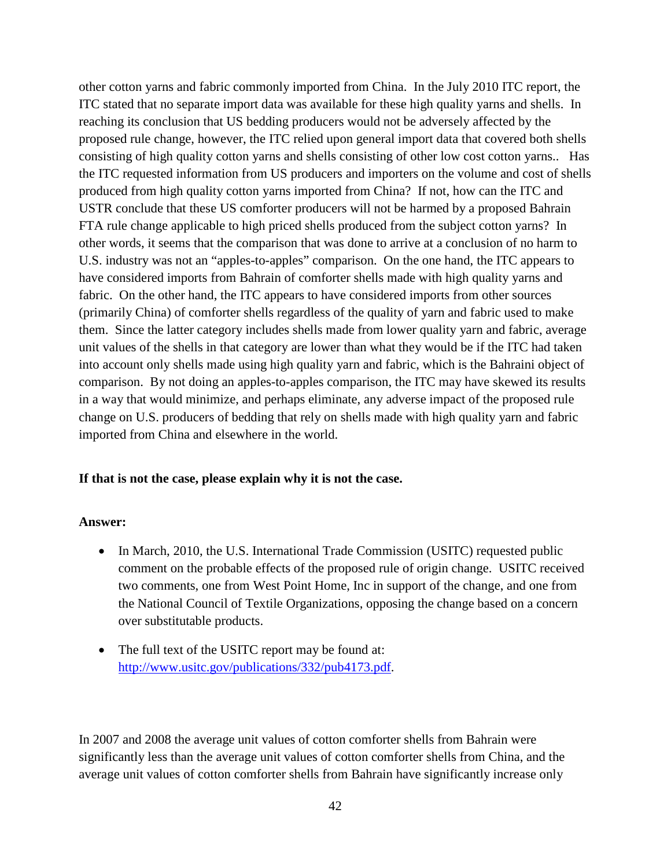other cotton yarns and fabric commonly imported from China. In the July 2010 ITC report, the ITC stated that no separate import data was available for these high quality yarns and shells. In reaching its conclusion that US bedding producers would not be adversely affected by the proposed rule change, however, the ITC relied upon general import data that covered both shells consisting of high quality cotton yarns and shells consisting of other low cost cotton yarns.. Has the ITC requested information from US producers and importers on the volume and cost of shells produced from high quality cotton yarns imported from China? If not, how can the ITC and USTR conclude that these US comforter producers will not be harmed by a proposed Bahrain FTA rule change applicable to high priced shells produced from the subject cotton yarns? In other words, it seems that the comparison that was done to arrive at a conclusion of no harm to U.S. industry was not an "apples-to-apples" comparison. On the one hand, the ITC appears to have considered imports from Bahrain of comforter shells made with high quality yarns and fabric. On the other hand, the ITC appears to have considered imports from other sources (primarily China) of comforter shells regardless of the quality of yarn and fabric used to make them. Since the latter category includes shells made from lower quality yarn and fabric, average unit values of the shells in that category are lower than what they would be if the ITC had taken into account only shells made using high quality yarn and fabric, which is the Bahraini object of comparison. By not doing an apples-to-apples comparison, the ITC may have skewed its results in a way that would minimize, and perhaps eliminate, any adverse impact of the proposed rule change on U.S. producers of bedding that rely on shells made with high quality yarn and fabric imported from China and elsewhere in the world.

## **If that is not the case, please explain why it is not the case.**

### **Answer:**

- In March, 2010, the U.S. International Trade Commission (USITC) requested public comment on the probable effects of the proposed rule of origin change. USITC received two comments, one from West Point Home, Inc in support of the change, and one from the National Council of Textile Organizations, opposing the change based on a concern over substitutable products.
- The full text of the USITC report may be found at: [http://www.usitc.gov/publications/332/pub4173.pdf.](http://www.usitc.gov/publications/332/pub4173.pdf)

In 2007 and 2008 the average unit values of cotton comforter shells from Bahrain were significantly less than the average unit values of cotton comforter shells from China, and the average unit values of cotton comforter shells from Bahrain have significantly increase only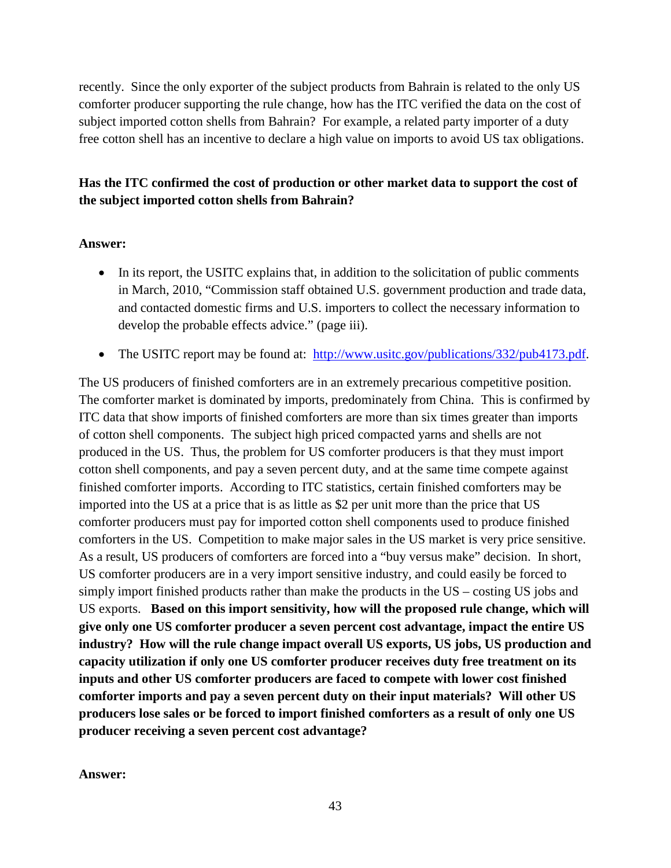recently. Since the only exporter of the subject products from Bahrain is related to the only US comforter producer supporting the rule change, how has the ITC verified the data on the cost of subject imported cotton shells from Bahrain? For example, a related party importer of a duty free cotton shell has an incentive to declare a high value on imports to avoid US tax obligations.

# **Has the ITC confirmed the cost of production or other market data to support the cost of the subject imported cotton shells from Bahrain?**

# **Answer:**

- In its report, the USITC explains that, in addition to the solicitation of public comments in March, 2010, "Commission staff obtained U.S. government production and trade data, and contacted domestic firms and U.S. importers to collect the necessary information to develop the probable effects advice." (page iii).
- The USITC report may be found at: [http://www.usitc.gov/publications/332/pub4173.pdf.](http://www.usitc.gov/publications/332/pub4173.pdf)

The US producers of finished comforters are in an extremely precarious competitive position. The comforter market is dominated by imports, predominately from China. This is confirmed by ITC data that show imports of finished comforters are more than six times greater than imports of cotton shell components. The subject high priced compacted yarns and shells are not produced in the US. Thus, the problem for US comforter producers is that they must import cotton shell components, and pay a seven percent duty, and at the same time compete against finished comforter imports. According to ITC statistics, certain finished comforters may be imported into the US at a price that is as little as \$2 per unit more than the price that US comforter producers must pay for imported cotton shell components used to produce finished comforters in the US. Competition to make major sales in the US market is very price sensitive. As a result, US producers of comforters are forced into a "buy versus make" decision. In short, US comforter producers are in a very import sensitive industry, and could easily be forced to simply import finished products rather than make the products in the US – costing US jobs and US exports. **Based on this import sensitivity, how will the proposed rule change, which will give only one US comforter producer a seven percent cost advantage, impact the entire US industry? How will the rule change impact overall US exports, US jobs, US production and capacity utilization if only one US comforter producer receives duty free treatment on its inputs and other US comforter producers are faced to compete with lower cost finished comforter imports and pay a seven percent duty on their input materials? Will other US producers lose sales or be forced to import finished comforters as a result of only one US producer receiving a seven percent cost advantage?**

**Answer:**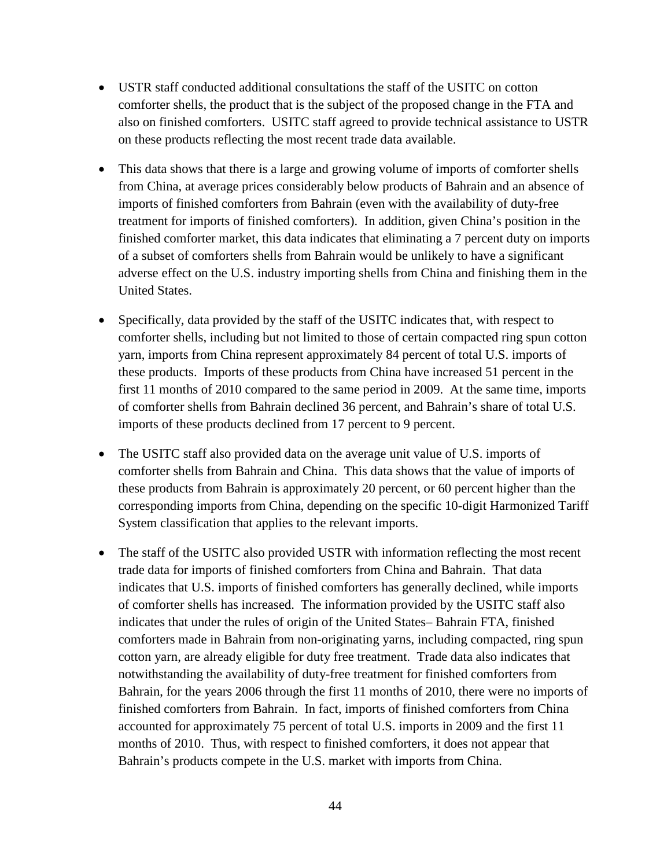- USTR staff conducted additional consultations the staff of the USITC on cotton comforter shells, the product that is the subject of the proposed change in the FTA and also on finished comforters. USITC staff agreed to provide technical assistance to USTR on these products reflecting the most recent trade data available.
- This data shows that there is a large and growing volume of imports of comforter shells from China, at average prices considerably below products of Bahrain and an absence of imports of finished comforters from Bahrain (even with the availability of duty-free treatment for imports of finished comforters). In addition, given China's position in the finished comforter market, this data indicates that eliminating a 7 percent duty on imports of a subset of comforters shells from Bahrain would be unlikely to have a significant adverse effect on the U.S. industry importing shells from China and finishing them in the United States.
- Specifically, data provided by the staff of the USITC indicates that, with respect to comforter shells, including but not limited to those of certain compacted ring spun cotton yarn, imports from China represent approximately 84 percent of total U.S. imports of these products. Imports of these products from China have increased 51 percent in the first 11 months of 2010 compared to the same period in 2009. At the same time, imports of comforter shells from Bahrain declined 36 percent, and Bahrain's share of total U.S. imports of these products declined from 17 percent to 9 percent.
- The USITC staff also provided data on the average unit value of U.S. imports of comforter shells from Bahrain and China. This data shows that the value of imports of these products from Bahrain is approximately 20 percent, or 60 percent higher than the corresponding imports from China, depending on the specific 10-digit Harmonized Tariff System classification that applies to the relevant imports.
- The staff of the USITC also provided USTR with information reflecting the most recent trade data for imports of finished comforters from China and Bahrain. That data indicates that U.S. imports of finished comforters has generally declined, while imports of comforter shells has increased. The information provided by the USITC staff also indicates that under the rules of origin of the United States– Bahrain FTA, finished comforters made in Bahrain from non-originating yarns, including compacted, ring spun cotton yarn, are already eligible for duty free treatment. Trade data also indicates that notwithstanding the availability of duty-free treatment for finished comforters from Bahrain, for the years 2006 through the first 11 months of 2010, there were no imports of finished comforters from Bahrain. In fact, imports of finished comforters from China accounted for approximately 75 percent of total U.S. imports in 2009 and the first 11 months of 2010. Thus, with respect to finished comforters, it does not appear that Bahrain's products compete in the U.S. market with imports from China.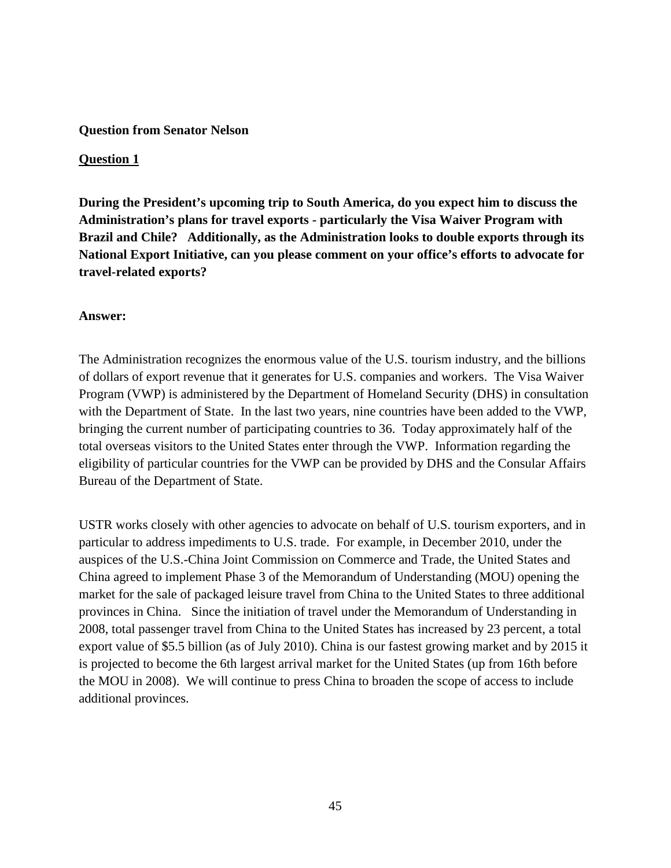## **Question from Senator Nelson**

## **Question 1**

**During the President's upcoming trip to South America, do you expect him to discuss the Administration's plans for travel exports - particularly the Visa Waiver Program with Brazil and Chile? Additionally, as the Administration looks to double exports through its National Export Initiative, can you please comment on your office's efforts to advocate for travel-related exports?**

## **Answer:**

The Administration recognizes the enormous value of the U.S. tourism industry, and the billions of dollars of export revenue that it generates for U.S. companies and workers. The Visa Waiver Program (VWP) is administered by the Department of Homeland Security (DHS) in consultation with the Department of State. In the last two years, nine countries have been added to the VWP, bringing the current number of participating countries to 36. Today approximately half of the total overseas visitors to the United States enter through the VWP. Information regarding the eligibility of particular countries for the VWP can be provided by DHS and the Consular Affairs Bureau of the Department of State.

USTR works closely with other agencies to advocate on behalf of U.S. tourism exporters, and in particular to address impediments to U.S. trade. For example, in December 2010, under the auspices of the U.S.-China Joint Commission on Commerce and Trade, the United States and China agreed to implement Phase 3 of the Memorandum of Understanding (MOU) opening the market for the sale of packaged leisure travel from China to the United States to three additional provinces in China. Since the initiation of travel under the Memorandum of Understanding in 2008, total passenger travel from China to the United States has increased by 23 percent, a total export value of \$5.5 billion (as of July 2010). China is our fastest growing market and by 2015 it is projected to become the 6th largest arrival market for the United States (up from 16th before the MOU in 2008). We will continue to press China to broaden the scope of access to include additional provinces.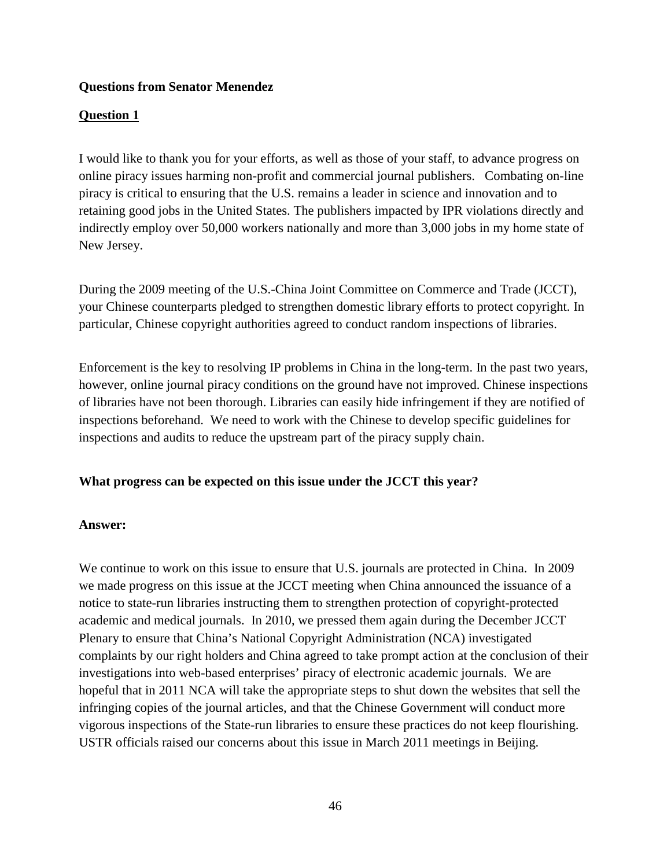# **Questions from Senator Menendez**

# **Question 1**

I would like to thank you for your efforts, as well as those of your staff, to advance progress on online piracy issues harming non-profit and commercial journal publishers. Combating on-line piracy is critical to ensuring that the U.S. remains a leader in science and innovation and to retaining good jobs in the United States. The publishers impacted by IPR violations directly and indirectly employ over 50,000 workers nationally and more than 3,000 jobs in my home state of New Jersey.

During the 2009 meeting of the U.S.-China Joint Committee on Commerce and Trade (JCCT), your Chinese counterparts pledged to strengthen domestic library efforts to protect copyright. In particular, Chinese copyright authorities agreed to conduct random inspections of libraries.

Enforcement is the key to resolving IP problems in China in the long-term. In the past two years, however, online journal piracy conditions on the ground have not improved. Chinese inspections of libraries have not been thorough. Libraries can easily hide infringement if they are notified of inspections beforehand. We need to work with the Chinese to develop specific guidelines for inspections and audits to reduce the upstream part of the piracy supply chain.

## **What progress can be expected on this issue under the JCCT this year?**

## **Answer:**

We continue to work on this issue to ensure that U.S. journals are protected in China. In 2009 we made progress on this issue at the JCCT meeting when China announced the issuance of a notice to state-run libraries instructing them to strengthen protection of copyright-protected academic and medical journals. In 2010, we pressed them again during the December JCCT Plenary to ensure that China's National Copyright Administration (NCA) investigated complaints by our right holders and China agreed to take prompt action at the conclusion of their investigations into web-based enterprises' piracy of electronic academic journals. We are hopeful that in 2011 NCA will take the appropriate steps to shut down the websites that sell the infringing copies of the journal articles, and that the Chinese Government will conduct more vigorous inspections of the State-run libraries to ensure these practices do not keep flourishing. USTR officials raised our concerns about this issue in March 2011 meetings in Beijing.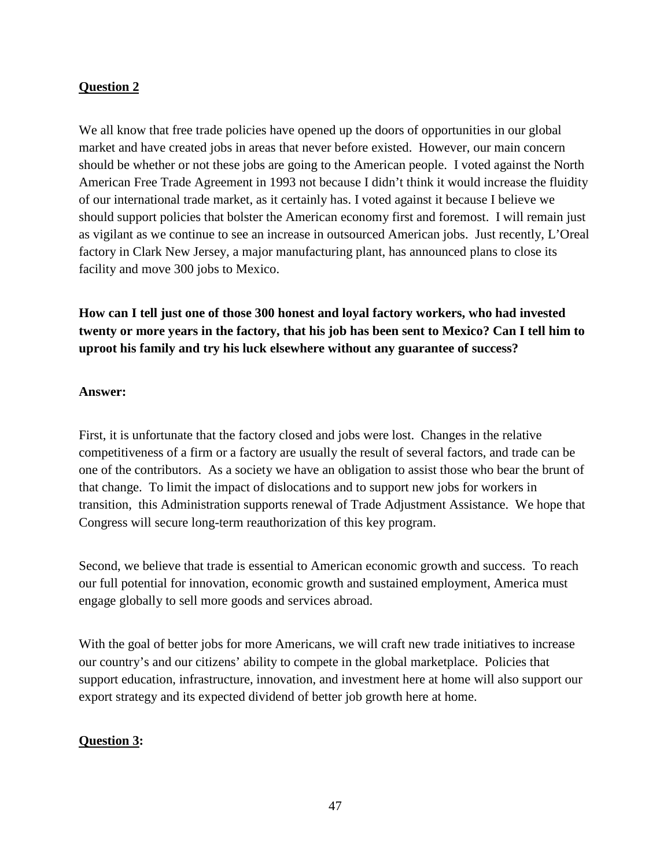# **Question 2**

We all know that free trade policies have opened up the doors of opportunities in our global market and have created jobs in areas that never before existed. However, our main concern should be whether or not these jobs are going to the American people. I voted against the North American Free Trade Agreement in 1993 not because I didn't think it would increase the fluidity of our international trade market, as it certainly has. I voted against it because I believe we should support policies that bolster the American economy first and foremost. I will remain just as vigilant as we continue to see an increase in outsourced American jobs. Just recently, L'Oreal factory in Clark New Jersey, a major manufacturing plant, has announced plans to close its facility and move 300 jobs to Mexico.

**How can I tell just one of those 300 honest and loyal factory workers, who had invested twenty or more years in the factory, that his job has been sent to Mexico? Can I tell him to uproot his family and try his luck elsewhere without any guarantee of success?** 

## **Answer:**

First, it is unfortunate that the factory closed and jobs were lost. Changes in the relative competitiveness of a firm or a factory are usually the result of several factors, and trade can be one of the contributors. As a society we have an obligation to assist those who bear the brunt of that change. To limit the impact of dislocations and to support new jobs for workers in transition, this Administration supports renewal of Trade Adjustment Assistance. We hope that Congress will secure long-term reauthorization of this key program.

Second, we believe that trade is essential to American economic growth and success. To reach our full potential for innovation, economic growth and sustained employment, America must engage globally to sell more goods and services abroad.

With the goal of better jobs for more Americans, we will craft new trade initiatives to increase our country's and our citizens' ability to compete in the global marketplace. Policies that support education, infrastructure, innovation, and investment here at home will also support our export strategy and its expected dividend of better job growth here at home.

## **Question 3:**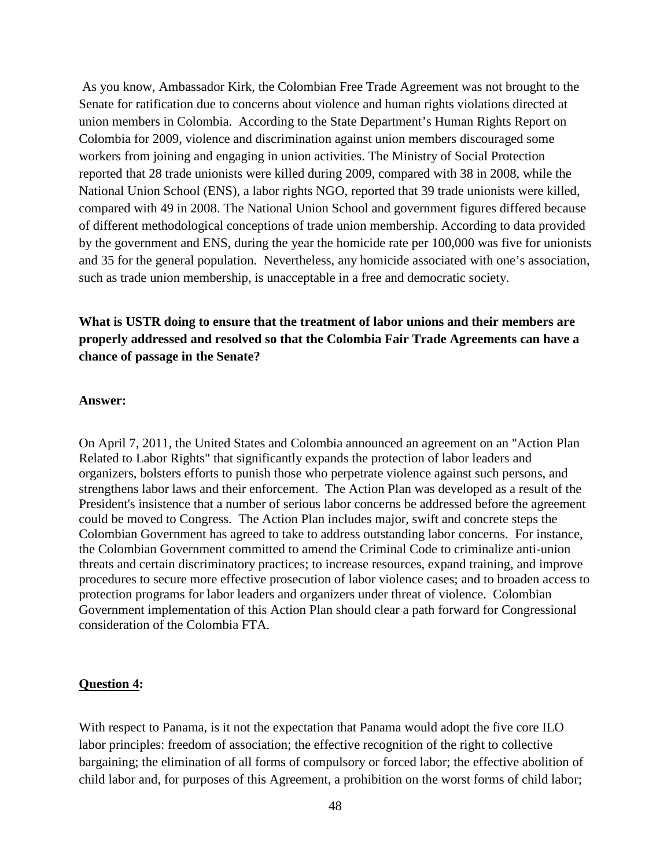As you know, Ambassador Kirk, the Colombian Free Trade Agreement was not brought to the Senate for ratification due to concerns about violence and human rights violations directed at union members in Colombia. According to the State Department's Human Rights Report on Colombia for 2009, violence and discrimination against union members discouraged some workers from joining and engaging in union activities. The Ministry of Social Protection reported that 28 trade unionists were killed during 2009, compared with 38 in 2008, while the National Union School (ENS), a labor rights NGO, reported that 39 trade unionists were killed, compared with 49 in 2008. The National Union School and government figures differed because of different methodological conceptions of trade union membership. According to data provided by the government and ENS, during the year the homicide rate per 100,000 was five for unionists and 35 for the general population. Nevertheless, any homicide associated with one's association, such as trade union membership, is unacceptable in a free and democratic society.

# **What is USTR doing to ensure that the treatment of labor unions and their members are properly addressed and resolved so that the Colombia Fair Trade Agreements can have a chance of passage in the Senate?**

### **Answer:**

On April 7, 2011, the United States and Colombia announced an agreement on an "Action Plan Related to Labor Rights" that significantly expands the protection of labor leaders and organizers, bolsters efforts to punish those who perpetrate violence against such persons, and strengthens labor laws and their enforcement. The Action Plan was developed as a result of the President's insistence that a number of serious labor concerns be addressed before the agreement could be moved to Congress. The Action Plan includes major, swift and concrete steps the Colombian Government has agreed to take to address outstanding labor concerns. For instance, the Colombian Government committed to amend the Criminal Code to criminalize anti-union threats and certain discriminatory practices; to increase resources, expand training, and improve procedures to secure more effective prosecution of labor violence cases; and to broaden access to protection programs for labor leaders and organizers under threat of violence. Colombian Government implementation of this Action Plan should clear a path forward for Congressional consideration of the Colombia FTA.

### **Question 4:**

With respect to Panama, is it not the expectation that Panama would adopt the five core ILO labor principles: freedom of association; the effective recognition of the right to collective bargaining; the elimination of all forms of compulsory or forced labor; the effective abolition of child labor and, for purposes of this Agreement, a prohibition on the worst forms of child labor;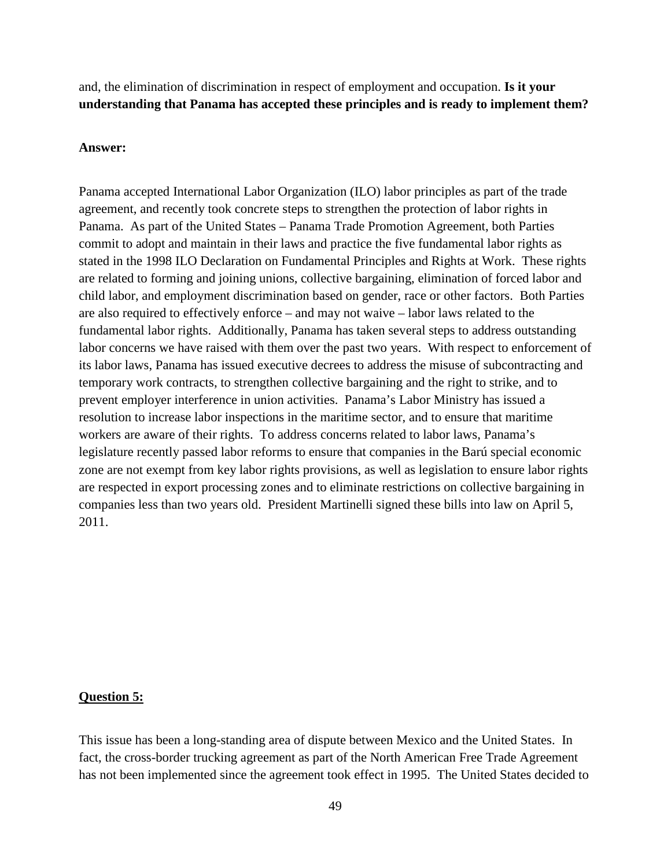and, the elimination of discrimination in respect of employment and occupation. **Is it your understanding that Panama has accepted these principles and is ready to implement them?**

#### **Answer:**

Panama accepted International Labor Organization (ILO) labor principles as part of the trade agreement, and recently took concrete steps to strengthen the protection of labor rights in Panama. As part of the United States – Panama Trade Promotion Agreement, both Parties commit to adopt and maintain in their laws and practice the five fundamental labor rights as stated in the 1998 ILO Declaration on Fundamental Principles and Rights at Work. These rights are related to forming and joining unions, collective bargaining, elimination of forced labor and child labor, and employment discrimination based on gender, race or other factors. Both Parties are also required to effectively enforce – and may not waive – labor laws related to the fundamental labor rights. Additionally, Panama has taken several steps to address outstanding labor concerns we have raised with them over the past two years. With respect to enforcement of its labor laws, Panama has issued executive decrees to address the misuse of subcontracting and temporary work contracts, to strengthen collective bargaining and the right to strike, and to prevent employer interference in union activities. Panama's Labor Ministry has issued a resolution to increase labor inspections in the maritime sector, and to ensure that maritime workers are aware of their rights. To address concerns related to labor laws, Panama's legislature recently passed labor reforms to ensure that companies in the Barú special economic zone are not exempt from key labor rights provisions, as well as legislation to ensure labor rights are respected in export processing zones and to eliminate restrictions on collective bargaining in companies less than two years old. President Martinelli signed these bills into law on April 5, 2011.

#### **Question 5:**

This issue has been a long-standing area of dispute between Mexico and the United States. In fact, the cross-border trucking agreement as part of the North American Free Trade Agreement has not been implemented since the agreement took effect in 1995. The United States decided to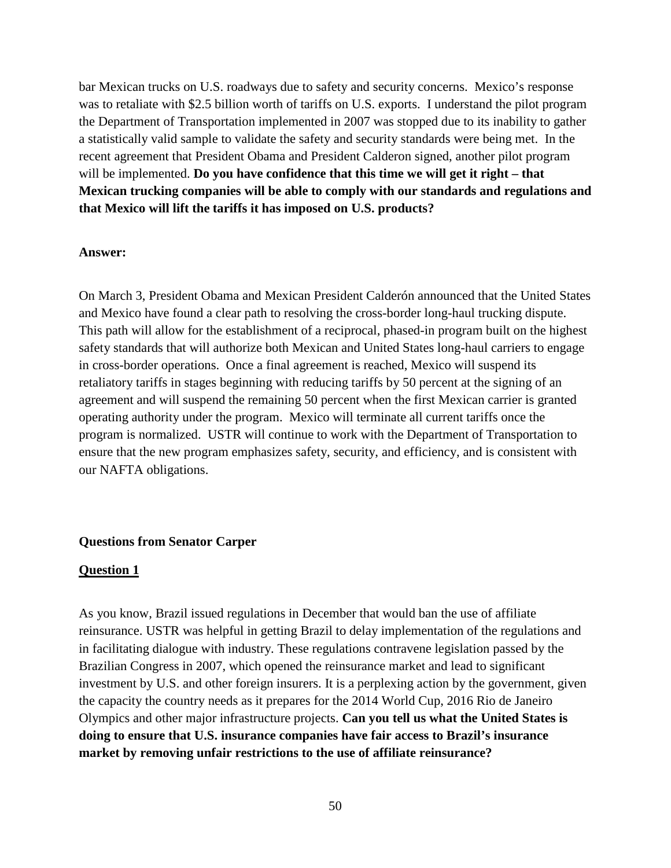bar Mexican trucks on U.S. roadways due to safety and security concerns. Mexico's response was to retaliate with \$2.5 billion worth of tariffs on U.S. exports. I understand the pilot program the Department of Transportation implemented in 2007 was stopped due to its inability to gather a statistically valid sample to validate the safety and security standards were being met. In the recent agreement that President Obama and President Calderon signed, another pilot program will be implemented. **Do you have confidence that this time we will get it right – that Mexican trucking companies will be able to comply with our standards and regulations and that Mexico will lift the tariffs it has imposed on U.S. products?** 

#### **Answer:**

On March 3, President Obama and Mexican President Calderón announced that the United States and Mexico have found a clear path to resolving the cross-border long-haul trucking dispute. This path will allow for the establishment of a reciprocal, phased-in program built on the highest safety standards that will authorize both Mexican and United States long-haul carriers to engage in cross-border operations. Once a final agreement is reached, Mexico will suspend its retaliatory tariffs in stages beginning with reducing tariffs by 50 percent at the signing of an agreement and will suspend the remaining 50 percent when the first Mexican carrier is granted operating authority under the program. Mexico will terminate all current tariffs once the program is normalized. USTR will continue to work with the Department of Transportation to ensure that the new program emphasizes safety, security, and efficiency, and is consistent with our NAFTA obligations.

### **Questions from Senator Carper**

#### **Question 1**

As you know, Brazil issued regulations in December that would ban the use of affiliate reinsurance. USTR was helpful in getting Brazil to delay implementation of the regulations and in facilitating dialogue with industry. These regulations contravene legislation passed by the Brazilian Congress in 2007, which opened the reinsurance market and lead to significant investment by U.S. and other foreign insurers. It is a perplexing action by the government, given the capacity the country needs as it prepares for the 2014 World Cup, 2016 Rio de Janeiro Olympics and other major infrastructure projects. **Can you tell us what the United States is doing to ensure that U.S. insurance companies have fair access to Brazil's insurance market by removing unfair restrictions to the use of affiliate reinsurance?**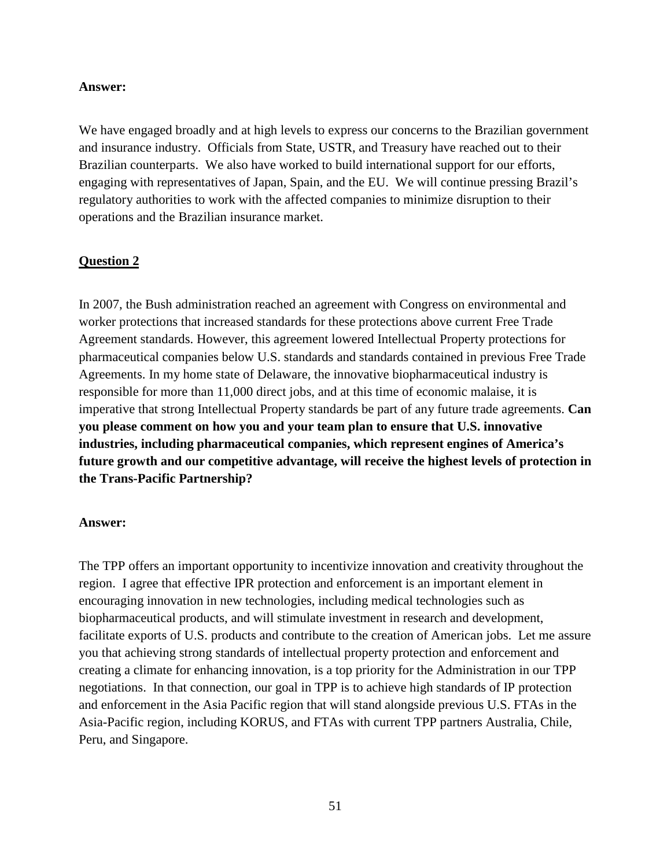### **Answer:**

We have engaged broadly and at high levels to express our concerns to the Brazilian government and insurance industry. Officials from State, USTR, and Treasury have reached out to their Brazilian counterparts. We also have worked to build international support for our efforts, engaging with representatives of Japan, Spain, and the EU. We will continue pressing Brazil's regulatory authorities to work with the affected companies to minimize disruption to their operations and the Brazilian insurance market.

## **Question 2**

In 2007, the Bush administration reached an agreement with Congress on environmental and worker protections that increased standards for these protections above current Free Trade Agreement standards. However, this agreement lowered Intellectual Property protections for pharmaceutical companies below U.S. standards and standards contained in previous Free Trade Agreements. In my home state of Delaware, the innovative biopharmaceutical industry is responsible for more than 11,000 direct jobs, and at this time of economic malaise, it is imperative that strong Intellectual Property standards be part of any future trade agreements. **Can you please comment on how you and your team plan to ensure that U.S. innovative industries, including pharmaceutical companies, which represent engines of America's future growth and our competitive advantage, will receive the highest levels of protection in the Trans-Pacific Partnership?**

#### **Answer:**

The TPP offers an important opportunity to incentivize innovation and creativity throughout the region. I agree that effective IPR protection and enforcement is an important element in encouraging innovation in new technologies, including medical technologies such as biopharmaceutical products, and will stimulate investment in research and development, facilitate exports of U.S. products and contribute to the creation of American jobs. Let me assure you that achieving strong standards of intellectual property protection and enforcement and creating a climate for enhancing innovation, is a top priority for the Administration in our TPP negotiations. In that connection, our goal in TPP is to achieve high standards of IP protection and enforcement in the Asia Pacific region that will stand alongside previous U.S. FTAs in the Asia-Pacific region, including KORUS, and FTAs with current TPP partners Australia, Chile, Peru, and Singapore.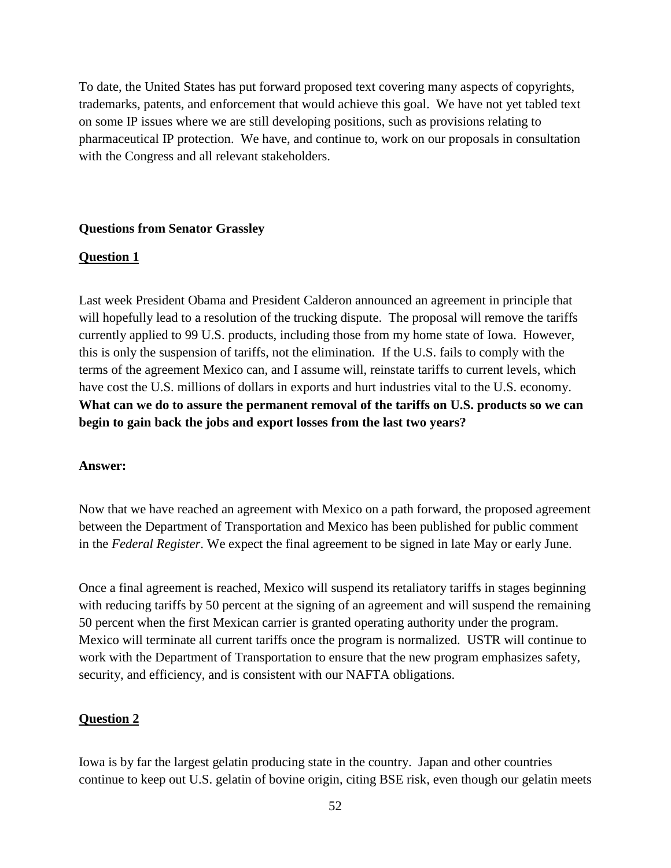To date, the United States has put forward proposed text covering many aspects of copyrights, trademarks, patents, and enforcement that would achieve this goal. We have not yet tabled text on some IP issues where we are still developing positions, such as provisions relating to pharmaceutical IP protection. We have, and continue to, work on our proposals in consultation with the Congress and all relevant stakeholders.

### **Questions from Senator Grassley**

### **Question 1**

Last week President Obama and President Calderon announced an agreement in principle that will hopefully lead to a resolution of the trucking dispute. The proposal will remove the tariffs currently applied to 99 U.S. products, including those from my home state of Iowa. However, this is only the suspension of tariffs, not the elimination. If the U.S. fails to comply with the terms of the agreement Mexico can, and I assume will, reinstate tariffs to current levels, which have cost the U.S. millions of dollars in exports and hurt industries vital to the U.S. economy. **What can we do to assure the permanent removal of the tariffs on U.S. products so we can begin to gain back the jobs and export losses from the last two years?**

### **Answer:**

Now that we have reached an agreement with Mexico on a path forward, the proposed agreement between the Department of Transportation and Mexico has been published for public comment in the *Federal Register*. We expect the final agreement to be signed in late May or early June.

Once a final agreement is reached, Mexico will suspend its retaliatory tariffs in stages beginning with reducing tariffs by 50 percent at the signing of an agreement and will suspend the remaining 50 percent when the first Mexican carrier is granted operating authority under the program. Mexico will terminate all current tariffs once the program is normalized. USTR will continue to work with the Department of Transportation to ensure that the new program emphasizes safety, security, and efficiency, and is consistent with our NAFTA obligations.

### **Question 2**

Iowa is by far the largest gelatin producing state in the country. Japan and other countries continue to keep out U.S. gelatin of bovine origin, citing BSE risk, even though our gelatin meets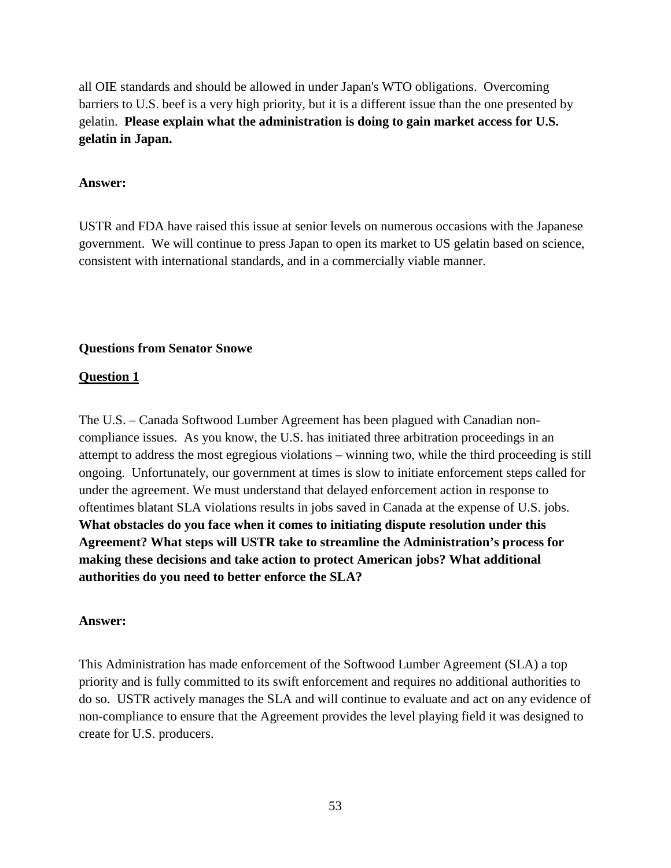all OIE standards and should be allowed in under Japan's WTO obligations. Overcoming barriers to U.S. beef is a very high priority, but it is a different issue than the one presented by gelatin. **Please explain what the administration is doing to gain market access for U.S. gelatin in Japan.**

## **Answer:**

USTR and FDA have raised this issue at senior levels on numerous occasions with the Japanese government. We will continue to press Japan to open its market to US gelatin based on science, consistent with international standards, and in a commercially viable manner.

## **Questions from Senator Snowe**

## **Question 1**

The U.S. – Canada Softwood Lumber Agreement has been plagued with Canadian noncompliance issues. As you know, the U.S. has initiated three arbitration proceedings in an attempt to address the most egregious violations – winning two, while the third proceeding is still ongoing. Unfortunately, our government at times is slow to initiate enforcement steps called for under the agreement. We must understand that delayed enforcement action in response to oftentimes blatant SLA violations results in jobs saved in Canada at the expense of U.S. jobs. **What obstacles do you face when it comes to initiating dispute resolution under this Agreement? What steps will USTR take to streamline the Administration's process for making these decisions and take action to protect American jobs? What additional authorities do you need to better enforce the SLA?**

### **Answer:**

This Administration has made enforcement of the Softwood Lumber Agreement (SLA) a top priority and is fully committed to its swift enforcement and requires no additional authorities to do so. USTR actively manages the SLA and will continue to evaluate and act on any evidence of non-compliance to ensure that the Agreement provides the level playing field it was designed to create for U.S. producers.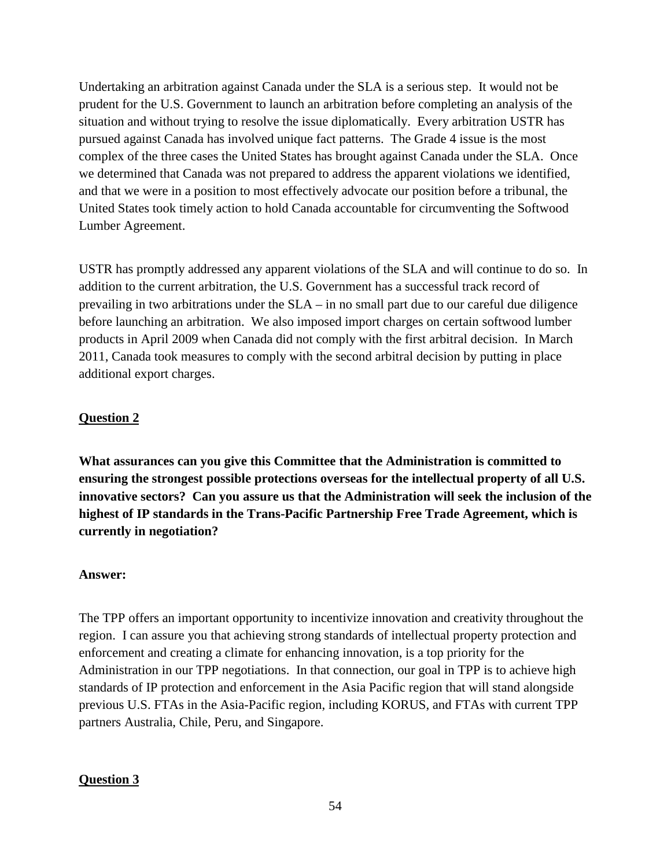Undertaking an arbitration against Canada under the SLA is a serious step. It would not be prudent for the U.S. Government to launch an arbitration before completing an analysis of the situation and without trying to resolve the issue diplomatically. Every arbitration USTR has pursued against Canada has involved unique fact patterns. The Grade 4 issue is the most complex of the three cases the United States has brought against Canada under the SLA. Once we determined that Canada was not prepared to address the apparent violations we identified, and that we were in a position to most effectively advocate our position before a tribunal, the United States took timely action to hold Canada accountable for circumventing the Softwood Lumber Agreement.

USTR has promptly addressed any apparent violations of the SLA and will continue to do so. In addition to the current arbitration, the U.S. Government has a successful track record of prevailing in two arbitrations under the SLA – in no small part due to our careful due diligence before launching an arbitration. We also imposed import charges on certain softwood lumber products in April 2009 when Canada did not comply with the first arbitral decision. In March 2011, Canada took measures to comply with the second arbitral decision by putting in place additional export charges.

# **Question 2**

**What assurances can you give this Committee that the Administration is committed to ensuring the strongest possible protections overseas for the intellectual property of all U.S. innovative sectors? Can you assure us that the Administration will seek the inclusion of the highest of IP standards in the Trans-Pacific Partnership Free Trade Agreement, which is currently in negotiation?**

## **Answer:**

The TPP offers an important opportunity to incentivize innovation and creativity throughout the region. I can assure you that achieving strong standards of intellectual property protection and enforcement and creating a climate for enhancing innovation, is a top priority for the Administration in our TPP negotiations. In that connection, our goal in TPP is to achieve high standards of IP protection and enforcement in the Asia Pacific region that will stand alongside previous U.S. FTAs in the Asia-Pacific region, including KORUS, and FTAs with current TPP partners Australia, Chile, Peru, and Singapore.

# **Question 3**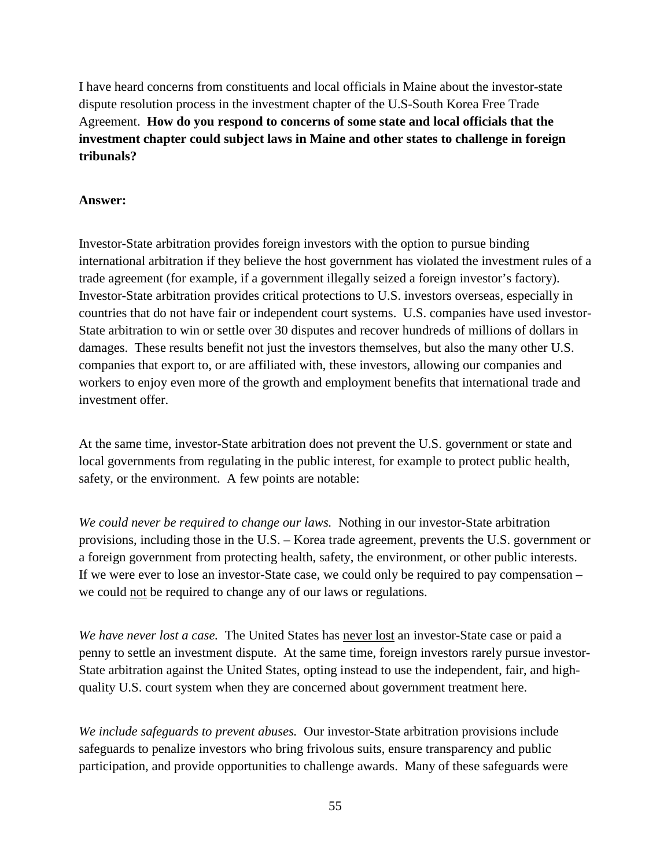I have heard concerns from constituents and local officials in Maine about the investor-state dispute resolution process in the investment chapter of the U.S-South Korea Free Trade Agreement. **How do you respond to concerns of some state and local officials that the investment chapter could subject laws in Maine and other states to challenge in foreign tribunals?**

## **Answer:**

Investor-State arbitration provides foreign investors with the option to pursue binding international arbitration if they believe the host government has violated the investment rules of a trade agreement (for example, if a government illegally seized a foreign investor's factory). Investor-State arbitration provides critical protections to U.S. investors overseas, especially in countries that do not have fair or independent court systems. U.S. companies have used investor-State arbitration to win or settle over 30 disputes and recover hundreds of millions of dollars in damages. These results benefit not just the investors themselves, but also the many other U.S. companies that export to, or are affiliated with, these investors, allowing our companies and workers to enjoy even more of the growth and employment benefits that international trade and investment offer.

At the same time, investor-State arbitration does not prevent the U.S. government or state and local governments from regulating in the public interest, for example to protect public health, safety, or the environment. A few points are notable:

*We could never be required to change our laws.* Nothing in our investor-State arbitration provisions, including those in the U.S. – Korea trade agreement, prevents the U.S. government or a foreign government from protecting health, safety, the environment, or other public interests. If we were ever to lose an investor-State case, we could only be required to pay compensation – we could not be required to change any of our laws or regulations.

*We have never lost a case.* The United States has never lost an investor-State case or paid a penny to settle an investment dispute. At the same time, foreign investors rarely pursue investor-State arbitration against the United States, opting instead to use the independent, fair, and highquality U.S. court system when they are concerned about government treatment here.

*We include safeguards to prevent abuses.* Our investor-State arbitration provisions include safeguards to penalize investors who bring frivolous suits, ensure transparency and public participation, and provide opportunities to challenge awards. Many of these safeguards were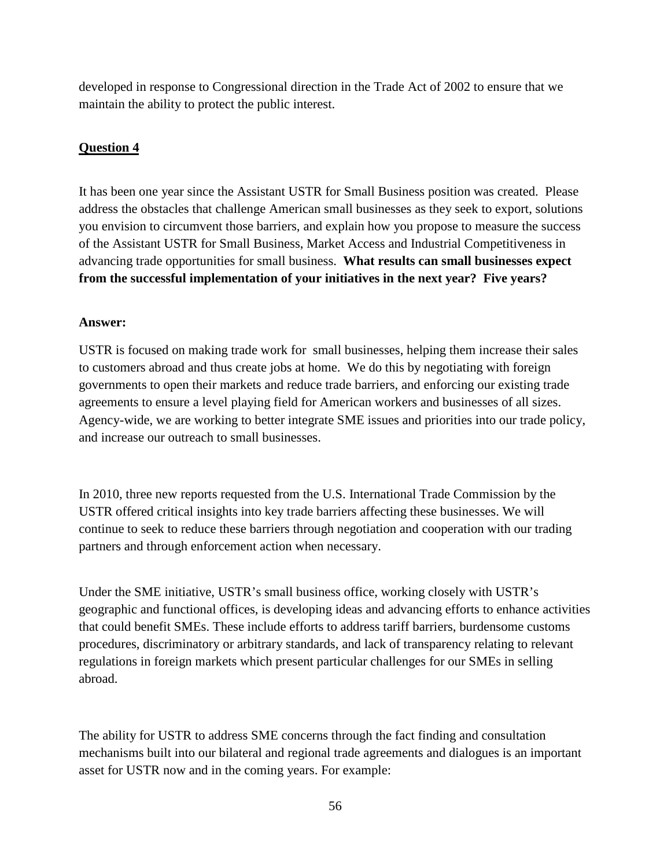developed in response to Congressional direction in the Trade Act of 2002 to ensure that we maintain the ability to protect the public interest.

# **Question 4**

It has been one year since the Assistant USTR for Small Business position was created. Please address the obstacles that challenge American small businesses as they seek to export, solutions you envision to circumvent those barriers, and explain how you propose to measure the success of the Assistant USTR for Small Business, Market Access and Industrial Competitiveness in advancing trade opportunities for small business. **What results can small businesses expect from the successful implementation of your initiatives in the next year? Five years?**

# **Answer:**

USTR is focused on making trade work for small businesses, helping them increase their sales to customers abroad and thus create jobs at home. We do this by negotiating with foreign governments to open their markets and reduce trade barriers, and enforcing our existing trade agreements to ensure a level playing field for American workers and businesses of all sizes. Agency-wide, we are working to better integrate SME issues and priorities into our trade policy, and increase our outreach to small businesses.

In 2010, three new reports requested from the U.S. International Trade Commission by the USTR offered critical insights into key trade barriers affecting these businesses. We will continue to seek to reduce these barriers through negotiation and cooperation with our trading partners and through enforcement action when necessary.

Under the SME initiative, USTR's small business office, working closely with USTR's geographic and functional offices, is developing ideas and advancing efforts to enhance activities that could benefit SMEs. These include efforts to address tariff barriers, burdensome customs procedures, discriminatory or arbitrary standards, and lack of transparency relating to relevant regulations in foreign markets which present particular challenges for our SMEs in selling abroad.

The ability for USTR to address SME concerns through the fact finding and consultation mechanisms built into our bilateral and regional trade agreements and dialogues is an important asset for USTR now and in the coming years. For example: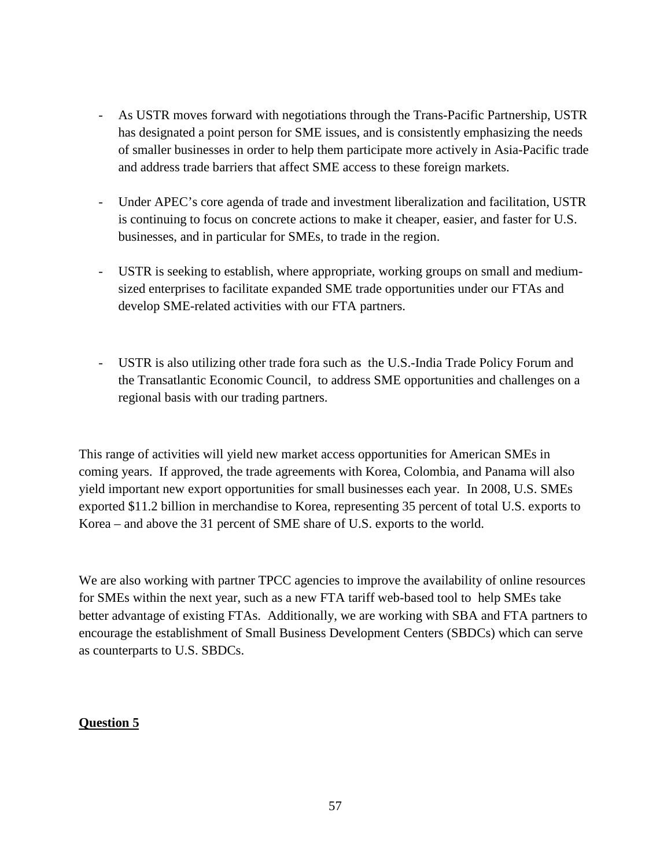- As USTR moves forward with negotiations through the Trans-Pacific Partnership, USTR has designated a point person for SME issues, and is consistently emphasizing the needs of smaller businesses in order to help them participate more actively in Asia-Pacific trade and address trade barriers that affect SME access to these foreign markets.
- Under APEC's core agenda of trade and investment liberalization and facilitation, USTR is continuing to focus on concrete actions to make it cheaper, easier, and faster for U.S. businesses, and in particular for SMEs, to trade in the region.
- USTR is seeking to establish, where appropriate, working groups on small and mediumsized enterprises to facilitate expanded SME trade opportunities under our FTAs and develop SME-related activities with our FTA partners.
- USTR is also utilizing other trade fora such as the U.S.-India Trade Policy Forum and the Transatlantic Economic Council, to address SME opportunities and challenges on a regional basis with our trading partners.

This range of activities will yield new market access opportunities for American SMEs in coming years. If approved, the trade agreements with Korea, Colombia, and Panama will also yield important new export opportunities for small businesses each year. In 2008, U.S. SMEs exported \$11.2 billion in merchandise to Korea, representing 35 percent of total U.S. exports to Korea – and above the 31 percent of SME share of U.S. exports to the world.

We are also working with partner TPCC agencies to improve the availability of online resources for SMEs within the next year, such as a new FTA tariff web-based tool to help SMEs take better advantage of existing FTAs. Additionally, we are working with SBA and FTA partners to encourage the establishment of Small Business Development Centers (SBDCs) which can serve as counterparts to U.S. SBDCs.

# **Question 5**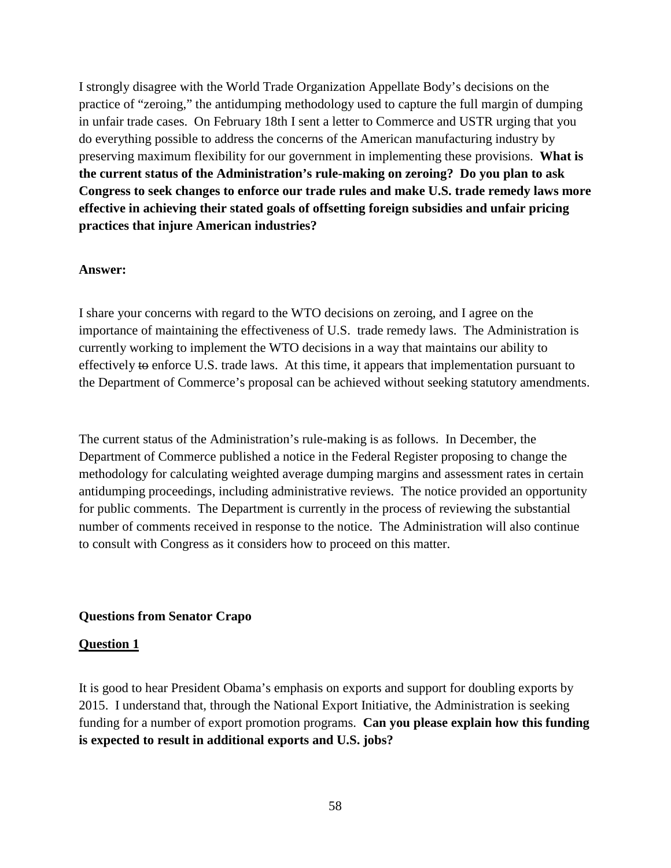I strongly disagree with the World Trade Organization Appellate Body's decisions on the practice of "zeroing," the antidumping methodology used to capture the full margin of dumping in unfair trade cases. On February 18th I sent a letter to Commerce and USTR urging that you do everything possible to address the concerns of the American manufacturing industry by preserving maximum flexibility for our government in implementing these provisions. **What is the current status of the Administration's rule-making on zeroing? Do you plan to ask Congress to seek changes to enforce our trade rules and make U.S. trade remedy laws more effective in achieving their stated goals of offsetting foreign subsidies and unfair pricing practices that injure American industries?**

#### **Answer:**

I share your concerns with regard to the WTO decisions on zeroing, and I agree on the importance of maintaining the effectiveness of U.S. trade remedy laws. The Administration is currently working to implement the WTO decisions in a way that maintains our ability to effectively to enforce U.S. trade laws. At this time, it appears that implementation pursuant to the Department of Commerce's proposal can be achieved without seeking statutory amendments.

The current status of the Administration's rule-making is as follows. In December, the Department of Commerce published a notice in the Federal Register proposing to change the methodology for calculating weighted average dumping margins and assessment rates in certain antidumping proceedings, including administrative reviews. The notice provided an opportunity for public comments. The Department is currently in the process of reviewing the substantial number of comments received in response to the notice. The Administration will also continue to consult with Congress as it considers how to proceed on this matter.

### **Questions from Senator Crapo**

### **Question 1**

It is good to hear President Obama's emphasis on exports and support for doubling exports by 2015. I understand that, through the National Export Initiative, the Administration is seeking funding for a number of export promotion programs. **Can you please explain how this funding is expected to result in additional exports and U.S. jobs?**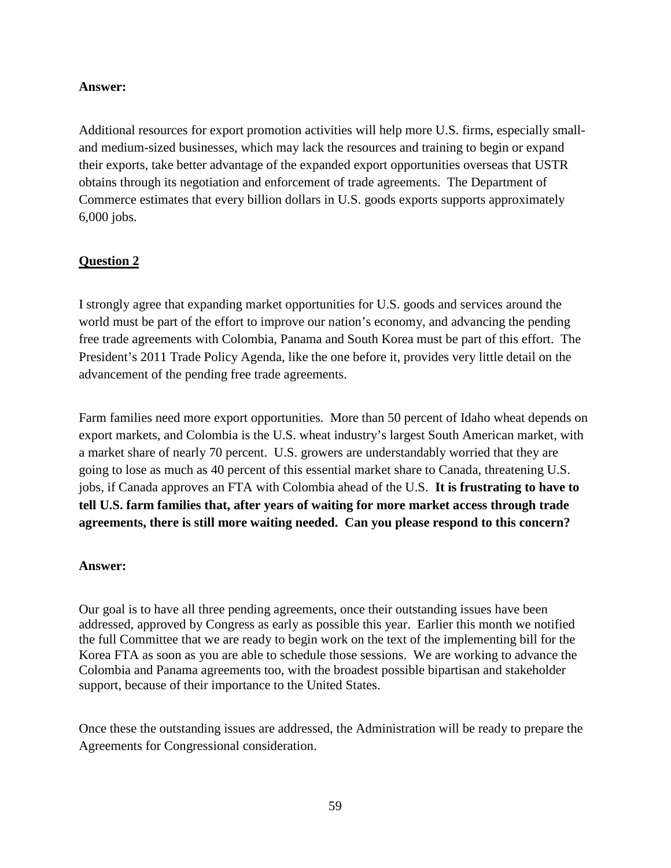## **Answer:**

Additional resources for export promotion activities will help more U.S. firms, especially smalland medium-sized businesses, which may lack the resources and training to begin or expand their exports, take better advantage of the expanded export opportunities overseas that USTR obtains through its negotiation and enforcement of trade agreements. The Department of Commerce estimates that every billion dollars in U.S. goods exports supports approximately 6,000 jobs.

# **Question 2**

I strongly agree that expanding market opportunities for U.S. goods and services around the world must be part of the effort to improve our nation's economy, and advancing the pending free trade agreements with Colombia, Panama and South Korea must be part of this effort. The President's 2011 Trade Policy Agenda, like the one before it, provides very little detail on the advancement of the pending free trade agreements.

Farm families need more export opportunities. More than 50 percent of Idaho wheat depends on export markets, and Colombia is the U.S. wheat industry's largest South American market, with a market share of nearly 70 percent. U.S. growers are understandably worried that they are going to lose as much as 40 percent of this essential market share to Canada, threatening U.S. jobs, if Canada approves an FTA with Colombia ahead of the U.S. **It is frustrating to have to tell U.S. farm families that, after years of waiting for more market access through trade agreements, there is still more waiting needed. Can you please respond to this concern?**

## **Answer:**

Our goal is to have all three pending agreements, once their outstanding issues have been addressed, approved by Congress as early as possible this year. Earlier this month we notified the full Committee that we are ready to begin work on the text of the implementing bill for the Korea FTA as soon as you are able to schedule those sessions. We are working to advance the Colombia and Panama agreements too, with the broadest possible bipartisan and stakeholder support, because of their importance to the United States.

Once these the outstanding issues are addressed, the Administration will be ready to prepare the Agreements for Congressional consideration.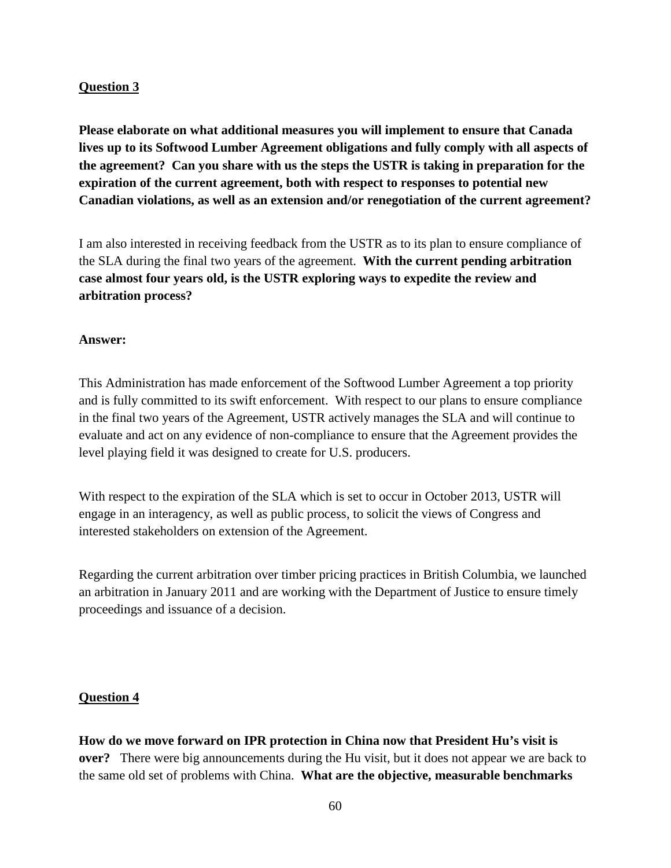## **Question 3**

**Please elaborate on what additional measures you will implement to ensure that Canada lives up to its Softwood Lumber Agreement obligations and fully comply with all aspects of the agreement? Can you share with us the steps the USTR is taking in preparation for the expiration of the current agreement, both with respect to responses to potential new Canadian violations, as well as an extension and/or renegotiation of the current agreement?** 

I am also interested in receiving feedback from the USTR as to its plan to ensure compliance of the SLA during the final two years of the agreement. **With the current pending arbitration case almost four years old, is the USTR exploring ways to expedite the review and arbitration process?** 

## **Answer:**

This Administration has made enforcement of the Softwood Lumber Agreement a top priority and is fully committed to its swift enforcement. With respect to our plans to ensure compliance in the final two years of the Agreement, USTR actively manages the SLA and will continue to evaluate and act on any evidence of non-compliance to ensure that the Agreement provides the level playing field it was designed to create for U.S. producers.

With respect to the expiration of the SLA which is set to occur in October 2013, USTR will engage in an interagency, as well as public process, to solicit the views of Congress and interested stakeholders on extension of the Agreement.

Regarding the current arbitration over timber pricing practices in British Columbia, we launched an arbitration in January 2011 and are working with the Department of Justice to ensure timely proceedings and issuance of a decision.

## **Question 4**

**How do we move forward on IPR protection in China now that President Hu's visit is over?** There were big announcements during the Hu visit, but it does not appear we are back to the same old set of problems with China. **What are the objective, measurable benchmarks**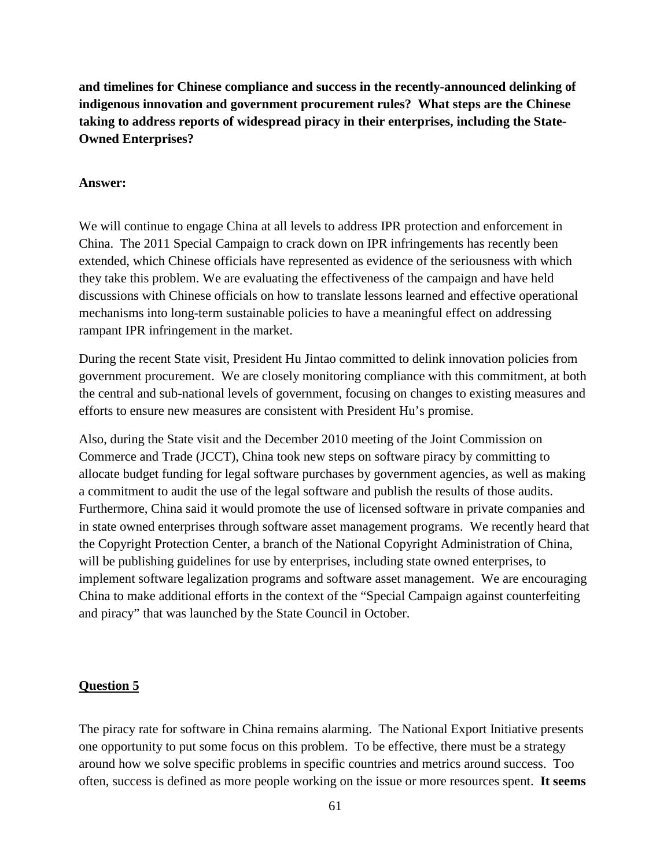**and timelines for Chinese compliance and success in the recently-announced delinking of indigenous innovation and government procurement rules? What steps are the Chinese taking to address reports of widespread piracy in their enterprises, including the State-Owned Enterprises?**

#### **Answer:**

We will continue to engage China at all levels to address IPR protection and enforcement in China. The 2011 Special Campaign to crack down on IPR infringements has recently been extended, which Chinese officials have represented as evidence of the seriousness with which they take this problem. We are evaluating the effectiveness of the campaign and have held discussions with Chinese officials on how to translate lessons learned and effective operational mechanisms into long-term sustainable policies to have a meaningful effect on addressing rampant IPR infringement in the market.

During the recent State visit, President Hu Jintao committed to delink innovation policies from government procurement. We are closely monitoring compliance with this commitment, at both the central and sub-national levels of government, focusing on changes to existing measures and efforts to ensure new measures are consistent with President Hu's promise.

Also, during the State visit and the December 2010 meeting of the Joint Commission on Commerce and Trade (JCCT), China took new steps on software piracy by committing to allocate budget funding for legal software purchases by government agencies, as well as making a commitment to audit the use of the legal software and publish the results of those audits. Furthermore, China said it would promote the use of licensed software in private companies and in state owned enterprises through software asset management programs. We recently heard that the Copyright Protection Center, a branch of the National Copyright Administration of China, will be publishing guidelines for use by enterprises, including state owned enterprises, to implement software legalization programs and software asset management. We are encouraging China to make additional efforts in the context of the "Special Campaign against counterfeiting and piracy" that was launched by the State Council in October.

#### **Question 5**

The piracy rate for software in China remains alarming. The National Export Initiative presents one opportunity to put some focus on this problem. To be effective, there must be a strategy around how we solve specific problems in specific countries and metrics around success. Too often, success is defined as more people working on the issue or more resources spent. **It seems**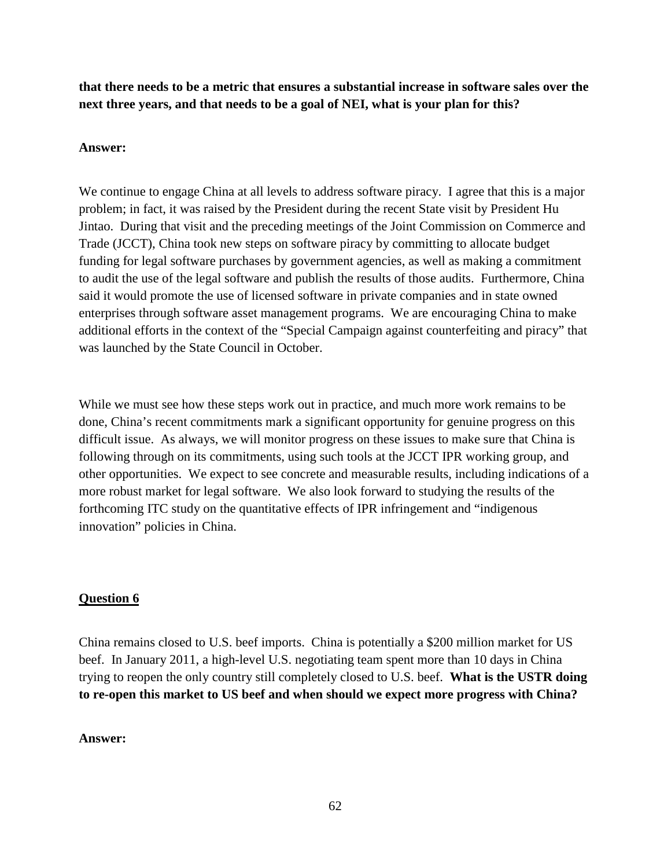**that there needs to be a metric that ensures a substantial increase in software sales over the next three years, and that needs to be a goal of NEI, what is your plan for this?** 

## **Answer:**

We continue to engage China at all levels to address software piracy. I agree that this is a major problem; in fact, it was raised by the President during the recent State visit by President Hu Jintao. During that visit and the preceding meetings of the Joint Commission on Commerce and Trade (JCCT), China took new steps on software piracy by committing to allocate budget funding for legal software purchases by government agencies, as well as making a commitment to audit the use of the legal software and publish the results of those audits. Furthermore, China said it would promote the use of licensed software in private companies and in state owned enterprises through software asset management programs. We are encouraging China to make additional efforts in the context of the "Special Campaign against counterfeiting and piracy" that was launched by the State Council in October.

While we must see how these steps work out in practice, and much more work remains to be done, China's recent commitments mark a significant opportunity for genuine progress on this difficult issue. As always, we will monitor progress on these issues to make sure that China is following through on its commitments, using such tools at the JCCT IPR working group, and other opportunities. We expect to see concrete and measurable results, including indications of a more robust market for legal software. We also look forward to studying the results of the forthcoming ITC study on the quantitative effects of IPR infringement and "indigenous innovation" policies in China.

# **Question 6**

China remains closed to U.S. beef imports. China is potentially a \$200 million market for US beef. In January 2011, a high-level U.S. negotiating team spent more than 10 days in China trying to reopen the only country still completely closed to U.S. beef. **What is the USTR doing to re-open this market to US beef and when should we expect more progress with China?**

## **Answer:**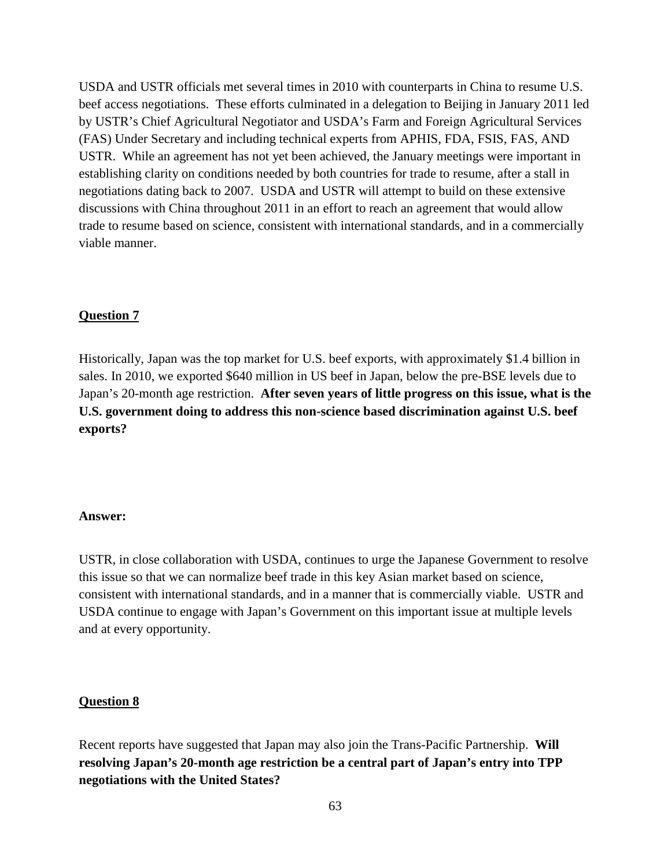USDA and USTR officials met several times in 2010 with counterparts in China to resume U.S. beef access negotiations. These efforts culminated in a delegation to Beijing in January 2011 led by USTR's Chief Agricultural Negotiator and USDA's Farm and Foreign Agricultural Services (FAS) Under Secretary and including technical experts from APHIS, FDA, FSIS, FAS, AND USTR. While an agreement has not yet been achieved, the January meetings were important in establishing clarity on conditions needed by both countries for trade to resume, after a stall in negotiations dating back to 2007. USDA and USTR will attempt to build on these extensive discussions with China throughout 2011 in an effort to reach an agreement that would allow trade to resume based on science, consistent with international standards, and in a commercially viable manner.

## **Question 7**

Historically, Japan was the top market for U.S. beef exports, with approximately \$1.4 billion in sales. In 2010, we exported \$640 million in US beef in Japan, below the pre-BSE levels due to Japan's 20-month age restriction. **After seven years of little progress on this issue, what is the U.S. government doing to address this non-science based discrimination against U.S. beef exports?**

#### **Answer:**

USTR, in close collaboration with USDA, continues to urge the Japanese Government to resolve this issue so that we can normalize beef trade in this key Asian market based on science, consistent with international standards, and in a manner that is commercially viable. USTR and USDA continue to engage with Japan's Government on this important issue at multiple levels and at every opportunity.

### **Question 8**

Recent reports have suggested that Japan may also join the Trans-Pacific Partnership. **Will resolving Japan's 20-month age restriction be a central part of Japan's entry into TPP negotiations with the United States?**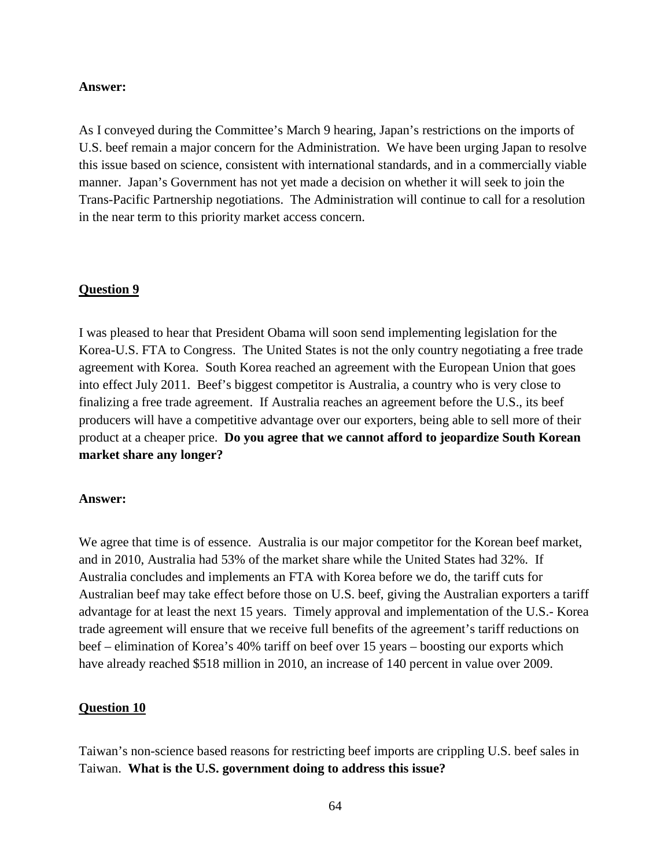#### **Answer:**

As I conveyed during the Committee's March 9 hearing, Japan's restrictions on the imports of U.S. beef remain a major concern for the Administration. We have been urging Japan to resolve this issue based on science, consistent with international standards, and in a commercially viable manner. Japan's Government has not yet made a decision on whether it will seek to join the Trans-Pacific Partnership negotiations. The Administration will continue to call for a resolution in the near term to this priority market access concern.

### **Question 9**

I was pleased to hear that President Obama will soon send implementing legislation for the Korea-U.S. FTA to Congress. The United States is not the only country negotiating a free trade agreement with Korea. South Korea reached an agreement with the European Union that goes into effect July 2011. Beef's biggest competitor is Australia, a country who is very close to finalizing a free trade agreement. If Australia reaches an agreement before the U.S., its beef producers will have a competitive advantage over our exporters, being able to sell more of their product at a cheaper price. **Do you agree that we cannot afford to jeopardize South Korean market share any longer?** 

#### **Answer:**

We agree that time is of essence. Australia is our major competitor for the Korean beef market, and in 2010, Australia had 53% of the market share while the United States had 32%. If Australia concludes and implements an FTA with Korea before we do, the tariff cuts for Australian beef may take effect before those on U.S. beef, giving the Australian exporters a tariff advantage for at least the next 15 years. Timely approval and implementation of the U.S.- Korea trade agreement will ensure that we receive full benefits of the agreement's tariff reductions on beef – elimination of Korea's 40% tariff on beef over 15 years – boosting our exports which have already reached \$518 million in 2010, an increase of 140 percent in value over 2009.

## **Question 10**

Taiwan's non-science based reasons for restricting beef imports are crippling U.S. beef sales in Taiwan. **What is the U.S. government doing to address this issue?**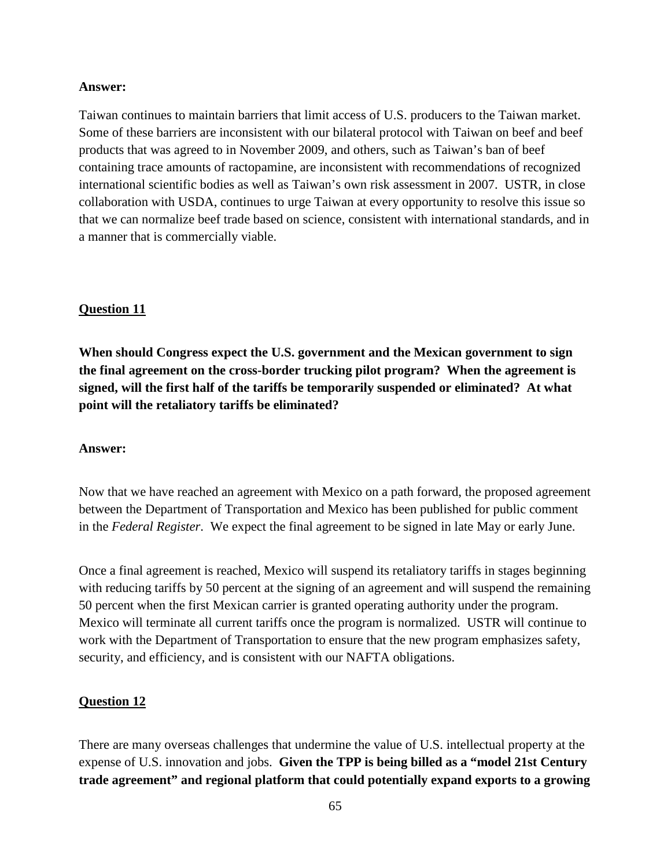#### **Answer:**

Taiwan continues to maintain barriers that limit access of U.S. producers to the Taiwan market. Some of these barriers are inconsistent with our bilateral protocol with Taiwan on beef and beef products that was agreed to in November 2009, and others, such as Taiwan's ban of beef containing trace amounts of ractopamine, are inconsistent with recommendations of recognized international scientific bodies as well as Taiwan's own risk assessment in 2007. USTR, in close collaboration with USDA, continues to urge Taiwan at every opportunity to resolve this issue so that we can normalize beef trade based on science, consistent with international standards, and in a manner that is commercially viable.

### **Question 11**

**When should Congress expect the U.S. government and the Mexican government to sign the final agreement on the cross-border trucking pilot program? When the agreement is signed, will the first half of the tariffs be temporarily suspended or eliminated? At what point will the retaliatory tariffs be eliminated?**

#### **Answer:**

Now that we have reached an agreement with Mexico on a path forward, the proposed agreement between the Department of Transportation and Mexico has been published for public comment in the *Federal Register*. We expect the final agreement to be signed in late May or early June.

Once a final agreement is reached, Mexico will suspend its retaliatory tariffs in stages beginning with reducing tariffs by 50 percent at the signing of an agreement and will suspend the remaining 50 percent when the first Mexican carrier is granted operating authority under the program. Mexico will terminate all current tariffs once the program is normalized. USTR will continue to work with the Department of Transportation to ensure that the new program emphasizes safety, security, and efficiency, and is consistent with our NAFTA obligations.

#### **Question 12**

There are many overseas challenges that undermine the value of U.S. intellectual property at the expense of U.S. innovation and jobs. **Given the TPP is being billed as a "model 21st Century trade agreement" and regional platform that could potentially expand exports to a growing**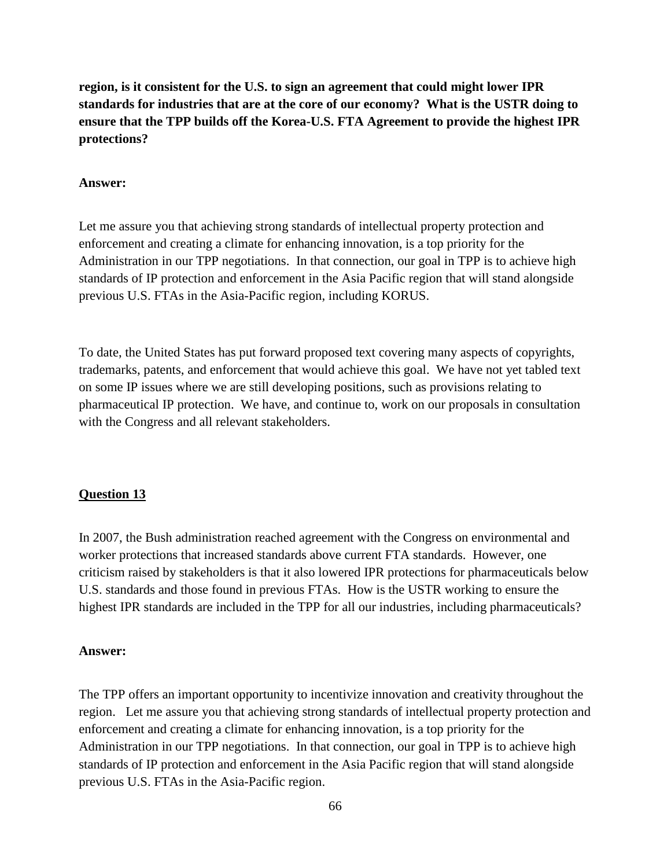**region, is it consistent for the U.S. to sign an agreement that could might lower IPR standards for industries that are at the core of our economy? What is the USTR doing to ensure that the TPP builds off the Korea-U.S. FTA Agreement to provide the highest IPR protections?**

#### **Answer:**

Let me assure you that achieving strong standards of intellectual property protection and enforcement and creating a climate for enhancing innovation, is a top priority for the Administration in our TPP negotiations. In that connection, our goal in TPP is to achieve high standards of IP protection and enforcement in the Asia Pacific region that will stand alongside previous U.S. FTAs in the Asia-Pacific region, including KORUS.

To date, the United States has put forward proposed text covering many aspects of copyrights, trademarks, patents, and enforcement that would achieve this goal. We have not yet tabled text on some IP issues where we are still developing positions, such as provisions relating to pharmaceutical IP protection. We have, and continue to, work on our proposals in consultation with the Congress and all relevant stakeholders.

### **Question 13**

In 2007, the Bush administration reached agreement with the Congress on environmental and worker protections that increased standards above current FTA standards. However, one criticism raised by stakeholders is that it also lowered IPR protections for pharmaceuticals below U.S. standards and those found in previous FTAs. How is the USTR working to ensure the highest IPR standards are included in the TPP for all our industries, including pharmaceuticals?

#### **Answer:**

The TPP offers an important opportunity to incentivize innovation and creativity throughout the region. Let me assure you that achieving strong standards of intellectual property protection and enforcement and creating a climate for enhancing innovation, is a top priority for the Administration in our TPP negotiations. In that connection, our goal in TPP is to achieve high standards of IP protection and enforcement in the Asia Pacific region that will stand alongside previous U.S. FTAs in the Asia-Pacific region.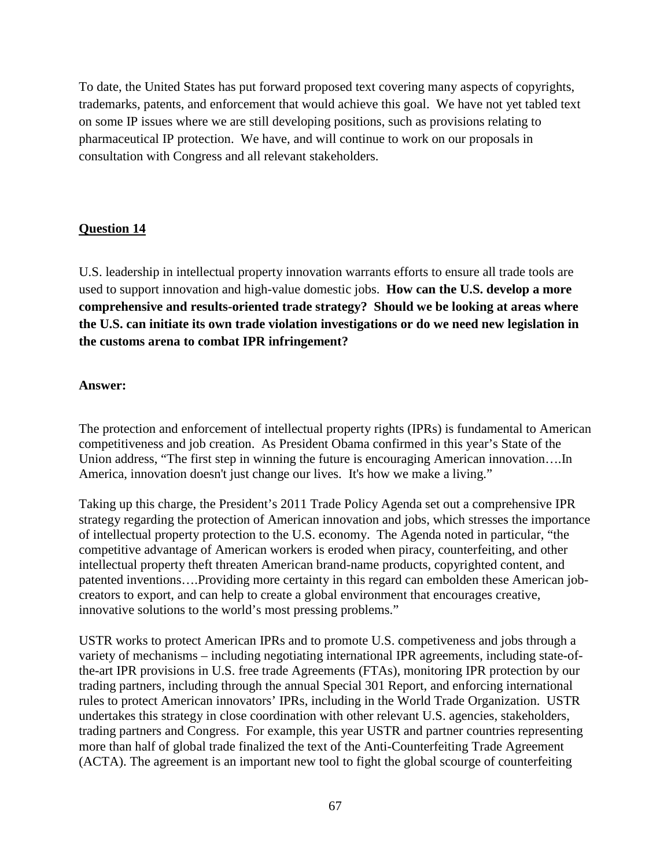To date, the United States has put forward proposed text covering many aspects of copyrights, trademarks, patents, and enforcement that would achieve this goal. We have not yet tabled text on some IP issues where we are still developing positions, such as provisions relating to pharmaceutical IP protection. We have, and will continue to work on our proposals in consultation with Congress and all relevant stakeholders.

# **Question 14**

U.S. leadership in intellectual property innovation warrants efforts to ensure all trade tools are used to support innovation and high-value domestic jobs. **How can the U.S. develop a more comprehensive and results-oriented trade strategy? Should we be looking at areas where the U.S. can initiate its own trade violation investigations or do we need new legislation in the customs arena to combat IPR infringement?**

## **Answer:**

The protection and enforcement of intellectual property rights (IPRs) is fundamental to American competitiveness and job creation. As President Obama confirmed in this year's State of the Union address, "The first step in winning the future is encouraging American innovation….In America, innovation doesn't just change our lives. It's how we make a living."

Taking up this charge, the President's 2011 Trade Policy Agenda set out a comprehensive IPR strategy regarding the protection of American innovation and jobs, which stresses the importance of intellectual property protection to the U.S. economy. The Agenda noted in particular, "the competitive advantage of American workers is eroded when piracy, counterfeiting, and other intellectual property theft threaten American brand-name products, copyrighted content, and patented inventions….Providing more certainty in this regard can embolden these American jobcreators to export, and can help to create a global environment that encourages creative, innovative solutions to the world's most pressing problems."

USTR works to protect American IPRs and to promote U.S. competiveness and jobs through a variety of mechanisms – including negotiating international IPR agreements, including state-ofthe-art IPR provisions in U.S. free trade Agreements (FTAs), monitoring IPR protection by our trading partners, including through the annual Special 301 Report, and enforcing international rules to protect American innovators' IPRs, including in the World Trade Organization. USTR undertakes this strategy in close coordination with other relevant U.S. agencies, stakeholders, trading partners and Congress. For example, this year USTR and partner countries representing more than half of global trade finalized the text of the Anti-Counterfeiting Trade Agreement (ACTA). The agreement is an important new tool to fight the global scourge of counterfeiting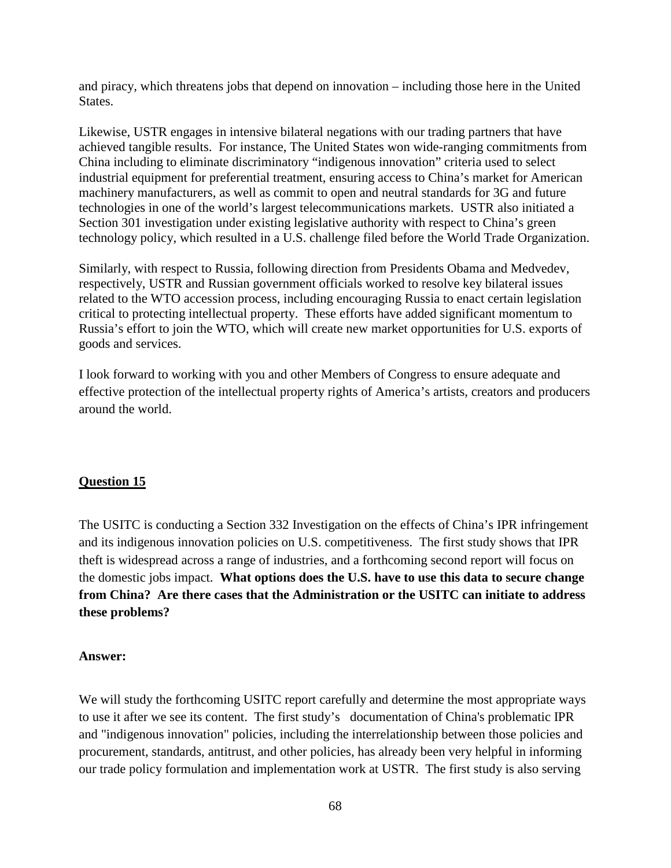and piracy, which threatens jobs that depend on innovation – including those here in the United States.

Likewise, USTR engages in intensive bilateral negations with our trading partners that have achieved tangible results. For instance, The United States won wide-ranging commitments from China including to eliminate discriminatory "indigenous innovation" criteria used to select industrial equipment for preferential treatment, ensuring access to China's market for American machinery manufacturers, as well as commit to open and neutral standards for 3G and future technologies in one of the world's largest telecommunications markets. USTR also initiated a Section 301 investigation under existing legislative authority with respect to China's green technology policy, which resulted in a U.S. challenge filed before the World Trade Organization.

Similarly, with respect to Russia, following direction from Presidents Obama and Medvedev, respectively, USTR and Russian government officials worked to resolve key bilateral issues related to the WTO accession process, including encouraging Russia to enact certain legislation critical to protecting intellectual property. These efforts have added significant momentum to Russia's effort to join the WTO, which will create new market opportunities for U.S. exports of goods and services.

I look forward to working with you and other Members of Congress to ensure adequate and effective protection of the intellectual property rights of America's artists, creators and producers around the world.

## **Question 15**

The USITC is conducting a Section 332 Investigation on the effects of China's IPR infringement and its indigenous innovation policies on U.S. competitiveness. The first study shows that IPR theft is widespread across a range of industries, and a forthcoming second report will focus on the domestic jobs impact. **What options does the U.S. have to use this data to secure change from China? Are there cases that the Administration or the USITC can initiate to address these problems?**

### **Answer:**

We will study the forthcoming USITC report carefully and determine the most appropriate ways to use it after we see its content. The first study's documentation of China's problematic IPR and "indigenous innovation" policies, including the interrelationship between those policies and procurement, standards, antitrust, and other policies, has already been very helpful in informing our trade policy formulation and implementation work at USTR. The first study is also serving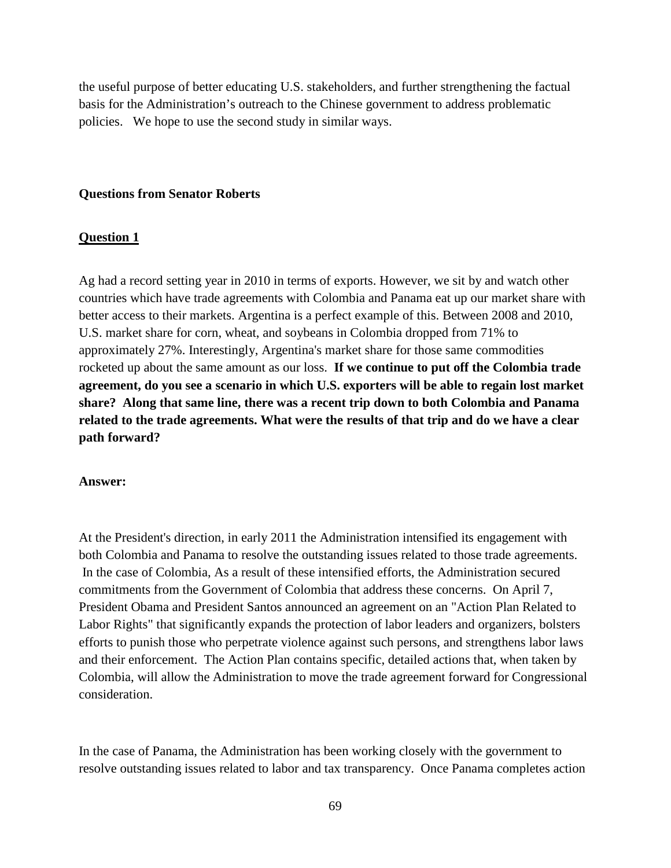the useful purpose of better educating U.S. stakeholders, and further strengthening the factual basis for the Administration's outreach to the Chinese government to address problematic policies. We hope to use the second study in similar ways.

#### **Questions from Senator Roberts**

#### **Question 1**

Ag had a record setting year in 2010 in terms of exports. However, we sit by and watch other countries which have trade agreements with Colombia and Panama eat up our market share with better access to their markets. Argentina is a perfect example of this. Between 2008 and 2010, U.S. market share for corn, wheat, and soybeans in Colombia dropped from 71% to approximately 27%. Interestingly, Argentina's market share for those same commodities rocketed up about the same amount as our loss. **If we continue to put off the Colombia trade agreement, do you see a scenario in which U.S. exporters will be able to regain lost market share? Along that same line, there was a recent trip down to both Colombia and Panama related to the trade agreements. What were the results of that trip and do we have a clear path forward?** 

#### **Answer:**

At the President's direction, in early 2011 the Administration intensified its engagement with both Colombia and Panama to resolve the outstanding issues related to those trade agreements. In the case of Colombia, As a result of these intensified efforts, the Administration secured commitments from the Government of Colombia that address these concerns. On April 7, President Obama and President Santos announced an agreement on an "Action Plan Related to Labor Rights" that significantly expands the protection of labor leaders and organizers, bolsters efforts to punish those who perpetrate violence against such persons, and strengthens labor laws and their enforcement. The Action Plan contains specific, detailed actions that, when taken by Colombia, will allow the Administration to move the trade agreement forward for Congressional consideration.

In the case of Panama, the Administration has been working closely with the government to resolve outstanding issues related to labor and tax transparency. Once Panama completes action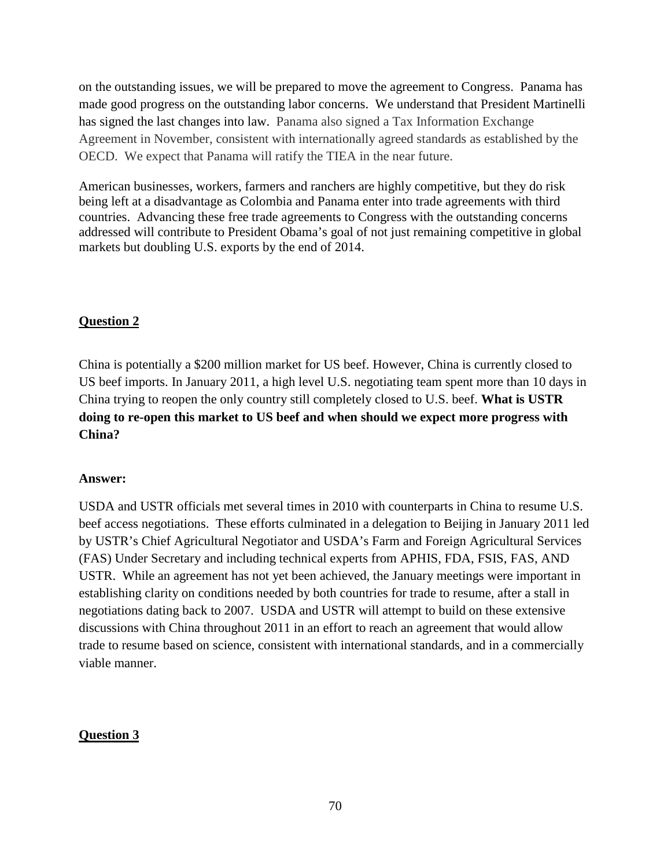on the outstanding issues, we will be prepared to move the agreement to Congress. Panama has made good progress on the outstanding labor concerns. We understand that President Martinelli has signed the last changes into law. Panama also signed a Tax Information Exchange Agreement in November, consistent with internationally agreed standards as established by the OECD. We expect that Panama will ratify the TIEA in the near future.

American businesses, workers, farmers and ranchers are highly competitive, but they do risk being left at a disadvantage as Colombia and Panama enter into trade agreements with third countries. Advancing these free trade agreements to Congress with the outstanding concerns addressed will contribute to President Obama's goal of not just remaining competitive in global markets but doubling U.S. exports by the end of 2014.

# **Question 2**

China is potentially a \$200 million market for US beef. However, China is currently closed to US beef imports. In January 2011, a high level U.S. negotiating team spent more than 10 days in China trying to reopen the only country still completely closed to U.S. beef. **What is USTR doing to re-open this market to US beef and when should we expect more progress with China?**

## **Answer:**

USDA and USTR officials met several times in 2010 with counterparts in China to resume U.S. beef access negotiations. These efforts culminated in a delegation to Beijing in January 2011 led by USTR's Chief Agricultural Negotiator and USDA's Farm and Foreign Agricultural Services (FAS) Under Secretary and including technical experts from APHIS, FDA, FSIS, FAS, AND USTR. While an agreement has not yet been achieved, the January meetings were important in establishing clarity on conditions needed by both countries for trade to resume, after a stall in negotiations dating back to 2007. USDA and USTR will attempt to build on these extensive discussions with China throughout 2011 in an effort to reach an agreement that would allow trade to resume based on science, consistent with international standards, and in a commercially viable manner.

## **Question 3**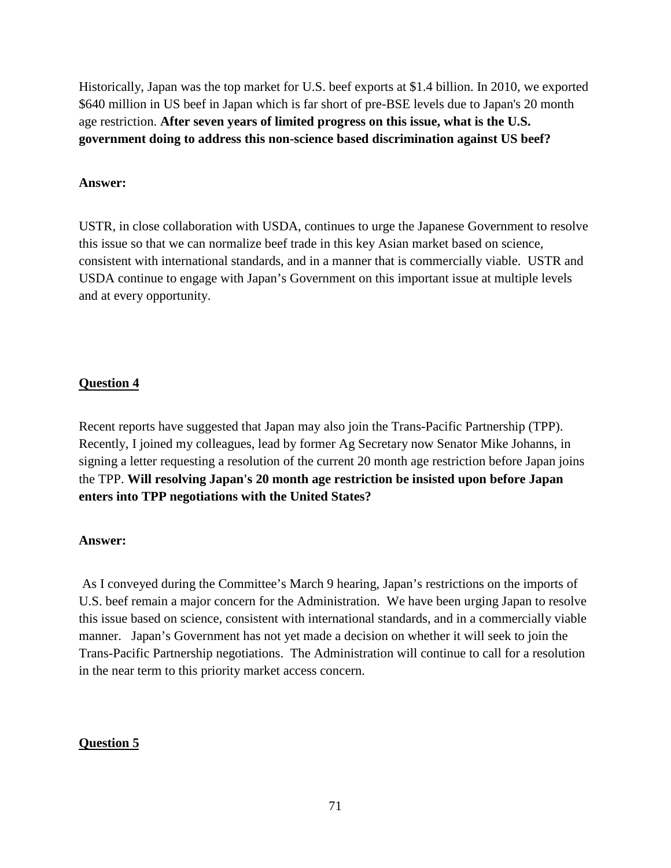Historically, Japan was the top market for U.S. beef exports at \$1.4 billion. In 2010, we exported \$640 million in US beef in Japan which is far short of pre-BSE levels due to Japan's 20 month age restriction. **After seven years of limited progress on this issue, what is the U.S. government doing to address this non-science based discrimination against US beef?**

### **Answer:**

USTR, in close collaboration with USDA, continues to urge the Japanese Government to resolve this issue so that we can normalize beef trade in this key Asian market based on science, consistent with international standards, and in a manner that is commercially viable. USTR and USDA continue to engage with Japan's Government on this important issue at multiple levels and at every opportunity.

## **Question 4**

Recent reports have suggested that Japan may also join the Trans-Pacific Partnership (TPP). Recently, I joined my colleagues, lead by former Ag Secretary now Senator Mike Johanns, in signing a letter requesting a resolution of the current 20 month age restriction before Japan joins the TPP. **Will resolving Japan's 20 month age restriction be insisted upon before Japan enters into TPP negotiations with the United States?**

### **Answer:**

As I conveyed during the Committee's March 9 hearing, Japan's restrictions on the imports of U.S. beef remain a major concern for the Administration. We have been urging Japan to resolve this issue based on science, consistent with international standards, and in a commercially viable manner. Japan's Government has not yet made a decision on whether it will seek to join the Trans-Pacific Partnership negotiations. The Administration will continue to call for a resolution in the near term to this priority market access concern.

## **Question 5**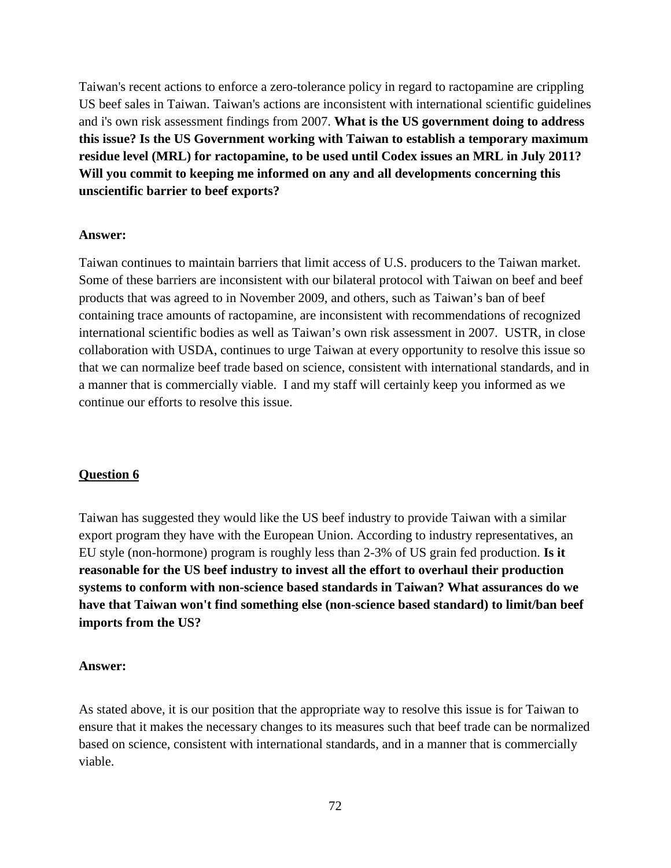Taiwan's recent actions to enforce a zero-tolerance policy in regard to ractopamine are crippling US beef sales in Taiwan. Taiwan's actions are inconsistent with international scientific guidelines and i's own risk assessment findings from 2007. **What is the US government doing to address this issue? Is the US Government working with Taiwan to establish a temporary maximum residue level (MRL) for ractopamine, to be used until Codex issues an MRL in July 2011? Will you commit to keeping me informed on any and all developments concerning this unscientific barrier to beef exports?**

#### **Answer:**

Taiwan continues to maintain barriers that limit access of U.S. producers to the Taiwan market. Some of these barriers are inconsistent with our bilateral protocol with Taiwan on beef and beef products that was agreed to in November 2009, and others, such as Taiwan's ban of beef containing trace amounts of ractopamine, are inconsistent with recommendations of recognized international scientific bodies as well as Taiwan's own risk assessment in 2007. USTR, in close collaboration with USDA, continues to urge Taiwan at every opportunity to resolve this issue so that we can normalize beef trade based on science, consistent with international standards, and in a manner that is commercially viable. I and my staff will certainly keep you informed as we continue our efforts to resolve this issue.

### **Question 6**

Taiwan has suggested they would like the US beef industry to provide Taiwan with a similar export program they have with the European Union. According to industry representatives, an EU style (non-hormone) program is roughly less than 2-3% of US grain fed production. **Is it reasonable for the US beef industry to invest all the effort to overhaul their production systems to conform with non-science based standards in Taiwan? What assurances do we have that Taiwan won't find something else (non-science based standard) to limit/ban beef imports from the US?** 

#### **Answer:**

As stated above, it is our position that the appropriate way to resolve this issue is for Taiwan to ensure that it makes the necessary changes to its measures such that beef trade can be normalized based on science, consistent with international standards, and in a manner that is commercially viable.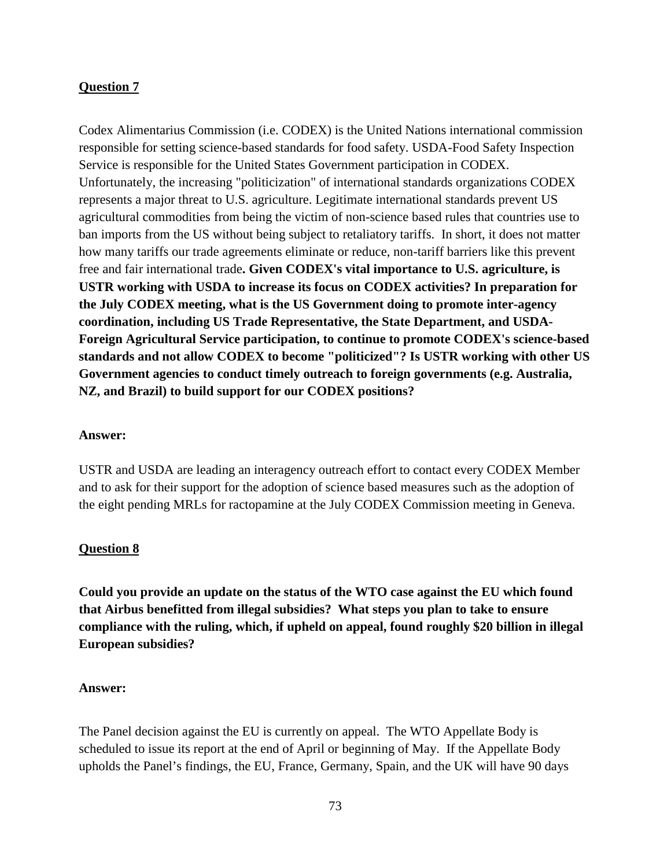# **Question 7**

Codex Alimentarius Commission (i.e. CODEX) is the United Nations international commission responsible for setting science-based standards for food safety. USDA-Food Safety Inspection Service is responsible for the United States Government participation in CODEX. Unfortunately, the increasing "politicization" of international standards organizations CODEX represents a major threat to U.S. agriculture. Legitimate international standards prevent US agricultural commodities from being the victim of non-science based rules that countries use to ban imports from the US without being subject to retaliatory tariffs. In short, it does not matter how many tariffs our trade agreements eliminate or reduce, non-tariff barriers like this prevent free and fair international trade**. Given CODEX's vital importance to U.S. agriculture, is USTR working with USDA to increase its focus on CODEX activities? In preparation for the July CODEX meeting, what is the US Government doing to promote inter-agency coordination, including US Trade Representative, the State Department, and USDA-Foreign Agricultural Service participation, to continue to promote CODEX's science-based standards and not allow CODEX to become "politicized"? Is USTR working with other US Government agencies to conduct timely outreach to foreign governments (e.g. Australia, NZ, and Brazil) to build support for our CODEX positions?**

### **Answer:**

USTR and USDA are leading an interagency outreach effort to contact every CODEX Member and to ask for their support for the adoption of science based measures such as the adoption of the eight pending MRLs for ractopamine at the July CODEX Commission meeting in Geneva.

### **Question 8**

**Could you provide an update on the status of the WTO case against the EU which found that Airbus benefitted from illegal subsidies? What steps you plan to take to ensure compliance with the ruling, which, if upheld on appeal, found roughly \$20 billion in illegal European subsidies?**

#### **Answer:**

The Panel decision against the EU is currently on appeal. The WTO Appellate Body is scheduled to issue its report at the end of April or beginning of May. If the Appellate Body upholds the Panel's findings, the EU, France, Germany, Spain, and the UK will have 90 days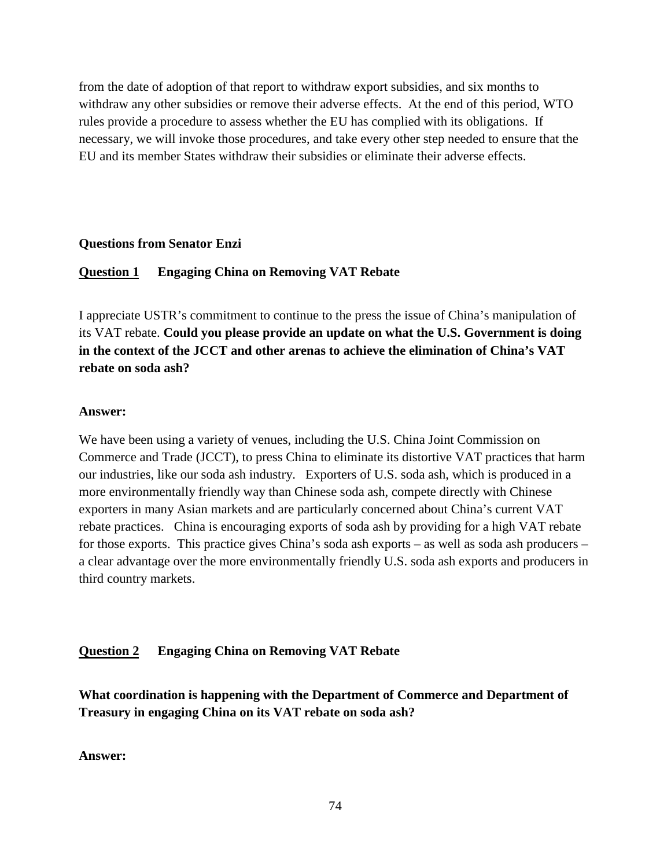from the date of adoption of that report to withdraw export subsidies, and six months to withdraw any other subsidies or remove their adverse effects. At the end of this period, WTO rules provide a procedure to assess whether the EU has complied with its obligations. If necessary, we will invoke those procedures, and take every other step needed to ensure that the EU and its member States withdraw their subsidies or eliminate their adverse effects.

#### **Questions from Senator Enzi**

#### **Question 1 Engaging China on Removing VAT Rebate**

I appreciate USTR's commitment to continue to the press the issue of China's manipulation of its VAT rebate. **Could you please provide an update on what the U.S. Government is doing in the context of the JCCT and other arenas to achieve the elimination of China's VAT rebate on soda ash?**

#### **Answer:**

We have been using a variety of venues, including the U.S. China Joint Commission on Commerce and Trade (JCCT), to press China to eliminate its distortive VAT practices that harm our industries, like our soda ash industry. Exporters of U.S. soda ash, which is produced in a more environmentally friendly way than Chinese soda ash, compete directly with Chinese exporters in many Asian markets and are particularly concerned about China's current VAT rebate practices. China is encouraging exports of soda ash by providing for a high VAT rebate for those exports. This practice gives China's soda ash exports – as well as soda ash producers – a clear advantage over the more environmentally friendly U.S. soda ash exports and producers in third country markets.

### **Question 2 Engaging China on Removing VAT Rebate**

**What coordination is happening with the Department of Commerce and Department of Treasury in engaging China on its VAT rebate on soda ash?** 

**Answer:**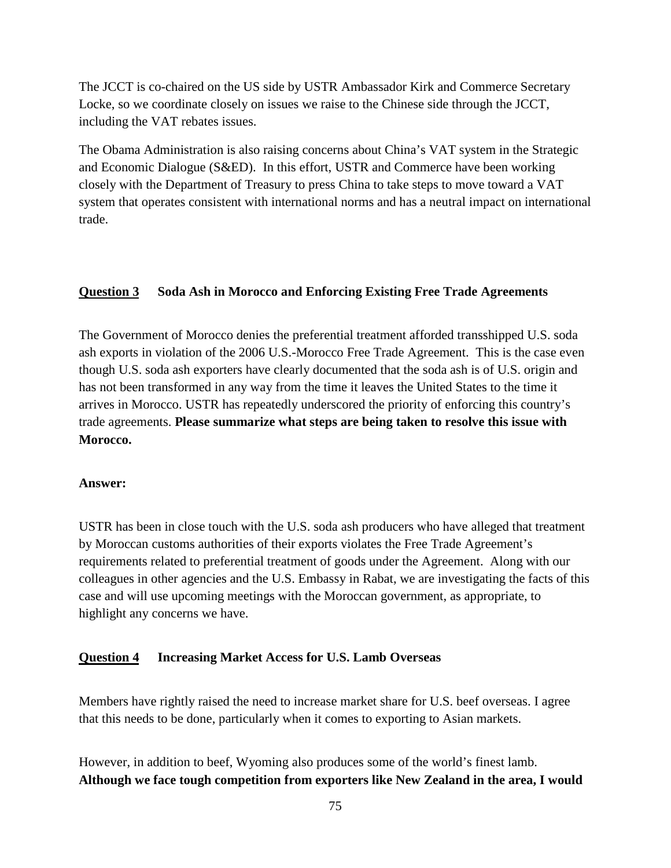The JCCT is co-chaired on the US side by USTR Ambassador Kirk and Commerce Secretary Locke, so we coordinate closely on issues we raise to the Chinese side through the JCCT, including the VAT rebates issues.

The Obama Administration is also raising concerns about China's VAT system in the Strategic and Economic Dialogue (S&ED). In this effort, USTR and Commerce have been working closely with the Department of Treasury to press China to take steps to move toward a VAT system that operates consistent with international norms and has a neutral impact on international trade.

# **Question 3 Soda Ash in Morocco and Enforcing Existing Free Trade Agreements**

The Government of Morocco denies the preferential treatment afforded transshipped U.S. soda ash exports in violation of the 2006 U.S.-Morocco Free Trade Agreement. This is the case even though U.S. soda ash exporters have clearly documented that the soda ash is of U.S. origin and has not been transformed in any way from the time it leaves the United States to the time it arrives in Morocco. USTR has repeatedly underscored the priority of enforcing this country's trade agreements. **Please summarize what steps are being taken to resolve this issue with Morocco.**

### **Answer:**

USTR has been in close touch with the U.S. soda ash producers who have alleged that treatment by Moroccan customs authorities of their exports violates the Free Trade Agreement's requirements related to preferential treatment of goods under the Agreement. Along with our colleagues in other agencies and the U.S. Embassy in Rabat, we are investigating the facts of this case and will use upcoming meetings with the Moroccan government, as appropriate, to highlight any concerns we have.

### **Question 4 Increasing Market Access for U.S. Lamb Overseas**

Members have rightly raised the need to increase market share for U.S. beef overseas. I agree that this needs to be done, particularly when it comes to exporting to Asian markets.

However, in addition to beef, Wyoming also produces some of the world's finest lamb. **Although we face tough competition from exporters like New Zealand in the area, I would**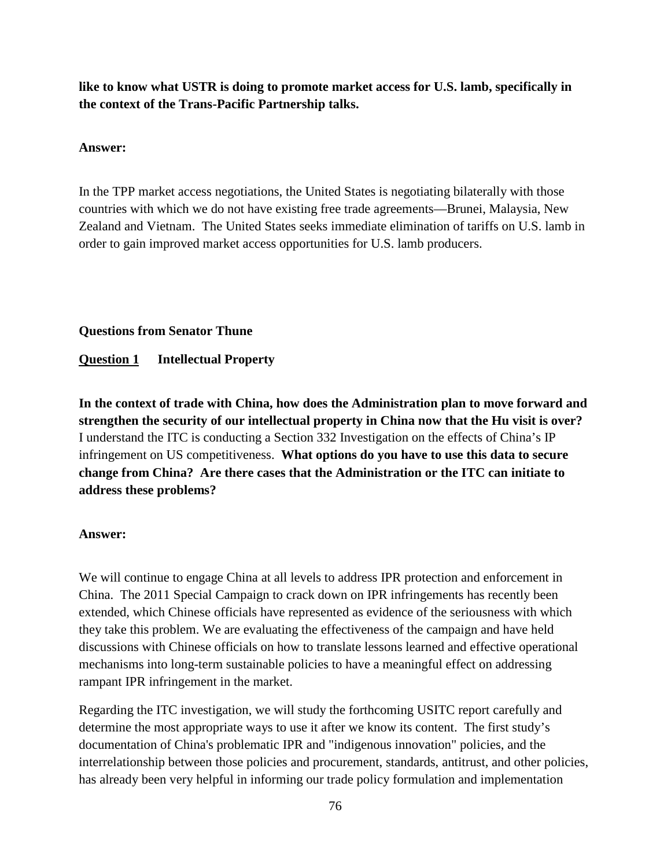**like to know what USTR is doing to promote market access for U.S. lamb, specifically in the context of the Trans-Pacific Partnership talks.**

### **Answer:**

In the TPP market access negotiations, the United States is negotiating bilaterally with those countries with which we do not have existing free trade agreements—Brunei, Malaysia, New Zealand and Vietnam. The United States seeks immediate elimination of tariffs on U.S. lamb in order to gain improved market access opportunities for U.S. lamb producers.

# **Questions from Senator Thune**

# **Question 1 Intellectual Property**

**In the context of trade with China, how does the Administration plan to move forward and strengthen the security of our intellectual property in China now that the Hu visit is over?** I understand the ITC is conducting a Section 332 Investigation on the effects of China's IP infringement on US competitiveness. **What options do you have to use this data to secure change from China? Are there cases that the Administration or the ITC can initiate to address these problems?**

# **Answer:**

We will continue to engage China at all levels to address IPR protection and enforcement in China. The 2011 Special Campaign to crack down on IPR infringements has recently been extended, which Chinese officials have represented as evidence of the seriousness with which they take this problem. We are evaluating the effectiveness of the campaign and have held discussions with Chinese officials on how to translate lessons learned and effective operational mechanisms into long-term sustainable policies to have a meaningful effect on addressing rampant IPR infringement in the market.

Regarding the ITC investigation, we will study the forthcoming USITC report carefully and determine the most appropriate ways to use it after we know its content. The first study's documentation of China's problematic IPR and "indigenous innovation" policies, and the interrelationship between those policies and procurement, standards, antitrust, and other policies, has already been very helpful in informing our trade policy formulation and implementation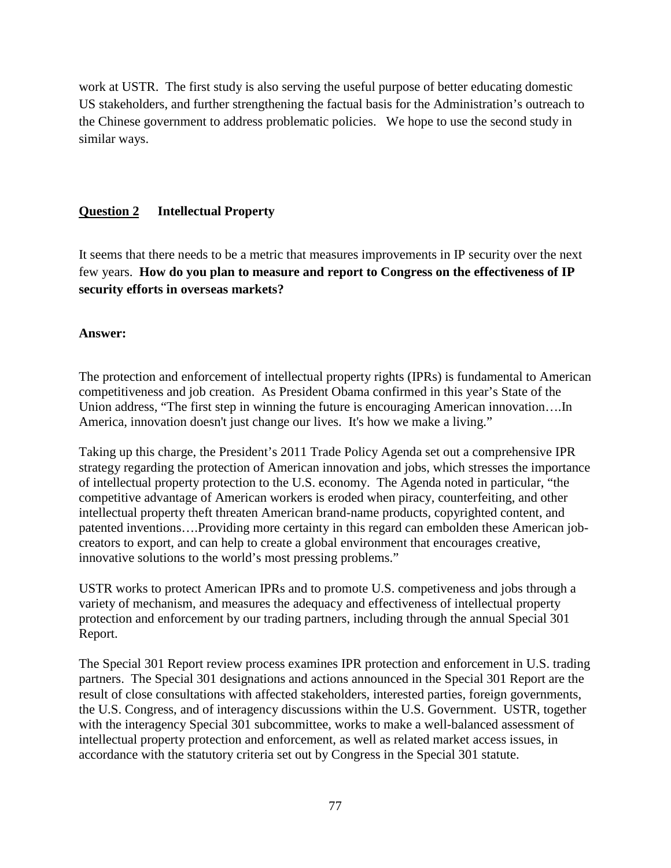work at USTR. The first study is also serving the useful purpose of better educating domestic US stakeholders, and further strengthening the factual basis for the Administration's outreach to the Chinese government to address problematic policies. We hope to use the second study in similar ways.

# **Question 2 Intellectual Property**

It seems that there needs to be a metric that measures improvements in IP security over the next few years. **How do you plan to measure and report to Congress on the effectiveness of IP security efforts in overseas markets?**

# **Answer:**

The protection and enforcement of intellectual property rights (IPRs) is fundamental to American competitiveness and job creation. As President Obama confirmed in this year's State of the Union address, "The first step in winning the future is encouraging American innovation….In America, innovation doesn't just change our lives. It's how we make a living."

Taking up this charge, the President's 2011 Trade Policy Agenda set out a comprehensive IPR strategy regarding the protection of American innovation and jobs, which stresses the importance of intellectual property protection to the U.S. economy. The Agenda noted in particular, "the competitive advantage of American workers is eroded when piracy, counterfeiting, and other intellectual property theft threaten American brand-name products, copyrighted content, and patented inventions….Providing more certainty in this regard can embolden these American jobcreators to export, and can help to create a global environment that encourages creative, innovative solutions to the world's most pressing problems."

USTR works to protect American IPRs and to promote U.S. competiveness and jobs through a variety of mechanism, and measures the adequacy and effectiveness of intellectual property protection and enforcement by our trading partners, including through the annual Special 301 Report.

The Special 301 Report review process examines IPR protection and enforcement in U.S. trading partners. The Special 301 designations and actions announced in the Special 301 Report are the result of close consultations with affected stakeholders, interested parties, foreign governments, the U.S. Congress, and of interagency discussions within the U.S. Government. USTR, together with the interagency Special 301 subcommittee, works to make a well-balanced assessment of intellectual property protection and enforcement, as well as related market access issues, in accordance with the statutory criteria set out by Congress in the Special 301 statute.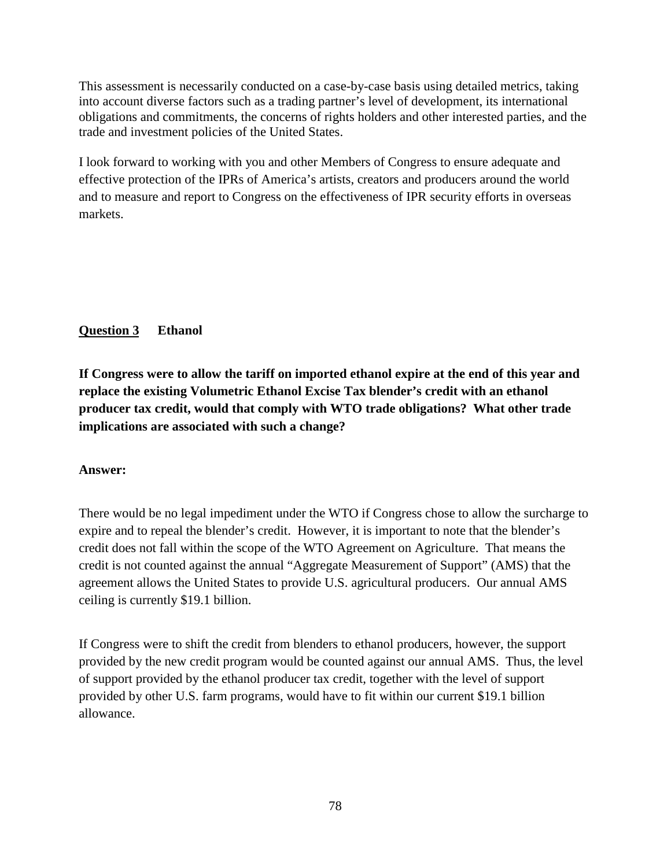This assessment is necessarily conducted on a case-by-case basis using detailed metrics, taking into account diverse factors such as a trading partner's level of development, its international obligations and commitments, the concerns of rights holders and other interested parties, and the trade and investment policies of the United States.

I look forward to working with you and other Members of Congress to ensure adequate and effective protection of the IPRs of America's artists, creators and producers around the world and to measure and report to Congress on the effectiveness of IPR security efforts in overseas markets.

# **Question 3 Ethanol**

**If Congress were to allow the tariff on imported ethanol expire at the end of this year and replace the existing Volumetric Ethanol Excise Tax blender's credit with an ethanol producer tax credit, would that comply with WTO trade obligations? What other trade implications are associated with such a change?**

# **Answer:**

There would be no legal impediment under the WTO if Congress chose to allow the surcharge to expire and to repeal the blender's credit. However, it is important to note that the blender's credit does not fall within the scope of the WTO Agreement on Agriculture. That means the credit is not counted against the annual "Aggregate Measurement of Support" (AMS) that the agreement allows the United States to provide U.S. agricultural producers. Our annual AMS ceiling is currently \$19.1 billion.

If Congress were to shift the credit from blenders to ethanol producers, however, the support provided by the new credit program would be counted against our annual AMS. Thus, the level of support provided by the ethanol producer tax credit, together with the level of support provided by other U.S. farm programs, would have to fit within our current \$19.1 billion allowance.